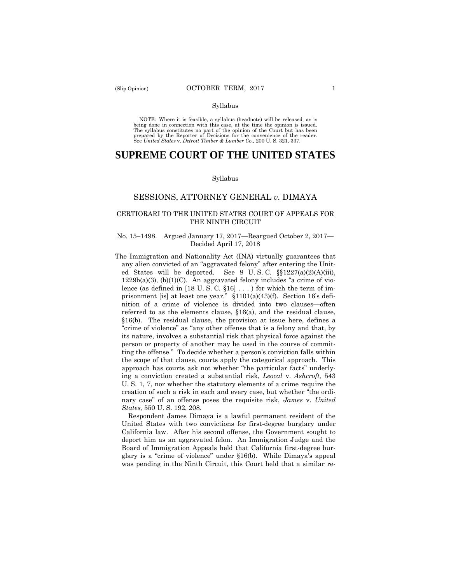NOTE: Where it is feasible, a syllabus (headnote) will be released, as is being done in connection with this case, at the time the opinion is issued. The syllabus constitutes no part of the opinion of the Court but has been<br>prepared by the Reporter of Decisions for the convenience of the reader.<br>See United States v. Detroit Timber & Lumber Co., 200 U.S. 321, 337.

# **SUPREME COURT OF THE UNITED STATES**

#### Syllabus

## SESSIONS, ATTORNEY GENERAL *v.* DIMAYA

## CERTIORARI TO THE UNITED STATES COURT OF APPEALS FOR THE NINTH CIRCUIT

## No. 15–1498. Argued January 17, 2017—Reargued October 2, 2017— Decided April 17, 2018

The Immigration and Nationality Act (INA) virtually guarantees that any alien convicted of an "aggravated felony" after entering the United States will be deported. See 8 U. S. C. §§1227(a)(2)(A)(iii),  $1229b(a)(3)$ ,  $(b)(1)(C)$ . An aggravated felony includes "a crime of violence (as defined in  $[18 \text{ U. S. C. } $16] \dots$ ) for which the term of imprisonment [is] at least one year." §1101(a)(43)(f). Section 16's definition of a crime of violence is divided into two clauses—often referred to as the elements clause, §16(a), and the residual clause, §16(b). The residual clause, the provision at issue here, defines a "crime of violence" as "any other offense that is a felony and that, by its nature, involves a substantial risk that physical force against the person or property of another may be used in the course of committing the offense." To decide whether a person's conviction falls within the scope of that clause, courts apply the categorical approach. This approach has courts ask not whether "the particular facts" underlying a conviction created a substantial risk, *Leocal* v. *Ashcroft,* 543 U. S. 1, 7, nor whether the statutory elements of a crime require the creation of such a risk in each and every case, but whether "the ordinary case" of an offense poses the requisite risk, *James* v. *United States,* 550 U. S. 192, 208.

Respondent James Dimaya is a lawful permanent resident of the United States with two convictions for first-degree burglary under California law. After his second offense, the Government sought to deport him as an aggravated felon. An Immigration Judge and the Board of Immigration Appeals held that California first-degree burglary is a "crime of violence" under §16(b). While Dimaya's appeal was pending in the Ninth Circuit, this Court held that a similar re-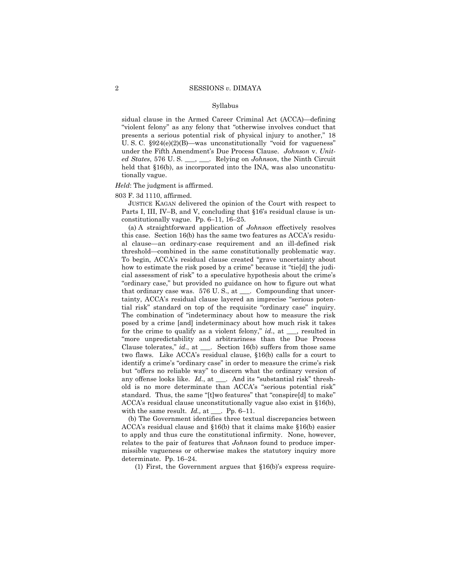under the Fifth Amendment's Due Process Clause. *Johnson* v. *Unit*sidual clause in the Armed Career Criminal Act (ACCA)—defining "violent felony" as any felony that "otherwise involves conduct that presents a serious potential risk of physical injury to another," 18 U. S. C. §924(e)(2)(B)—was unconstitutionally "void for vagueness" *ed States*, 576 U. S. \_\_\_, \_\_\_. Relying on *Johnson*, the Ninth Circuit held that  $$16(b)$ , as incorporated into the INA, was also unconstitutionally vague.

#### *Held*: The judgment is affirmed.

803 F. 3d 1110, affirmed.

JUSTICE KAGAN delivered the opinion of the Court with respect to Parts I, III, IV–B, and V, concluding that §16's residual clause is unconstitutionally vague. Pp. 6–11, 16–25.

 threshold—combined in the same constitutionally problematic way. (a) A straightforward application of *Johnson* effectively resolves this case. Section 16(b) has the same two features as ACCA's residual clause—an ordinary-case requirement and an ill-defined risk To begin, ACCA's residual clause created "grave uncertainty about how to estimate the risk posed by a crime" because it "tie[d] the judicial assessment of risk" to a speculative hypothesis about the crime's "ordinary case," but provided no guidance on how to figure out what that ordinary case was. 576 U. S., at \_\_\_. Compounding that uncertainty, ACCA's residual clause layered an imprecise "serious potential risk" standard on top of the requisite "ordinary case" inquiry. The combination of "indeterminacy about how to measure the risk posed by a crime [and] indeterminacy about how much risk it takes for the crime to qualify as a violent felony," *id.*, at \_\_\_, resulted in "more unpredictability and arbitrariness than the Due Process Clause tolerates," *id*., at \_\_\_. Section 16(b) suffers from those same two flaws. Like ACCA's residual clause, §16(b) calls for a court to identify a crime's "ordinary case" in order to measure the crime's risk but "offers no reliable way" to discern what the ordinary version of any offense looks like. *Id.*, at \_\_\_. And its "substantial risk" threshold is no more determinate than ACCA's "serious potential risk" standard. Thus, the same "[t]wo features" that "conspire[d] to make" ACCA's residual clause unconstitutionally vague also exist in §16(b), with the same result. *Id.*, at \_\_\_. Pp. 6–11.

(b) The Government identifies three textual discrepancies between ACCA's residual clause and §16(b) that it claims make §16(b) easier to apply and thus cure the constitutional infirmity. None, however, relates to the pair of features that *Johnson* found to produce impermissible vagueness or otherwise makes the statutory inquiry more determinate. Pp. 16–24.

(1) First, the Government argues that §16(b)'s express require-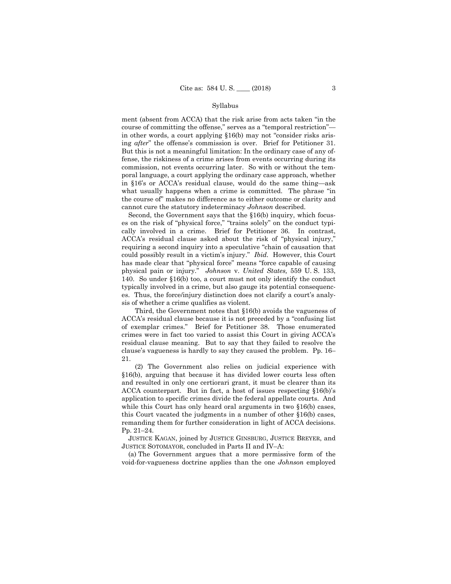ment (absent from ACCA) that the risk arise from acts taken "in the course of committing the offense," serves as a "temporal restriction" in other words, a court applying §16(b) may not "consider risks arising *after*" the offense's commission is over. Brief for Petitioner 31. But this is not a meaningful limitation: In the ordinary case of any offense, the riskiness of a crime arises from events occurring during its commission, not events occurring later. So with or without the temporal language, a court applying the ordinary case approach, whether in §16's or ACCA's residual clause, would do the same thing—ask what usually happens when a crime is committed. The phrase "in the course of" makes no difference as to either outcome or clarity and cannot cure the statutory indeterminacy *Johnson* described.

Second, the Government says that the §16(b) inquiry, which focuses on the risk of "physical force," "trains solely" on the conduct typically involved in a crime. Brief for Petitioner 36. In contrast, ACCA's residual clause asked about the risk of "physical injury," requiring a second inquiry into a speculative "chain of causation that could possibly result in a victim's injury." *Ibid.* However, this Court has made clear that "physical force" means "force capable of causing physical pain or injury." *Johnson* v. *United States,* 559 U. S. 133, 140. So under §16(b) too, a court must not only identify the conduct typically involved in a crime, but also gauge its potential consequences. Thus, the force/injury distinction does not clarify a court's analysis of whether a crime qualifies as violent.

Third, the Government notes that §16(b) avoids the vagueness of ACCA's residual clause because it is not preceded by a "confusing list of exemplar crimes." Brief for Petitioner 38. Those enumerated crimes were in fact too varied to assist this Court in giving ACCA's residual clause meaning. But to say that they failed to resolve the clause's vagueness is hardly to say they caused the problem. Pp. 16– 21.

(2) The Government also relies on judicial experience with §16(b), arguing that because it has divided lower courts less often and resulted in only one certiorari grant, it must be clearer than its ACCA counterpart. But in fact, a host of issues respecting §16(b)'s application to specific crimes divide the federal appellate courts. And while this Court has only heard oral arguments in two  $$16(b)$  cases, this Court vacated the judgments in a number of other §16(b) cases, remanding them for further consideration in light of ACCA decisions. Pp. 21–24.

JUSTICE KAGAN, joined by JUSTICE GINSBURG, JUSTICE BREYER, and JUSTICE SOTOMAYOR, concluded in Parts II and IV–A:

(a) The Government argues that a more permissive form of the void-for-vagueness doctrine applies than the one *Johnson* employed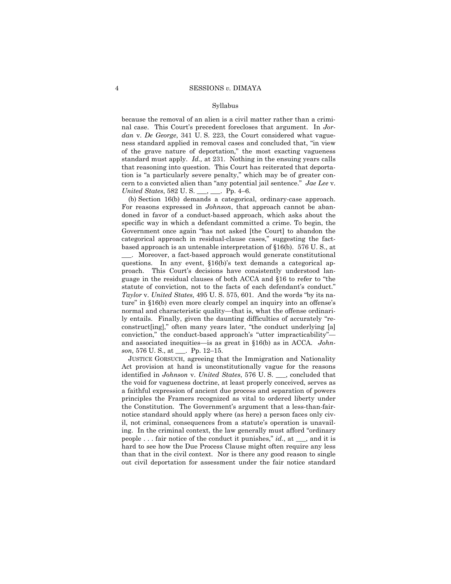standard must apply. *Id.,* at 231. Nothing in the ensuing years calls because the removal of an alien is a civil matter rather than a criminal case. This Court's precedent forecloses that argument. In *Jordan* v. *De George*, 341 U. S. 223, the Court considered what vagueness standard applied in removal cases and concluded that, "in view of the grave nature of deportation," the most exacting vagueness that reasoning into question. This Court has reiterated that deportation is "a particularly severe penalty," which may be of greater concern to a convicted alien than "any potential jail sentence." *Jae Lee* v. *United States*, 582 U. S. \_\_\_, \_\_\_. Pp. 4–6.

(b) Section 16(b) demands a categorical, ordinary-case approach. For reasons expressed in *Johnson*, that approach cannot be abandoned in favor of a conduct-based approach, which asks about the specific way in which a defendant committed a crime. To begin, the Government once again "has not asked [the Court] to abandon the categorical approach in residual-clause cases," suggesting the factbased approach is an untenable interpretation of §16(b). 576 U. S., at Moreover, a fact-based approach would generate constitutional questions. In any event, §16(b)'s text demands a categorical approach. This Court's decisions have consistently understood language in the residual clauses of both ACCA and §16 to refer to "the statute of conviction, not to the facts of each defendant's conduct." *Taylor* v. *United States,* 495 U. S. 575, 601. And the words "by its nature" in §16(b) even more clearly compel an inquiry into an offense's normal and characteristic quality—that is, what the offense ordinarily entails. Finally, given the daunting difficulties of accurately "reconstruct[ing]," often many years later, "the conduct underlying [a] conviction," the conduct-based approach's "utter impracticability"and associated inequities—is as great in §16(b) as in ACCA. *Johnson,* 576 U. S., at \_\_\_. Pp. 12–15.

JUSTICE GORSUCH, agreeing that the Immigration and Nationality Act provision at hand is unconstitutionally vague for the reasons identified in *Johnson* v. *United States*, 576 U. S. \_\_\_, concluded that the void for vagueness doctrine, at least properly conceived, serves as a faithful expression of ancient due process and separation of powers principles the Framers recognized as vital to ordered liberty under the Constitution. The Government's argument that a less-than-fairnotice standard should apply where (as here) a person faces only civil, not criminal, consequences from a statute's operation is unavailing. In the criminal context, the law generally must afford "ordinary people . . . fair notice of the conduct it punishes," *id.*, at \_\_\_, and it is hard to see how the Due Process Clause might often require any less than that in the civil context. Nor is there any good reason to single out civil deportation for assessment under the fair notice standard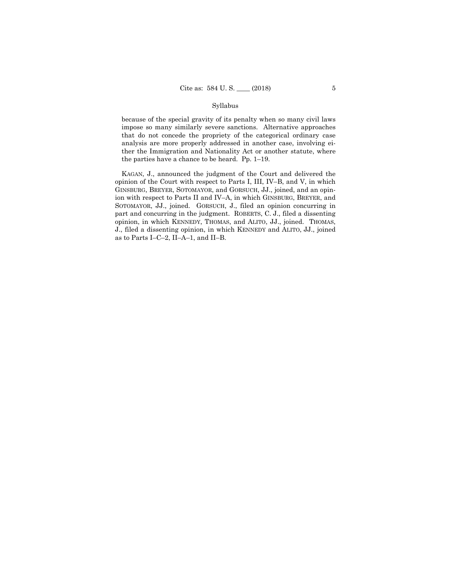because of the special gravity of its penalty when so many civil laws impose so many similarly severe sanctions. Alternative approaches that do not concede the propriety of the categorical ordinary case analysis are more properly addressed in another case, involving either the Immigration and Nationality Act or another statute, where the parties have a chance to be heard. Pp. 1–19.

KAGAN, J., announced the judgment of the Court and delivered the opinion of the Court with respect to Parts I, III, IV–B, and V, in which GINSBURG, BREYER, SOTOMAYOR, and GORSUCH, JJ., joined, and an opinion with respect to Parts II and IV–A, in which GINSBURG, BREYER, and SOTOMAYOR, JJ., joined. GORSUCH, J., filed an opinion concurring in part and concurring in the judgment. ROBERTS, C. J., filed a dissenting opinion, in which KENNEDY, THOMAS, and ALITO, JJ., joined. THOMAS, J., filed a dissenting opinion, in which KENNEDY and ALITO, JJ., joined as to Parts I–C–2, II–A–1, and II–B.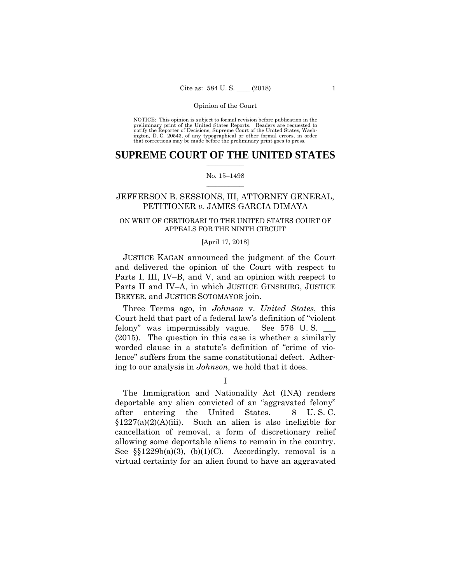preliminary print of the United States Reports. Readers are requested to notify the Reporter of Decisions, Supreme Court of the United States, Wash- ington, D. C. 20543, of any typographical or other formal errors, in order that corrections may be made before the preliminary print goes to press. NOTICE: This opinion is subject to formal revision before publication in the

## $\frac{1}{2}$  ,  $\frac{1}{2}$  ,  $\frac{1}{2}$  ,  $\frac{1}{2}$  ,  $\frac{1}{2}$  ,  $\frac{1}{2}$  ,  $\frac{1}{2}$ **SUPREME COURT OF THE UNITED STATES**

## $\frac{1}{2}$  ,  $\frac{1}{2}$  ,  $\frac{1}{2}$  ,  $\frac{1}{2}$  ,  $\frac{1}{2}$  ,  $\frac{1}{2}$ No. 15–1498

# JEFFERSON B. SESSIONS, III, ATTORNEY GENERAL, PETITIONER *v.* JAMES GARCIA DIMAYA

## ON WRIT OF CERTIORARI TO THE UNITED STATES COURT OF APPEALS FOR THE NINTH CIRCUIT

#### [April 17, 2018]

 JUSTICE KAGAN announced the judgment of the Court and delivered the opinion of the Court with respect to Parts I, III, IV–B, and V, and an opinion with respect to Parts II and IV–A, in which JUSTICE GINSBURG, JUSTICE BREYER, and JUSTICE SOTOMAYOR join.

Three Terms ago, in *Johnson* v. *United States*, this Court held that part of a federal law's definition of "violent felony" was impermissibly vague. See 576 U.S. (2015). The question in this case is whether a similarly worded clause in a statute's definition of "crime of violence" suffers from the same constitutional defect. Adhering to our analysis in *Johnson*, we hold that it does.

I

 allowing some deportable aliens to remain in the country. The Immigration and Nationality Act (INA) renders deportable any alien convicted of an "aggravated felony" after entering the United States. 8 U. S. C.  $§1227(a)(2)(A)(iii)$ . Such an alien is also ineligible for cancellation of removal, a form of discretionary relief See  $\S(1229b(a)(3), (b)(1)(C)$ . Accordingly, removal is a virtual certainty for an alien found to have an aggravated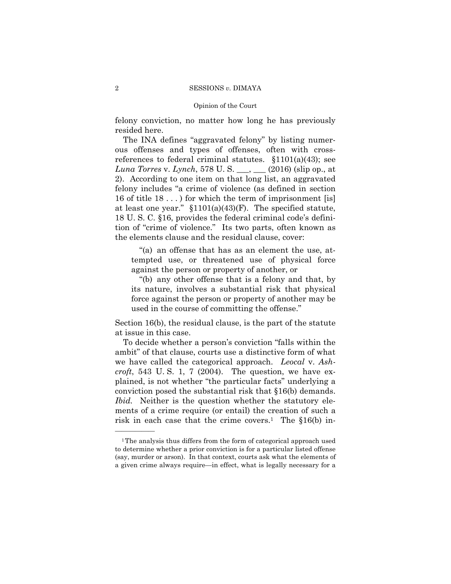### Opinion of the Court

felony conviction, no matter how long he has previously resided here.

The INA defines "aggravated felony" by listing numerous offenses and types of offenses, often with crossreferences to federal criminal statutes.  $$1101(a)(43)$ ; see *Luna Torres* v. *Lynch*, 578 U. S. \_\_\_, \_\_\_ (2016) (slip op., at 2). According to one item on that long list, an aggravated felony includes "a crime of violence (as defined in section 16 of title 18 . . . ) for which the term of imprisonment [is] at least one year." §1101(a)(43)(F). The specified statute, 18 U. S. C. §16, provides the federal criminal code's definition of "crime of violence." Its two parts, often known as the elements clause and the residual clause, cover:

"(a) an offense that has as an element the use, attempted use, or threatened use of physical force against the person or property of another, or

"(b) any other offense that is a felony and that, by its nature, involves a substantial risk that physical force against the person or property of another may be used in the course of committing the offense."

Section 16(b), the residual clause, is the part of the statute at issue in this case.

To decide whether a person's conviction "falls within the ambit" of that clause, courts use a distinctive form of what we have called the categorical approach. *Leocal* v. *Ashcroft*, 543 U.S. 1, 7 (2004). The question, we have explained, is not whether "the particular facts" underlying a conviction posed the substantial risk that §16(b) demands. *Ibid.* Neither is the question whether the statutory elements of a crime require (or entail) the creation of such a risk in each case that the crime covers.<sup>1</sup> The  $$16(b)$  in-

<sup>&</sup>lt;sup>1</sup>The analysis thus differs from the form of categorical approach used to determine whether a prior conviction is for a particular listed offense (say, murder or arson). In that context, courts ask what the elements of a given crime always require—in effect, what is legally necessary for a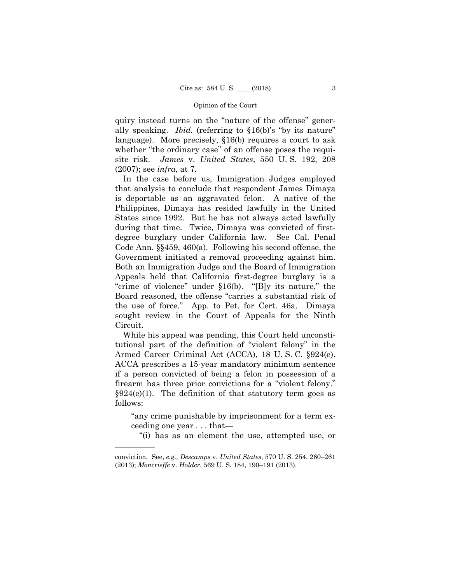language). More precisely, §16(b) requires a court to ask quiry instead turns on the "nature of the offense" generally speaking. *Ibid.* (referring to §16(b)'s "by its nature" whether "the ordinary case" of an offense poses the requisite risk. *James* v. *United States*, 550 U. S. 192, 208 (2007); see *infra*, at 7.

 Government initiated a removal proceeding against him. In the case before us, Immigration Judges employed that analysis to conclude that respondent James Dimaya is deportable as an aggravated felon. A native of the Philippines, Dimaya has resided lawfully in the United States since 1992. But he has not always acted lawfully during that time. Twice, Dimaya was convicted of firstdegree burglary under California law. See Cal. Penal Code Ann. §§459, 460(a). Following his second offense, the Both an Immigration Judge and the Board of Immigration Appeals held that California first-degree burglary is a "crime of violence" under §16(b). "[B]y its nature," the Board reasoned, the offense "carries a substantial risk of the use of force." App. to Pet. for Cert. 46a. Dimaya sought review in the Court of Appeals for the Ninth Circuit.

While his appeal was pending, this Court held unconstitutional part of the definition of "violent felony" in the Armed Career Criminal Act (ACCA), 18 U. S. C. §924(e). ACCA prescribes a 15-year mandatory minimum sentence if a person convicted of being a felon in possession of a firearm has three prior convictions for a "violent felony."  $\S 924(e)(1)$ . The definition of that statutory term goes as follows:

"any crime punishable by imprisonment for a term exceeding one year . . . that—

"(i) has as an element the use, attempted use, or

conviction. See, *e.g., Descamps* v. *United States*, 570 U. S. 254, 260–261 (2013); *Moncrieffe* v. *Holder*, 569 U. S. 184, 190–191 (2013).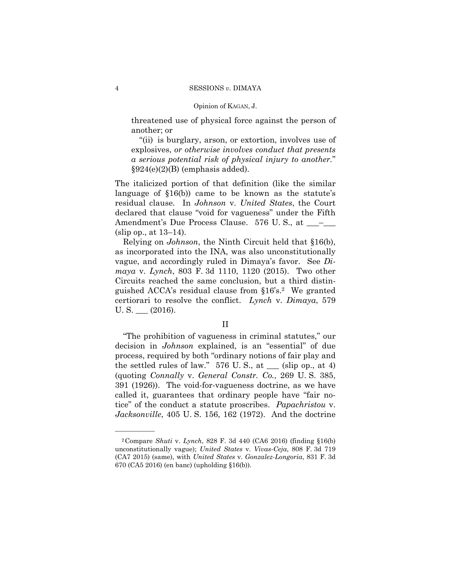threatened use of physical force against the person of another; or

"(ii) is burglary, arson, or extortion, involves use of explosives, *or otherwise involves conduct that presents a serious potential risk of physical injury to another.*" §924(e)(2)(B) (emphasis added).

The italicized portion of that definition (like the similar language of §16(b)) came to be known as the statute's residual clause. In *Johnson* v. *United States*, the Court declared that clause "void for vagueness" under the Fifth Amendment's Due Process Clause. 576 U.S., at \_\_\_\_ (slip op., at 13–14).

 Relying on *Johnson*, the Ninth Circuit held that §16(b), as incorporated into the INA, was also unconstitutionally vague, and accordingly ruled in Dimaya's favor. See *Dimaya* v. *Lynch*, 803 F. 3d 1110, 1120 (2015). Two other Circuits reached the same conclusion, but a third distinguished ACCA's residual clause from §16's.2 We granted certiorari to resolve the conflict. *Lynch* v. *Dimaya*, 579  $U.S.$  (2016).

# II

"The prohibition of vagueness in criminal statutes," our decision in *Johnson* explained, is an "essential" of due process, required by both "ordinary notions of fair play and the settled rules of law."  $576$  U. S., at  $\_\_\_$  (slip op., at 4) (quoting *Connally* v. *General Constr. Co.*, 269 U. S. 385, 391 (1926)). The void-for-vagueness doctrine, as we have called it, guarantees that ordinary people have "fair notice" of the conduct a statute proscribes. *Papachristou* v. *Jacksonville*, 405 U. S. 156, 162 (1972). And the doctrine

<sup>2</sup>Compare *Shuti* v. *Lynch*, 828 F. 3d 440 (CA6 2016) (finding §16(b) unconstitutionally vague); *United States* v. *Vivas-Ceja*, 808 F. 3d 719 (CA7 2015) (same), with *United States* v. *Gonzalez-Longoria*, 831 F. 3d 670 (CA5 2016) (en banc) (upholding §16(b)).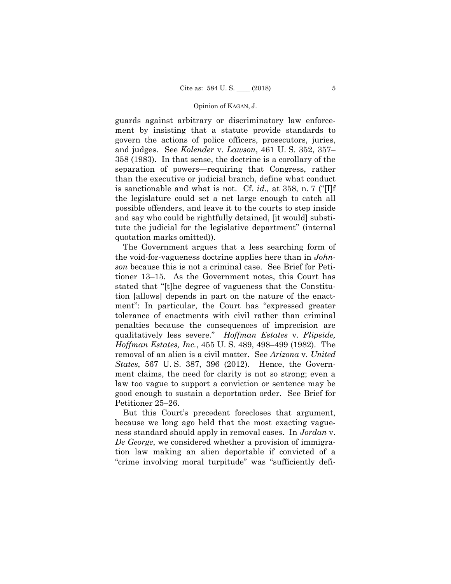guards against arbitrary or discriminatory law enforcement by insisting that a statute provide standards to govern the actions of police officers, prosecutors, juries, and judges. See *Kolender* v. *Lawson*, 461 U. S. 352, 357– 358 (1983). In that sense, the doctrine is a corollary of the separation of powers—requiring that Congress, rather than the executive or judicial branch, define what conduct is sanctionable and what is not. Cf. *id.,* at 358, n. 7 ("[I]f the legislature could set a net large enough to catch all possible offenders, and leave it to the courts to step inside and say who could be rightfully detained, [it would] substitute the judicial for the legislative department" (internal quotation marks omitted)).

The Government argues that a less searching form of the void-for-vagueness doctrine applies here than in *Johnson* because this is not a criminal case. See Brief for Petitioner 13–15. As the Government notes, this Court has stated that "[t]he degree of vagueness that the Constitution [allows] depends in part on the nature of the enactment": In particular, the Court has "expressed greater tolerance of enactments with civil rather than criminal penalties because the consequences of imprecision are qualitatively less severe." *Hoffman Estates* v. *Flipside, Hoffman Estates, Inc.*, 455 U. S. 489, 498–499 (1982). The removal of an alien is a civil matter. See *Arizona* v. *United States*, 567 U. S. 387, 396 (2012). Hence, the Government claims, the need for clarity is not so strong; even a law too vague to support a conviction or sentence may be good enough to sustain a deportation order. See Brief for Petitioner 25–26.

But this Court's precedent forecloses that argument, because we long ago held that the most exacting vagueness standard should apply in removal cases. In *Jordan* v. *De George*, we considered whether a provision of immigration law making an alien deportable if convicted of a "crime involving moral turpitude" was "sufficiently defi-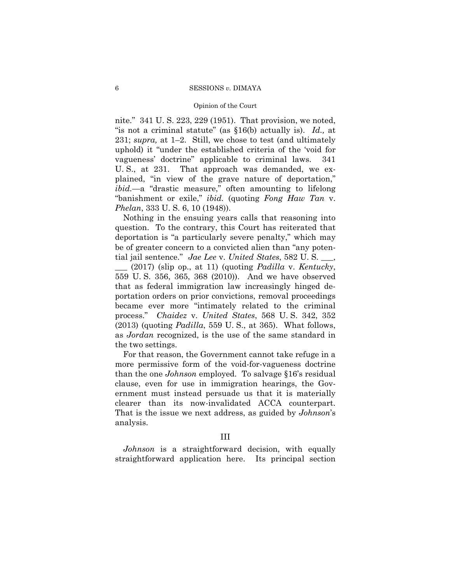### Opinion of the Court

U.S., at 231. nite." 341 U. S. 223, 229 (1951). That provision, we noted, "is not a criminal statute" (as §16(b) actually is). *Id.,* at 231; *supra,* at 1–2. Still, we chose to test (and ultimately uphold) it "under the established criteria of the 'void for vagueness' doctrine" applicable to criminal laws. 341 That approach was demanded, we explained, "in view of the grave nature of deportation," *ibid.*—a "drastic measure," often amounting to lifelong "banishment or exile," *ibid.* (quoting *Fong Haw Tan* v. *Phelan*, 333 U. S. 6, 10 (1948)).

Nothing in the ensuing years calls that reasoning into question. To the contrary, this Court has reiterated that deportation is "a particularly severe penalty," which may be of greater concern to a convicted alien than "any potential jail sentence." *Jae Lee* v. *United States*, 582 U. S. \_\_\_,

\_\_\_ (2017) (slip op., at 11) (quoting *Padilla* v. *Kentucky*, 559 U. S. 356, 365, 368 (2010)). And we have observed that as federal immigration law increasingly hinged deportation orders on prior convictions, removal proceedings became ever more "intimately related to the criminal process." *Chaidez* v. *United States*, 568 U. S. 342, 352 (2013) (quoting *Padilla*, 559 U. S., at 365). What follows, as *Jordan* recognized, is the use of the same standard in the two settings.

For that reason, the Government cannot take refuge in a more permissive form of the void-for-vagueness doctrine than the one *Johnson* employed. To salvage §16's residual clause, even for use in immigration hearings, the Government must instead persuade us that it is materially clearer than its now-invalidated ACCA counterpart. That is the issue we next address, as guided by *Johnson*'s analysis.

## III

*Johnson* is a straightforward decision, with equally straightforward application here. Its principal section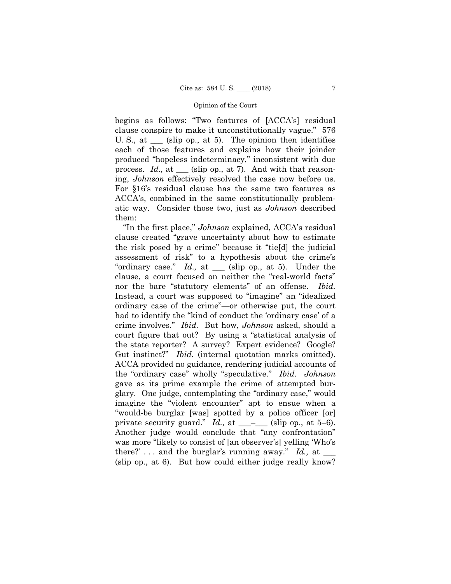begins as follows: "Two features of [ACCA's] residual clause conspire to make it unconstitutionally vague." 576 U. S., at \_\_\_ (slip op., at 5). The opinion then identifies each of those features and explains how their joinder produced "hopeless indeterminacy," inconsistent with due process. *Id.,* at \_\_\_ (slip op., at 7). And with that reasoning, *Johnson* effectively resolved the case now before us. For §16's residual clause has the same two features as ACCA's, combined in the same constitutionally problematic way. Consider those two, just as *Johnson* described them:

there?'... and the burglar's running away."  $Id_{\mathcal{A}}$ , at  $\Box$ "In the first place," *Johnson* explained, ACCA's residual clause created "grave uncertainty about how to estimate the risk posed by a crime" because it "tie[d] the judicial assessment of risk" to a hypothesis about the crime's "ordinary case." *Id.,* at \_\_\_ (slip op., at 5). Under the clause, a court focused on neither the "real-world facts" nor the bare "statutory elements" of an offense. *Ibid.*  Instead, a court was supposed to "imagine" an "idealized ordinary case of the crime"—or otherwise put, the court had to identify the "kind of conduct the 'ordinary case' of a crime involves." *Ibid.* But how, *Johnson* asked, should a court figure that out? By using a "statistical analysis of the state reporter? A survey? Expert evidence? Google? Gut instinct?" *Ibid.* (internal quotation marks omitted). ACCA provided no guidance, rendering judicial accounts of the "ordinary case" wholly "speculative." *Ibid. Johnson*  gave as its prime example the crime of attempted burglary. One judge, contemplating the "ordinary case," would imagine the "violent encounter" apt to ensue when a "would-be burglar [was] spotted by a police officer [or] private security guard." *Id.*, at  $\_\_\_\_\_\_$  (slip op., at 5–6). Another judge would conclude that "any confrontation" was more "likely to consist of [an observer's] yelling 'Who's (slip op., at 6). But how could either judge really know?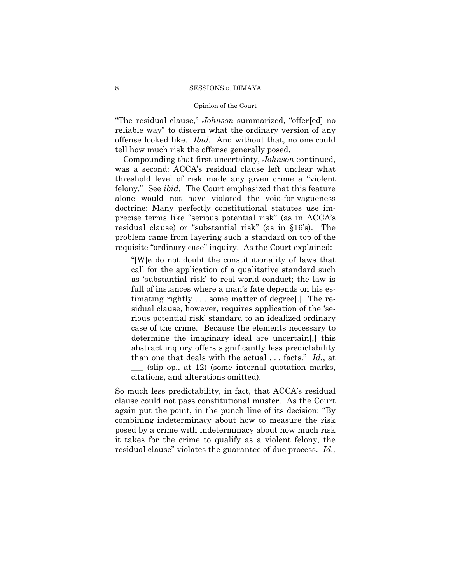## Opinion of the Court

"The residual clause," *Johnson* summarized, "offer[ed] no reliable way" to discern what the ordinary version of any offense looked like. *Ibid.* And without that, no one could tell how much risk the offense generally posed.

Compounding that first uncertainty, *Johnson* continued, was a second: ACCA's residual clause left unclear what threshold level of risk made any given crime a "violent felony." See *ibid.* The Court emphasized that this feature alone would not have violated the void-for-vagueness doctrine: Many perfectly constitutional statutes use imprecise terms like "serious potential risk" (as in ACCA's residual clause) or "substantial risk" (as in §16's). The problem came from layering such a standard on top of the requisite "ordinary case" inquiry. As the Court explained:

"[W]e do not doubt the constitutionality of laws that call for the application of a qualitative standard such as 'substantial risk' to real-world conduct; the law is full of instances where a man's fate depends on his estimating rightly . . . some matter of degree[.] The residual clause, however, requires application of the 'serious potential risk' standard to an idealized ordinary case of the crime. Because the elements necessary to determine the imaginary ideal are uncertain[,] this abstract inquiry offers significantly less predictability than one that deals with the actual . . . facts." *Id.*, at  $\infty$  (slip op., at 12) (some internal quotation marks, citations, and alterations omitted).

So much less predictability, in fact, that ACCA's residual clause could not pass constitutional muster. As the Court again put the point, in the punch line of its decision: "By combining indeterminacy about how to measure the risk posed by a crime with indeterminacy about how much risk it takes for the crime to qualify as a violent felony, the residual clause" violates the guarantee of due process. *Id.,*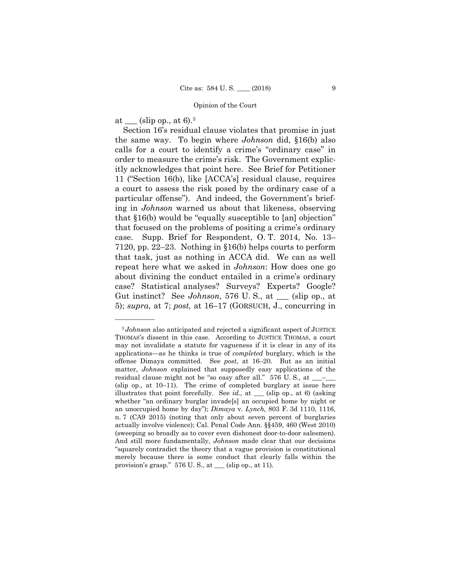at  $\_\_\$  (slip op., at 6).<sup>3</sup>

——————

Section 16's residual clause violates that promise in just the same way. To begin where *Johnson* did, §16(b) also calls for a court to identify a crime's "ordinary case" in order to measure the crime's risk. The Government explicitly acknowledges that point here. See Brief for Petitioner 11 ("Section 16(b), like [ACCA's] residual clause, requires a court to assess the risk posed by the ordinary case of a particular offense"). And indeed, the Government's briefing in *Johnson* warned us about that likeness, observing that §16(b) would be "equally susceptible to [an] objection" that focused on the problems of positing a crime's ordinary case. Supp. Brief for Respondent, O. T. 2014, No. 13– 7120, pp. 22–23. Nothing in §16(b) helps courts to perform that task, just as nothing in ACCA did. We can as well repeat here what we asked in *Johnson*: How does one go about divining the conduct entailed in a crime's ordinary case? Statistical analyses? Surveys? Experts? Google? Gut instinct? See *Johnson*, 576 U. S., at \_\_\_ (slip op., at 5); *supra,* at 7; *post,* at 16–17 (GORSUCH, J., concurring in

<sup>3</sup>*Johnson* also anticipated and rejected a significant aspect of JUSTICE THOMAS's dissent in this case. According to JUSTICE THOMAS, a court may not invalidate a statute for vagueness if it is clear in any of its applications—as he thinks is true of *completed* burglary, which is the offense Dimaya committed. See *post,* at 16–20. But as an initial matter, *Johnson* explained that supposedly easy applications of the residual clause might not be "so easy after all."  $576$  U.S., at  $\_\_$ (slip op., at 10–11). The crime of completed burglary at issue here illustrates that point forcefully. See *id.,* at \_\_\_ (slip op., at 6) (asking whether "an ordinary burglar invade[s] an occupied home by night or an unoccupied home by day"); *Dimaya* v. *Lynch,* 803 F. 3d 1110, 1116, n. 7 (CA9 2015) (noting that only about seven percent of burglaries actually involve violence); Cal. Penal Code Ann. §§459, 460 (West 2010) (sweeping so broadly as to cover even dishonest door-to-door salesmen). And still more fundamentally, *Johnson* made clear that our decisions "squarely contradict the theory that a vague provision is constitutional merely because there is some conduct that clearly falls within the provision's grasp."  $576$  U. S., at \_\_\_ (slip op., at 11).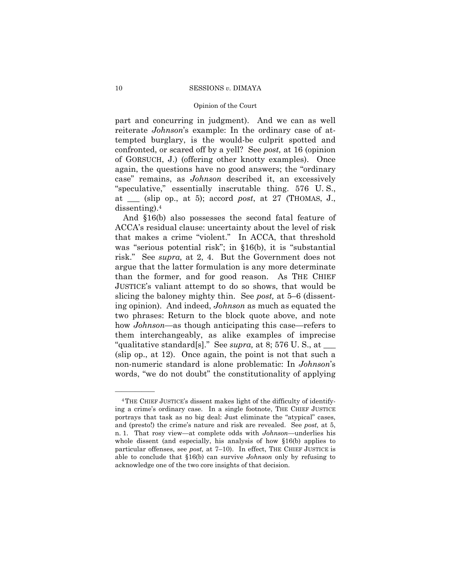## Opinion of the Court

 "speculative," essentially inscrutable thing. 576 U. S., part and concurring in judgment). And we can as well reiterate *Johnson*'s example: In the ordinary case of attempted burglary, is the would-be culprit spotted and confronted, or scared off by a yell? See *post,* at 16 (opinion of GORSUCH, J.) (offering other knotty examples). Once again, the questions have no good answers; the "ordinary case" remains, as *Johnson* described it, an excessively at \_\_\_ (slip op., at 5); accord *post*, at 27 (THOMAS, J., dissenting).4

And §16(b) also possesses the second fatal feature of ACCA's residual clause: uncertainty about the level of risk that makes a crime "violent." In ACCA, that threshold was "serious potential risk"; in §16(b), it is "substantial risk." See *supra,* at 2, 4. But the Government does not argue that the latter formulation is any more determinate than the former, and for good reason. As THE CHIEF JUSTICE's valiant attempt to do so shows, that would be slicing the baloney mighty thin. See *post,* at 5–6 (dissenting opinion). And indeed, *Johnson* as much as equated the two phrases: Return to the block quote above, and note how *Johnson*—as though anticipating this case—refers to them interchangeably, as alike examples of imprecise "qualitative standard[s]." See *supra,* at 8; 576 U. S., at \_\_\_ (slip op., at 12). Once again, the point is not that such a non-numeric standard is alone problematic: In *Johnson*'s words, "we do not doubt" the constitutionality of applying

 ing a crime's ordinary case. In a single footnote, THE CHIEF JUSTICE 4 THE CHIEF JUSTICE's dissent makes light of the difficulty of identifyportrays that task as no big deal: Just eliminate the "atypical" cases, and (presto!) the crime's nature and risk are revealed. See *post,* at 5, n. 1. That rosy view—at complete odds with *Johnson*—underlies his whole dissent (and especially, his analysis of how §16(b) applies to particular offenses, see *post,* at 7–10). In effect, THE CHIEF JUSTICE is able to conclude that §16(b) can survive *Johnson* only by refusing to acknowledge one of the two core insights of that decision.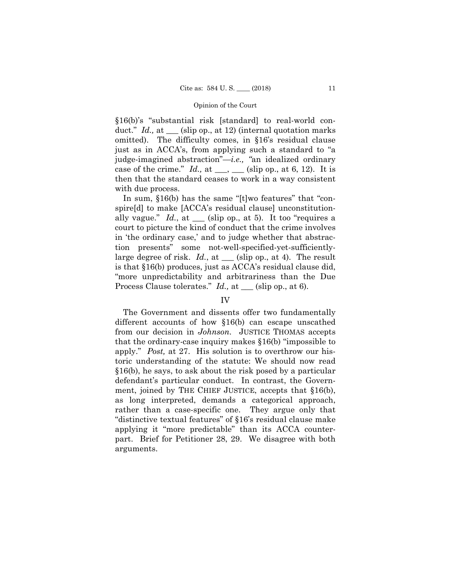§16(b)'s "substantial risk [standard] to real-world conduct." *Id.,* at \_\_\_ (slip op., at 12) (internal quotation marks omitted). The difficulty comes, in §16's residual clause just as in ACCA's, from applying such a standard to "a judge-imagined abstraction"—*i.e., "*an idealized ordinary case of the crime."  $Id.$ , at  $\underline{\hspace{1cm}}$ ,  $\underline{\hspace{1cm}}$  (slip op., at 6, 12). It is then that the standard ceases to work in a way consistent with due process.

ally vague." *Id.*, at \_\_\_ (slip op., at 5). It too "requires a In sum, §16(b) has the same "[t]wo features" that "conspire[d] to make [ACCA's residual clause] unconstitutioncourt to picture the kind of conduct that the crime involves in 'the ordinary case,' and to judge whether that abstraction presents" some not-well-specified-yet-sufficientlylarge degree of risk. *Id.*, at <u>set (slip</u> op., at 4). The result is that §16(b) produces, just as ACCA's residual clause did, "more unpredictability and arbitrariness than the Due Process Clause tolerates." *Id.*, at <u>section</u> (slip op., at 6).

## IV

The Government and dissents offer two fundamentally different accounts of how §16(b) can escape unscathed from our decision in *Johnson*. JUSTICE THOMAS accepts that the ordinary-case inquiry makes §16(b) "impossible to apply." *Post,* at 27. His solution is to overthrow our historic understanding of the statute: We should now read §16(b), he says, to ask about the risk posed by a particular defendant's particular conduct. In contrast, the Government, joined by THE CHIEF JUSTICE, accepts that §16(b), as long interpreted, demands a categorical approach, rather than a case-specific one. They argue only that "distinctive textual features" of §16's residual clause make applying it "more predictable" than its ACCA counterpart. Brief for Petitioner 28, 29. We disagree with both arguments.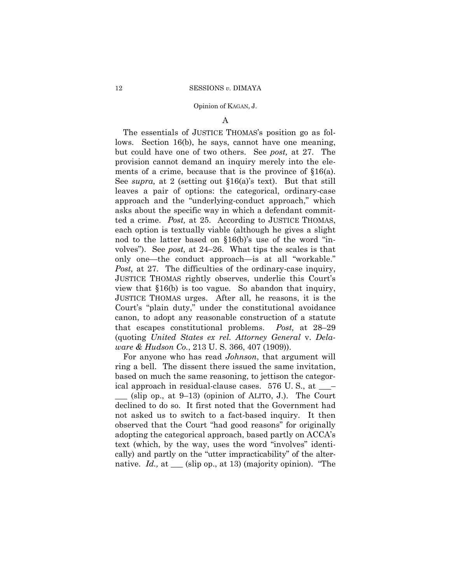A

 (quoting *United States ex rel. Attorney General* v. *Dela-*The essentials of JUSTICE THOMAS's position go as follows. Section 16(b), he says, cannot have one meaning, but could have one of two others. See *post,* at 27. The provision cannot demand an inquiry merely into the elements of a crime, because that is the province of §16(a). See *supra,* at 2 (setting out §16(a)'s text). But that still leaves a pair of options: the categorical, ordinary-case approach and the "underlying-conduct approach," which asks about the specific way in which a defendant committed a crime. *Post,* at 25. According to JUSTICE THOMAS, each option is textually viable (although he gives a slight nod to the latter based on §16(b)'s use of the word "involves"). See *post,* at 24–26. What tips the scales is that only one—the conduct approach—is at all "workable." *Post,* at 27. The difficulties of the ordinary-case inquiry, JUSTICE THOMAS rightly observes, underlie this Court's view that §16(b) is too vague. So abandon that inquiry, JUSTICE THOMAS urges. After all, he reasons, it is the Court's "plain duty," under the constitutional avoidance canon, to adopt any reasonable construction of a statute that escapes constitutional problems. *Post,* at 28–29 *ware & Hudson Co.*, 213 U. S. 366, 407 (1909)).

For anyone who has read *Johnson*, that argument will ring a bell. The dissent there issued the same invitation, based on much the same reasoning, to jettison the categorical approach in residual-clause cases.  $576$  U.S., at  $\qquad _{\rm c}$  (slip op., at 9–13) (opinion of ALITO, J.). The Court declined to do so. It first noted that the Government had not asked us to switch to a fact-based inquiry. It then observed that the Court "had good reasons" for originally adopting the categorical approach, based partly on ACCA's text (which, by the way, uses the word "involves" identically) and partly on the "utter impracticability" of the alternative. *Id.*, at \_\_\_ (slip op., at 13) (majority opinion). "The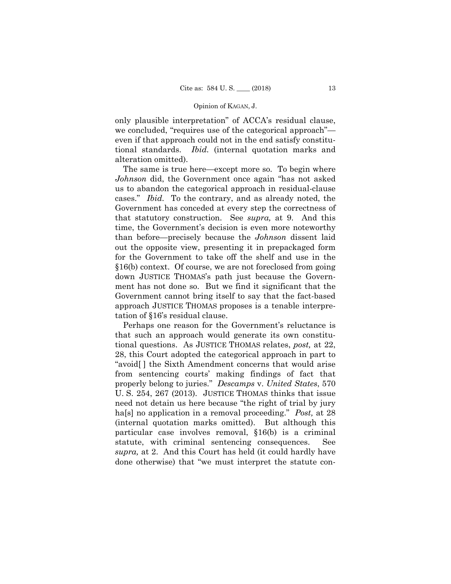only plausible interpretation" of ACCA's residual clause, we concluded, "requires use of the categorical approach" even if that approach could not in the end satisfy constitutional standards. *Ibid.* (internal quotation marks and alteration omitted).

The same is true here—except more so. To begin where *Johnson* did, the Government once again "has not asked us to abandon the categorical approach in residual-clause cases." *Ibid.* To the contrary, and as already noted, the Government has conceded at every step the correctness of that statutory construction. See *supra,* at 9. And this time, the Government's decision is even more noteworthy than before—precisely because the *Johnson* dissent laid out the opposite view, presenting it in prepackaged form for the Government to take off the shelf and use in the §16(b) context. Of course, we are not foreclosed from going down JUSTICE THOMAS's path just because the Government has not done so. But we find it significant that the Government cannot bring itself to say that the fact-based approach JUSTICE THOMAS proposes is a tenable interpretation of §16's residual clause.

Perhaps one reason for the Government's reluctance is that such an approach would generate its own constitutional questions. As JUSTICE THOMAS relates, *post,* at 22, 28, this Court adopted the categorical approach in part to "avoid[ ] the Sixth Amendment concerns that would arise from sentencing courts' making findings of fact that properly belong to juries." *Descamps* v. *United States*, 570 U. S. 254, 267 (2013). JUSTICE THOMAS thinks that issue need not detain us here because "the right of trial by jury ha[s] no application in a removal proceeding." *Post,* at 28 (internal quotation marks omitted). But although this particular case involves removal, §16(b) is a criminal statute, with criminal sentencing consequences. See *supra,* at 2. And this Court has held (it could hardly have done otherwise) that "we must interpret the statute con-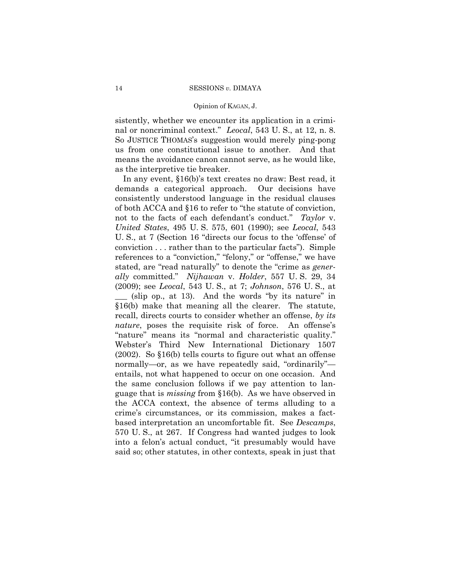sistently, whether we encounter its application in a criminal or noncriminal context." *Leocal*, 543 U. S., at 12, n. 8. So JUSTICE THOMAS's suggestion would merely ping-pong us from one constitutional issue to another. And that means the avoidance canon cannot serve, as he would like, as the interpretive tie breaker.

In any event, §16(b)'s text creates no draw: Best read, it demands a categorical approach. Our decisions have consistently understood language in the residual clauses of both ACCA and §16 to refer to "the statute of conviction, not to the facts of each defendant's conduct." *Taylor* v. *United States*, 495 U. S. 575, 601 (1990); see *Leocal*, 543 U. S., at 7 (Section 16 "directs our focus to the 'offense' of conviction . . . rather than to the particular facts"). Simple references to a "conviction," "felony," or "offense," we have stated, are "read naturally" to denote the "crime as *generally* committed." *Nijhawan* v. *Holder*, 557 U. S. 29, 34 (2009); see *Leocal*, 543 U. S., at 7; *Johnson*, 576 U. S., at \_\_\_ (slip op., at 13). And the words "by its nature" in §16(b) make that meaning all the clearer. The statute, recall, directs courts to consider whether an offense, *by its nature*, poses the requisite risk of force. An offense's "nature" means its "normal and characteristic quality." Webster's Third New International Dictionary 1507 (2002). So §16(b) tells courts to figure out what an offense normally—or, as we have repeatedly said, "ordinarily" entails, not what happened to occur on one occasion. And the same conclusion follows if we pay attention to language that is *missing* from §16(b). As we have observed in the ACCA context, the absence of terms alluding to a crime's circumstances, or its commission, makes a factbased interpretation an uncomfortable fit. See *Descamps*, 570 U. S., at 267. If Congress had wanted judges to look into a felon's actual conduct, "it presumably would have said so; other statutes, in other contexts, speak in just that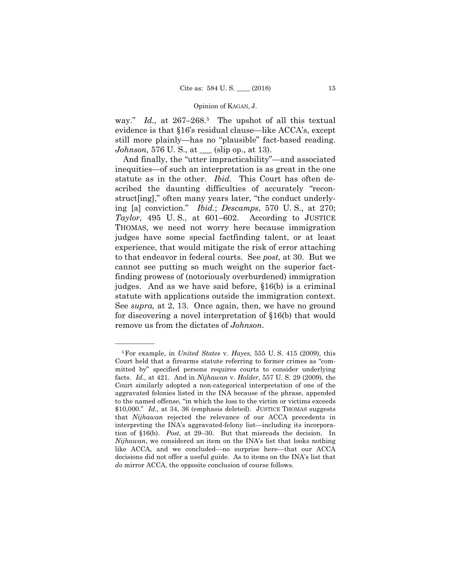way." *Id.*, at 267–268.<sup>5</sup> The upshot of all this textual evidence is that §16's residual clause—like ACCA's, except still more plainly—has no "plausible" fact-based reading. *Johnson,* 576 U. S., at \_\_\_ (slip op., at 13).

And finally, the "utter impracticability"—and associated inequities—of such an interpretation is as great in the one statute as in the other. *Ibid.* This Court has often described the daunting difficulties of accurately "reconstruct[ing]," often many years later, "the conduct underlying [a] conviction." *Ibid.*; *Descamps*, 570 U. S., at 270; *Taylor*, 495 U. S., at 601–602. According to JUSTICE THOMAS, we need not worry here because immigration judges have some special factfinding talent, or at least experience, that would mitigate the risk of error attaching to that endeavor in federal courts. See *post,* at 30. But we cannot see putting so much weight on the superior factfinding prowess of (notoriously overburdened) immigration judges. And as we have said before, §16(b) is a criminal statute with applications outside the immigration context. See *supra,* at 2, 13. Once again, then, we have no ground for discovering a novel interpretation of §16(b) that would remove us from the dictates of *Johnson*.

<sup>\$10,000.&</sup>quot; *Id.*, at 34, 36 (emphasis deleted). JUSTICE THOMAS suggests tion of §16(b). *Post,* at 29–30. But that misreads the decision. In 5For example, in *United States* v. *Hayes*, 555 U. S. 415 (2009), this Court held that a firearms statute referring to former crimes as "committed by" specified persons requires courts to consider underlying facts. *Id.,* at 421. And in *Nijhawan* v. *Holder*, 557 U. S. 29 (2009), the Court similarly adopted a non-categorical interpretation of one of the aggravated felonies listed in the INA because of the phrase, appended to the named offense, "in which the loss to the victim or victims exceeds that *Nijhawan* rejected the relevance of our ACCA precedents in interpreting the INA's aggravated-felony list—including its incorpora-*Nijhawan*, we considered an item on the INA's list that looks nothing like ACCA, and we concluded—no surprise here—that our ACCA decisions did not offer a useful guide. As to items on the INA's list that *do* mirror ACCA, the opposite conclusion of course follows.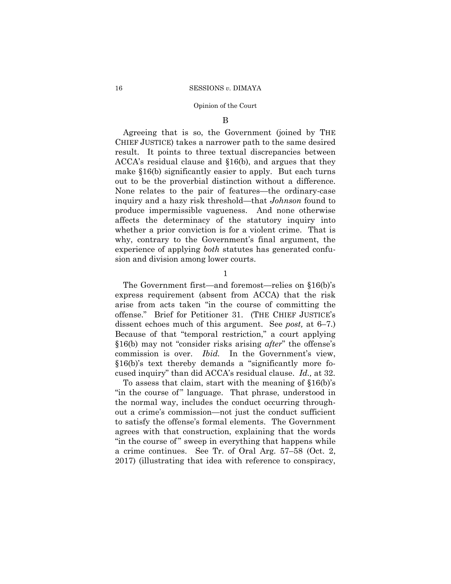### Opinion of the Court

B

Agreeing that is so, the Government (joined by THE CHIEF JUSTICE) takes a narrower path to the same desired result. It points to three textual discrepancies between ACCA's residual clause and §16(b), and argues that they make §16(b) significantly easier to apply. But each turns out to be the proverbial distinction without a difference. None relates to the pair of features—the ordinary-case inquiry and a hazy risk threshold—that *Johnson* found to produce impermissible vagueness. And none otherwise affects the determinacy of the statutory inquiry into whether a prior conviction is for a violent crime. That is why, contrary to the Government's final argument, the experience of applying *both* statutes has generated confusion and division among lower courts.

1

The Government first—and foremost—relies on §16(b)'s express requirement (absent from ACCA) that the risk arise from acts taken "in the course of committing the offense." Brief for Petitioner 31. (THE CHIEF JUSTICE's dissent echoes much of this argument. See *post,* at 6–7.) Because of that "temporal restriction," a court applying §16(b) may not "consider risks arising *after*" the offense's commission is over. *Ibid.* In the Government's view, §16(b)'s text thereby demands a "significantly more focused inquiry" than did ACCA's residual clause. *Id.,* at 32.

To assess that claim, start with the meaning of §16(b)'s "in the course of" language. That phrase, understood in the normal way, includes the conduct occurring throughout a crime's commission—not just the conduct sufficient to satisfy the offense's formal elements. The Government agrees with that construction, explaining that the words "in the course of" sweep in everything that happens while a crime continues. See Tr. of Oral Arg. 57–58 (Oct. 2, 2017) (illustrating that idea with reference to conspiracy,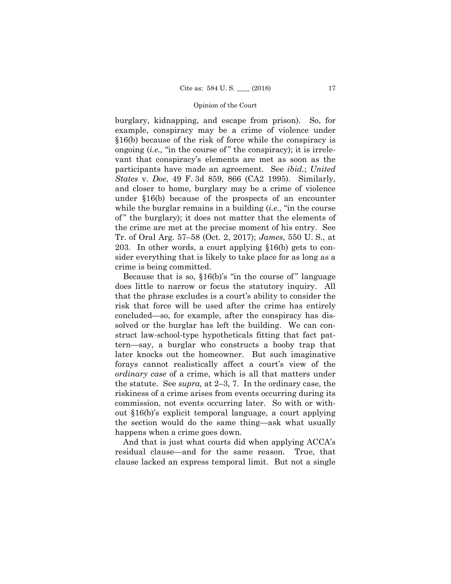burglary, kidnapping, and escape from prison). So, for example, conspiracy may be a crime of violence under §16(b) because of the risk of force while the conspiracy is ongoing (*i.e.,* "in the course of " the conspiracy); it is irrelevant that conspiracy's elements are met as soon as the participants have made an agreement. See *ibid.*; *United States* v. *Doe*, 49 F. 3d 859, 866 (CA2 1995). Similarly, and closer to home, burglary may be a crime of violence under §16(b) because of the prospects of an encounter while the burglar remains in a building (*i.e.,* "in the course of " the burglary); it does not matter that the elements of the crime are met at the precise moment of his entry. See Tr. of Oral Arg. 57–58 (Oct. 2, 2017); *James*, 550 U. S., at 203. In other words, a court applying §16(b) gets to consider everything that is likely to take place for as long as a crime is being committed.

Because that is so,  $$16(b)$ 's "in the course of" language does little to narrow or focus the statutory inquiry. All that the phrase excludes is a court's ability to consider the risk that force will be used after the crime has entirely concluded—so, for example, after the conspiracy has dissolved or the burglar has left the building. We can construct law-school-type hypotheticals fitting that fact pattern—say, a burglar who constructs a booby trap that later knocks out the homeowner. But such imaginative forays cannot realistically affect a court's view of the *ordinary case* of a crime, which is all that matters under the statute. See *supra,* at 2–3, 7. In the ordinary case, the riskiness of a crime arises from events occurring during its commission, not events occurring later. So with or without §16(b)'s explicit temporal language, a court applying the section would do the same thing—ask what usually happens when a crime goes down.

And that is just what courts did when applying ACCA's residual clause—and for the same reason. True, that clause lacked an express temporal limit. But not a single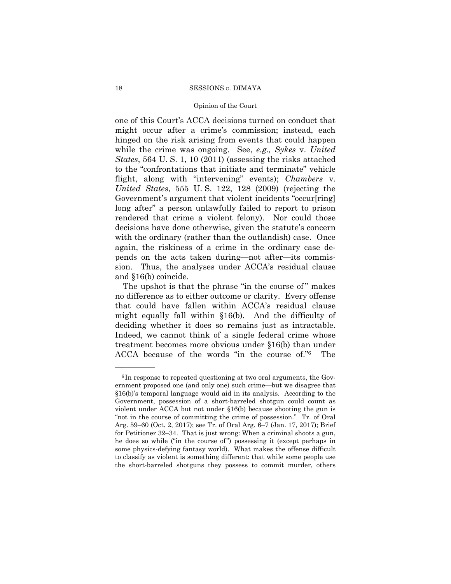### Opinion of the Court

one of this Court's ACCA decisions turned on conduct that might occur after a crime's commission; instead, each hinged on the risk arising from events that could happen while the crime was ongoing. See, *e.g., Sykes* v. *United States*, 564 U. S. 1, 10 (2011) (assessing the risks attached to the "confrontations that initiate and terminate" vehicle flight, along with "intervening" events); *Chambers* v. *United States*, 555 U. S. 122, 128 (2009) (rejecting the Government's argument that violent incidents "occur[ring] long after" a person unlawfully failed to report to prison rendered that crime a violent felony). Nor could those decisions have done otherwise, given the statute's concern with the ordinary (rather than the outlandish) case. Once again, the riskiness of a crime in the ordinary case depends on the acts taken during—not after—its commission. Thus, the analyses under ACCA's residual clause and §16(b) coincide.

The upshot is that the phrase "in the course of" makes no difference as to either outcome or clarity. Every offense that could have fallen within ACCA's residual clause might equally fall within §16(b). And the difficulty of deciding whether it does so remains just as intractable. Indeed, we cannot think of a single federal crime whose treatment becomes more obvious under §16(b) than under ACCA because of the words "in the course of."6 The

<sup>6</sup> In response to repeated questioning at two oral arguments, the Government proposed one (and only one) such crime—but we disagree that §16(b)'s temporal language would aid in its analysis. According to the Government, possession of a short-barreled shotgun could count as violent under ACCA but not under §16(b) because shooting the gun is "not in the course of committing the crime of possession." Tr. of Oral Arg. 59–60 (Oct. 2, 2017); see Tr. of Oral Arg. 6–7 (Jan. 17, 2017); Brief for Petitioner 32–34. That is just wrong: When a criminal shoots a gun, he does so while ("in the course of") possessing it (except perhaps in some physics-defying fantasy world). What makes the offense difficult to classify as violent is something different: that while some people use the short-barreled shotguns they possess to commit murder, others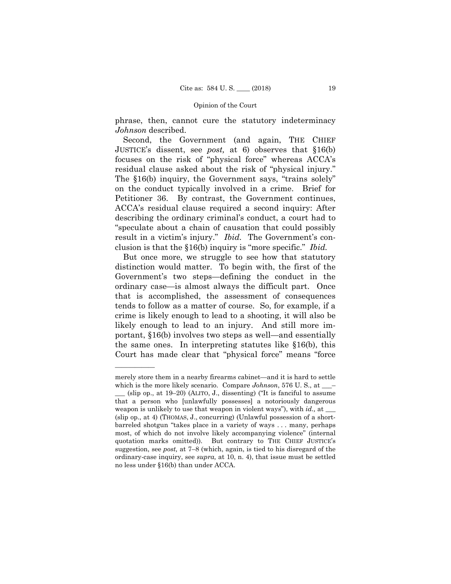phrase, then, cannot cure the statutory indeterminacy *Johnson* described.

Second, the Government (and again, THE CHIEF JUSTICE's dissent, see *post,* at 6) observes that §16(b) focuses on the risk of "physical force" whereas ACCA's residual clause asked about the risk of "physical injury." The §16(b) inquiry, the Government says, "trains solely" on the conduct typically involved in a crime. Brief for Petitioner 36. By contrast, the Government continues, ACCA's residual clause required a second inquiry: After describing the ordinary criminal's conduct, a court had to "speculate about a chain of causation that could possibly result in a victim's injury." *Ibid.* The Government's conclusion is that the §16(b) inquiry is "more specific." *Ibid.* 

But once more, we struggle to see how that statutory distinction would matter. To begin with, the first of the Government's two steps—defining the conduct in the ordinary case—is almost always the difficult part. Once that is accomplished, the assessment of consequences tends to follow as a matter of course. So, for example, if a crime is likely enough to lead to a shooting, it will also be likely enough to lead to an injury. And still more important, §16(b) involves two steps as well—and essentially the same ones. In interpreting statutes like §16(b), this Court has made clear that "physical force" means "force

merely store them in a nearby firearms cabinet—and it is hard to settle which is the more likely scenario. Compare *Johnson*, 576 U.S., at  $\qquad$ 

 (slip op., at 4) (THOMAS, J., concurring) (Unlawful possession of a short- $\equiv$  (slip op., at 19–20) (ALITO, J., dissenting) ("It is fanciful to assume that a person who [unlawfully possesses] a notoriously dangerous weapon is unlikely to use that weapon in violent ways"), with *id.,* at \_\_\_ barreled shotgun "takes place in a variety of ways . . . many, perhaps most, of which do not involve likely accompanying violence" (internal quotation marks omitted)). But contrary to THE CHIEF JUSTICE's suggestion, see *post,* at 7–8 (which, again, is tied to his disregard of the ordinary-case inquiry, see *supra,* at 10, n. 4), that issue must be settled no less under §16(b) than under ACCA.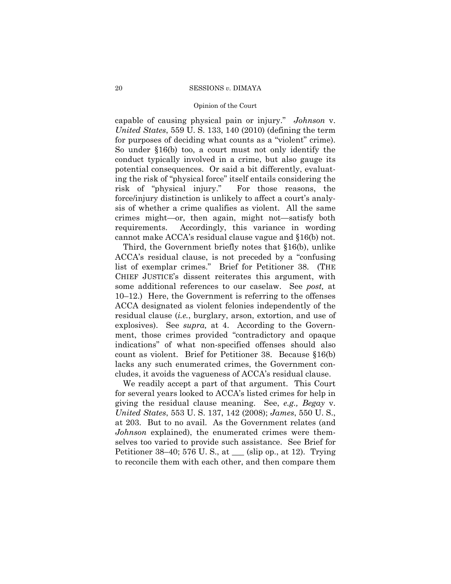### Opinion of the Court

 potential consequences. Or said a bit differently, evaluatcapable of causing physical pain or injury." *Johnson* v. *United States*, 559 U. S. 133, 140 (2010) (defining the term for purposes of deciding what counts as a "violent" crime). So under §16(b) too, a court must not only identify the conduct typically involved in a crime, but also gauge its ing the risk of "physical force" itself entails considering the risk of "physical injury." For those reasons, the force/injury distinction is unlikely to affect a court's analysis of whether a crime qualifies as violent. All the same crimes might—or, then again, might not—satisfy both requirements. Accordingly, this variance in wording cannot make ACCA's residual clause vague and §16(b) not.

Third, the Government briefly notes that §16(b), unlike ACCA's residual clause, is not preceded by a "confusing list of exemplar crimes." Brief for Petitioner 38. (THE CHIEF JUSTICE's dissent reiterates this argument, with some additional references to our caselaw. See *post,* at 10–12.) Here, the Government is referring to the offenses ACCA designated as violent felonies independently of the residual clause (*i.e.*, burglary, arson, extortion, and use of explosives). See *supra,* at 4. According to the Government, those crimes provided "contradictory and opaque indications" of what non-specified offenses should also count as violent. Brief for Petitioner 38. Because §16(b) lacks any such enumerated crimes, the Government concludes, it avoids the vagueness of ACCA's residual clause.

We readily accept a part of that argument. This Court for several years looked to ACCA's listed crimes for help in giving the residual clause meaning. See, *e.g., Begay* v. *United States*, 553 U. S. 137, 142 (2008); *James*, 550 U. S., at 203. But to no avail. As the Government relates (and *Johnson* explained), the enumerated crimes were themselves too varied to provide such assistance. See Brief for Petitioner 38–40; 576 U. S., at \_\_\_ (slip op., at 12). Trying to reconcile them with each other, and then compare them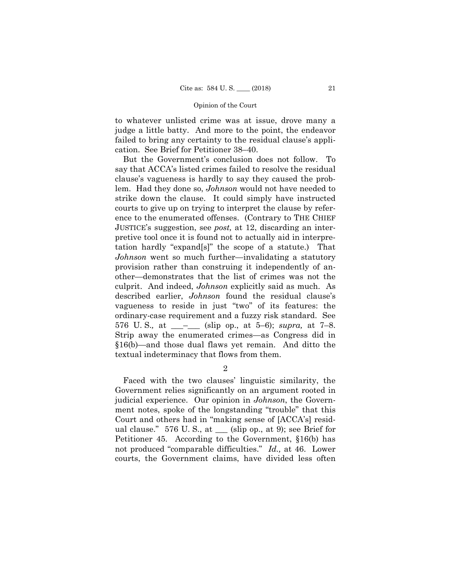to whatever unlisted crime was at issue, drove many a judge a little batty. And more to the point, the endeavor failed to bring any certainty to the residual clause's application. See Brief for Petitioner 38–40.

But the Government's conclusion does not follow. To say that ACCA's listed crimes failed to resolve the residual clause's vagueness is hardly to say they caused the problem. Had they done so, *Johnson* would not have needed to strike down the clause. It could simply have instructed courts to give up on trying to interpret the clause by reference to the enumerated offenses. (Contrary to THE CHIEF JUSTICE's suggestion, see *post,* at 12, discarding an interpretive tool once it is found not to actually aid in interpretation hardly "expand[s]" the scope of a statute.) That *Johnson* went so much further—invalidating a statutory provision rather than construing it independently of another—demonstrates that the list of crimes was not the culprit. And indeed, *Johnson* explicitly said as much. As described earlier, *Johnson* found the residual clause's vagueness to reside in just "two" of its features: the ordinary-case requirement and a fuzzy risk standard. See 576 U. S.*,* at \_\_\_–\_\_\_ (slip op., at 5–6); *supra,* at 7–8. Strip away the enumerated crimes—as Congress did in §16(b)—and those dual flaws yet remain. And ditto the textual indeterminacy that flows from them.

2

Faced with the two clauses' linguistic similarity, the Government relies significantly on an argument rooted in judicial experience. Our opinion in *Johnson*, the Government notes, spoke of the longstanding "trouble" that this Court and others had in "making sense of [ACCA's] residual clause."  $576$  U. S., at  $\_\_\$  (slip op., at 9); see Brief for Petitioner 45. According to the Government, §16(b) has not produced "comparable difficulties." *Id.,* at 46. Lower courts, the Government claims, have divided less often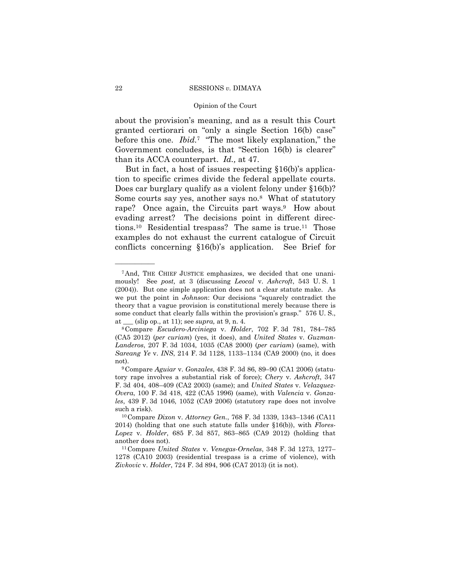### Opinion of the Court

 before this one. *Ibid.*7 "The most likely explanation," the about the provision's meaning, and as a result this Court granted certiorari on "only a single Section 16(b) case" Government concludes, is that "Section 16(b) is clearer" than its ACCA counterpart. *Id.,* at 47.

But in fact, a host of issues respecting §16(b)'s application to specific crimes divide the federal appellate courts. Does car burglary qualify as a violent felony under §16(b)? Some courts say yes, another says no.<sup>8</sup> What of statutory rape? Once again, the Circuits part ways.<sup>9</sup> How about evading arrest? The decisions point in different directions.<sup>10</sup> Residential trespass? The same is true.<sup>11</sup> Those examples do not exhaust the current catalogue of Circuit conflicts concerning §16(b)'s application. See Brief for

<sup>7</sup>And, THE CHIEF JUSTICE emphasizes, we decided that one unanimously! See *post,* at 3 (discussing *Leocal* v. *Ashcroft*, 543 U. S. 1 (2004)). But one simple application does not a clear statute make. As we put the point in *Johnson*: Our decisions "squarely contradict the theory that a vague provision is constitutional merely because there is some conduct that clearly falls within the provision's grasp." 576 U. S., at \_\_\_ (slip op., at 11); see *supra,* at 9, n. 4. 8Compare *Escudero-Arciniega* v. *Holder*, 702 F. 3d 781, 784–785

<sup>(</sup>CA5 2012) (*per curiam*) (yes, it does), and *United States* v. *Guzman-Landeros*, 207 F. 3d 1034, 1035 (CA8 2000) (*per curiam*) (same), with *Sareang Ye* v. *INS*, 214 F. 3d 1128, 1133–1134 (CA9 2000) (no, it does not).

<sup>9</sup>Compare *Aguiar* v. *Gonzales*, 438 F. 3d 86, 89–90 (CA1 2006) (statutory rape involves a substantial risk of force); *Chery* v. *Ashcroft*, 347 F. 3d 404, 408–409 (CA2 2003) (same); and *United States* v. *Velazquez-Overa*, 100 F. 3d 418, 422 (CA5 1996) (same), with *Valencia* v. *Gonzales*, 439 F. 3d 1046, 1052 (CA9 2006) (statutory rape does not involve such a risk).

<sup>10</sup>Compare *Dixon* v. *Attorney Gen.*, 768 F. 3d 1339, 1343–1346 (CA11 2014) (holding that one such statute falls under §16(b)), with *Flores-Lopez* v. *Holder*, 685 F. 3d 857, 863–865 (CA9 2012) (holding that

another does not). 11Compare *United States* v. *Venegas-Ornelas*, 348 F. 3d 1273, 1277– 1278 (CA10 2003) (residential trespass is a crime of violence), with *Zivkovic* v. *Holder*, 724 F. 3d 894, 906 (CA7 2013) (it is not).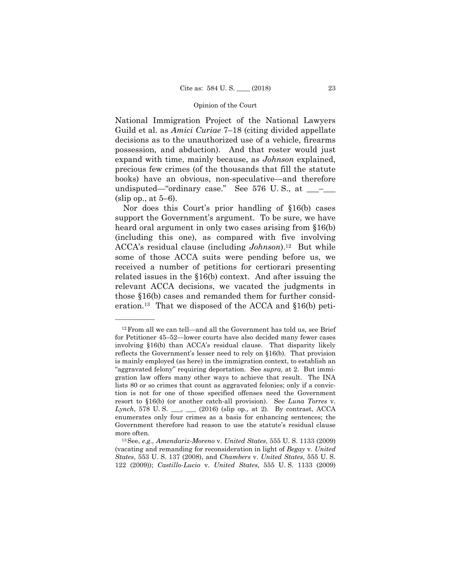National Immigration Project of the National Lawyers Guild et al. as *Amici Curiae* 7–18 (citing divided appellate decisions as to the unauthorized use of a vehicle, firearms possession, and abduction). And that roster would just expand with time, mainly because, as *Johnson* explained, precious few crimes (of the thousands that fill the statute books) have an obvious, non-speculative—and therefore undisputed—"ordinary case." See 576 U.S., at \_\_-\_\_ (slip op., at 5–6).

Nor does this Court's prior handling of §16(b) cases support the Government's argument. To be sure, we have heard oral argument in only two cases arising from §16(b) (including this one), as compared with five involving ACCA's residual clause (including *Johnson*).12 But while some of those ACCA suits were pending before us, we received a number of petitions for certiorari presenting related issues in the §16(b) context. And after issuing the relevant ACCA decisions, we vacated the judgments in those §16(b) cases and remanded them for further consideration.13 That we disposed of the ACCA and §16(b) peti-

<sup>&</sup>lt;sup>12</sup> From all we can tell—and all the Government has told us, see Brief for Petitioner 45–52—lower courts have also decided many fewer cases involving §16(b) than ACCA's residual clause. That disparity likely reflects the Government's lesser need to rely on §16(b). That provision is mainly employed (as here) in the immigration context, to establish an "aggravated felony" requiring deportation. See *supra,* at 2. But immigration law offers many other ways to achieve that result. The INA lists 80 or so crimes that count as aggravated felonies; only if a conviction is not for one of those specified offenses need the Government resort to §16(b) (or another catch-all provision). See *Luna Torres* v. *Lynch*, 578 U.S. \_\_, \_\_ (2016) (slip op., at 2). By contrast, ACCA enumerates only four crimes as a basis for enhancing sentences; the Government therefore had reason to use the statute's residual clause more often. 13See, *e.g., Amendariz-Moreno* v. *United States*, 555 U. S. 1133 (2009)

<sup>(</sup>vacating and remanding for reconsideration in light of *Begay* v. *United States*, 553 U. S. 137 (2008), and *Chambers* v. *United States*, 555 U. S. 122 (2009)); *Castillo-Lucio* v. *United States*, 555 U. S. 1133 (2009)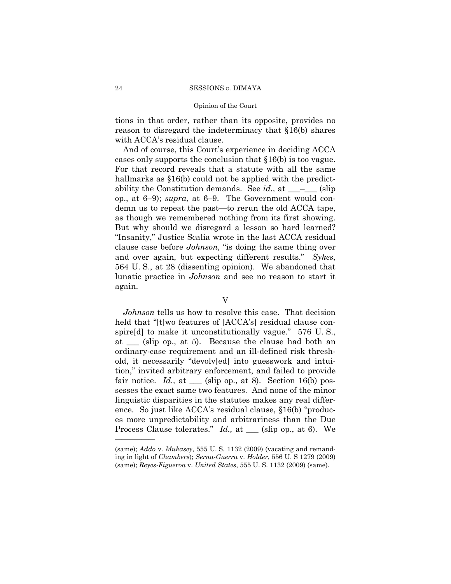### Opinion of the Court

tions in that order, rather than its opposite, provides no reason to disregard the indeterminacy that §16(b) shares with ACCA's residual clause.

And of course, this Court's experience in deciding ACCA cases only supports the conclusion that §16(b) is too vague. For that record reveals that a statute with all the same hallmarks as  $$16(b)$  could not be applied with the predictability the Constitution demands. See *id.*, at \_\_\_<sup>\_</sup>\_\_\_ (slip op., at 6–9); *supra,* at 6–9. The Government would condemn us to repeat the past—to rerun the old ACCA tape, as though we remembered nothing from its first showing. But why should we disregard a lesson so hard learned? "Insanity," Justice Scalia wrote in the last ACCA residual clause case before *Johnson*, "is doing the same thing over and over again, but expecting different results." *Sykes*, 564 U. S., at 28 (dissenting opinion). We abandoned that lunatic practice in *Johnson* and see no reason to start it again.

# V

*Johnson* tells us how to resolve this case. That decision held that "[t]wo features of [ACCA's] residual clause conspire[d] to make it unconstitutionally vague." 576 U. S., at \_\_\_ (slip op., at 5). Because the clause had both an ordinary-case requirement and an ill-defined risk threshold, it necessarily "devolv[ed] into guesswork and intuition," invited arbitrary enforcement, and failed to provide fair notice.  $Id.$ , at  $\_\_\_$  (slip op., at 8). Section 16(b) possesses the exact same two features. And none of the minor linguistic disparities in the statutes makes any real difference. So just like ACCA's residual clause, §16(b) "produces more unpredictability and arbitrariness than the Due Process Clause tolerates." *Id.*, at \_\_ (slip op., at 6). We

<sup>(</sup>same); *Addo* v. *Mukasey*, 555 U. S. 1132 (2009) (vacating and remanding in light of *Chambers*); *Serna-Guerra* v. *Holder*, 556 U. S 1279 (2009) (same); *Reyes-Figueroa* v. *United States*, 555 U. S. 1132 (2009) (same).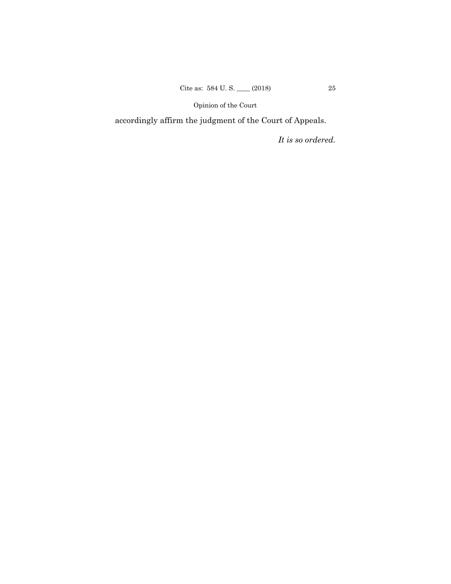accordingly affirm the judgment of the Court of Appeals.

*It is so ordered.*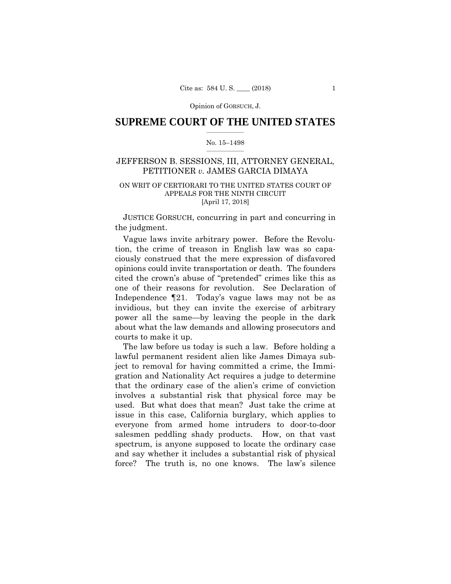## $\frac{1}{2}$  ,  $\frac{1}{2}$  ,  $\frac{1}{2}$  ,  $\frac{1}{2}$  ,  $\frac{1}{2}$  ,  $\frac{1}{2}$  ,  $\frac{1}{2}$ **SUPREME COURT OF THE UNITED STATES**

#### $\frac{1}{2}$  ,  $\frac{1}{2}$  ,  $\frac{1}{2}$  ,  $\frac{1}{2}$  ,  $\frac{1}{2}$  ,  $\frac{1}{2}$ No. 15–1498

# JEFFERSON B. SESSIONS, III, ATTORNEY GENERAL, PETITIONER *v.* JAMES GARCIA DIMAYA

## ON WRIT OF CERTIORARI TO THE UNITED STATES COURT OF APPEALS FOR THE NINTH CIRCUIT [April 17, 2018]

JUSTICE GORSUCH, concurring in part and concurring in the judgment.

Vague laws invite arbitrary power. Before the Revolution, the crime of treason in English law was so capaciously construed that the mere expression of disfavored opinions could invite transportation or death. The founders cited the crown's abuse of "pretended" crimes like this as one of their reasons for revolution. See Declaration of Independence ¶21. Today's vague laws may not be as invidious, but they can invite the exercise of arbitrary power all the same—by leaving the people in the dark about what the law demands and allowing prosecutors and courts to make it up.

The law before us today is such a law. Before holding a lawful permanent resident alien like James Dimaya subject to removal for having committed a crime, the Immigration and Nationality Act requires a judge to determine that the ordinary case of the alien's crime of conviction involves a substantial risk that physical force may be used. But what does that mean? Just take the crime at issue in this case, California burglary, which applies to everyone from armed home intruders to door-to-door salesmen peddling shady products. How, on that vast spectrum, is anyone supposed to locate the ordinary case and say whether it includes a substantial risk of physical force? The truth is, no one knows. The law's silence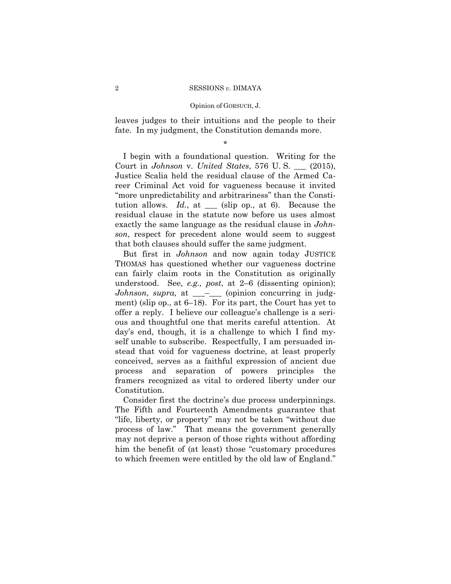leaves judges to their intuitions and the people to their fate. In my judgment, the Constitution demands more.

\*

I begin with a foundational question. Writing for the Court in *Johnson* v. *United States*, 576 U. S. \_\_\_ (2015), Justice Scalia held the residual clause of the Armed Career Criminal Act void for vagueness because it invited "more unpredictability and arbitrariness" than the Constitution allows.  $Id.$ , at  $\_\_\$  (slip op., at 6). Because the residual clause in the statute now before us uses almost exactly the same language as the residual clause in *Johnson*, respect for precedent alone would seem to suggest that both clauses should suffer the same judgment.

But first in *Johnson* and now again today JUSTICE THOMAS has questioned whether our vagueness doctrine can fairly claim roots in the Constitution as originally understood. See, *e.g., post*, at 2–6 (dissenting opinion); *Johnson, supra,* at \_\_\_<sup>\_</sup>\_\_\_ (opinion concurring in judgment) (slip op., at 6–18). For its part, the Court has yet to offer a reply. I believe our colleague's challenge is a serious and thoughtful one that merits careful attention. At day's end, though, it is a challenge to which I find myself unable to subscribe. Respectfully, I am persuaded instead that void for vagueness doctrine, at least properly conceived, serves as a faithful expression of ancient due process and separation of powers principles the framers recognized as vital to ordered liberty under our Constitution.

Consider first the doctrine's due process underpinnings. The Fifth and Fourteenth Amendments guarantee that "life, liberty, or property" may not be taken "without due process of law." That means the government generally may not deprive a person of those rights without affording him the benefit of (at least) those "customary procedures to which freemen were entitled by the old law of England."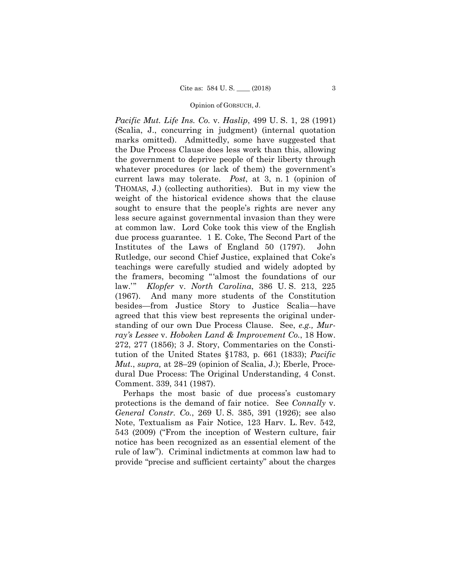*Pacific Mut. Life Ins. Co.* v. *Haslip*, 499 U. S. 1, 28 (1991) (Scalia, J., concurring in judgment) (internal quotation marks omitted). Admittedly, some have suggested that the Due Process Clause does less work than this, allowing the government to deprive people of their liberty through whatever procedures (or lack of them) the government's current laws may tolerate. *Post*, at 3, n. 1 (opinion of THOMAS, J.) (collecting authorities). But in my view the weight of the historical evidence shows that the clause sought to ensure that the people's rights are never any less secure against governmental invasion than they were at common law. Lord Coke took this view of the English due process guarantee. 1 E. Coke, The Second Part of the Institutes of the Laws of England 50 (1797). John Rutledge, our second Chief Justice, explained that Coke's teachings were carefully studied and widely adopted by the framers, becoming "'almost the foundations of our law.'" *Klopfer* v. *North Carolina*, 386 U. S. 213, 225 (1967). And many more students of the Constitution besides—from Justice Story to Justice Scalia—have agreed that this view best represents the original understanding of our own Due Process Clause. See, *e.g., Murray's Lessee* v. *Hoboken Land & Improvement Co.*, 18 How. 272, 277 (1856); 3 J. Story, Commentaries on the Constitution of the United States §1783, p. 661 (1833); *Pacific Mut.*, *supra,* at 28–29 (opinion of Scalia, J.); Eberle, Procedural Due Process: The Original Understanding, 4 Const. Comment. 339, 341 (1987).

 provide "precise and sufficient certainty" about the charges Perhaps the most basic of due process's customary protections is the demand of fair notice. See *Connally* v. *General Constr. Co.*, 269 U. S. 385, 391 (1926); see also Note, Textualism as Fair Notice, 123 Harv. L. Rev. 542, 543 (2009) ("From the inception of Western culture, fair notice has been recognized as an essential element of the rule of law"). Criminal indictments at common law had to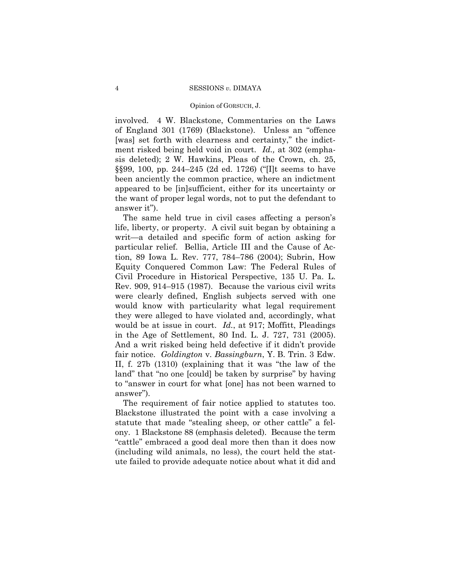#### Opinion of GORSUCH, J.

involved. 4 W. Blackstone, Commentaries on the Laws of England 301 (1769) (Blackstone). Unless an "offence [was] set forth with clearness and certainty," the indictment risked being held void in court. *Id.,* at 302 (emphasis deleted); 2 W. Hawkins, Pleas of the Crown, ch. 25, §§99, 100, pp. 244–245 (2d ed. 1726) ("[I]t seems to have been anciently the common practice, where an indictment appeared to be [in]sufficient, either for its uncertainty or the want of proper legal words, not to put the defendant to answer it").

 in the Age of Settlement, 80 Ind. L. J. 727, 731 (2005). The same held true in civil cases affecting a person's life, liberty, or property. A civil suit began by obtaining a writ—a detailed and specific form of action asking for particular relief. Bellia, Article III and the Cause of Action, 89 Iowa L. Rev. 777, 784–786 (2004); Subrin, How Equity Conquered Common Law: The Federal Rules of Civil Procedure in Historical Perspective, 135 U. Pa. L. Rev. 909, 914–915 (1987). Because the various civil writs were clearly defined, English subjects served with one would know with particularity what legal requirement they were alleged to have violated and, accordingly, what would be at issue in court. *Id.*, at 917; Moffitt, Pleadings And a writ risked being held defective if it didn't provide fair notice. *Goldington* v. *Bassingburn*, Y. B. Trin. 3 Edw. II, f. 27b (1310) (explaining that it was "the law of the land" that "no one [could] be taken by surprise" by having to "answer in court for what [one] has not been warned to answer").

 The requirement of fair notice applied to statutes too. Blackstone illustrated the point with a case involving a statute that made "stealing sheep, or other cattle" a felony. 1 Blackstone 88 (emphasis deleted). Because the term "cattle" embraced a good deal more then than it does now (including wild animals, no less), the court held the statute failed to provide adequate notice about what it did and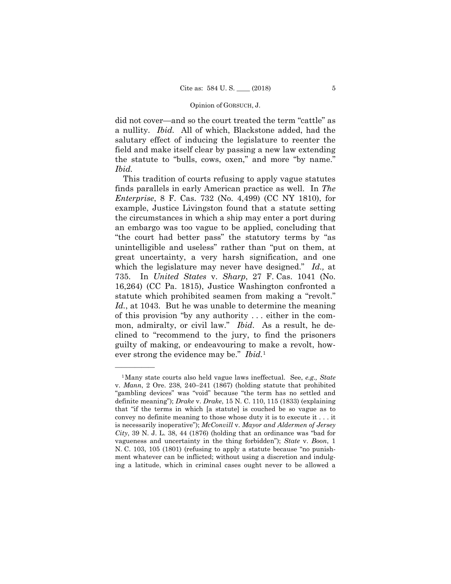did not cover—and so the court treated the term "cattle" as a nullity. *Ibid.* All of which, Blackstone added, had the salutary effect of inducing the legislature to reenter the field and make itself clear by passing a new law extending the statute to "bulls, cows, oxen," and more "by name." *Ibid.* 

 *Id.*, at 1043. But he was unable to determine the meaning mon, admiralty, or civil law." *Ibid*. As a result, he de  ever strong the evidence may be." *Ibid.*<sup>1</sup> This tradition of courts refusing to apply vague statutes finds parallels in early American practice as well. In *The Enterprise*, 8 F. Cas. 732 (No. 4,499) (CC NY 1810), for example, Justice Livingston found that a statute setting the circumstances in which a ship may enter a port during an embargo was too vague to be applied, concluding that "the court had better pass" the statutory terms by "as unintelligible and useless" rather than "put on them, at great uncertainty, a very harsh signification, and one which the legislature may never have designed." *Id.,* at 735. In *United States* v. *Sharp*, 27 F. Cas. 1041 (No. 16,264) (CC Pa. 1815), Justice Washington confronted a statute which prohibited seamen from making a "revolt." of this provision "by any authority . . . either in the comclined to "recommend to the jury, to find the prisoners guilty of making, or endeavouring to make a revolt, how-

<sup>1</sup>Many state courts also held vague laws ineffectual. See, *e.g., State*  v. *Mann*, 2 Ore. 238, 240–241 (1867) (holding statute that prohibited "gambling devices" was "void" because "the term has no settled and definite meaning"); *Drake* v. *Drake*, 15 N. C. 110, 115 (1833) (explaining that "if the terms in which [a statute] is couched be so vague as to convey no definite meaning to those whose duty it is to execute it . . . it is necessarily inoperative"); *McConvill* v. *Mayor and Aldermen of Jersey City*, 39 N. J. L. 38, 44 (1876) (holding that an ordinance was "bad for vagueness and uncertainty in the thing forbidden"); *State* v. *Boon*, 1 N. C. 103, 105 (1801) (refusing to apply a statute because "no punishment whatever can be inflicted; without using a discretion and indulging a latitude, which in criminal cases ought never to be allowed a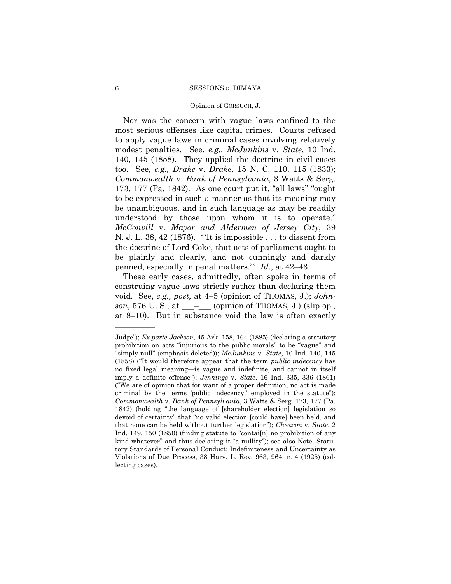#### Opinion of GORSUCH, J.

Nor was the concern with vague laws confined to the most serious offenses like capital crimes. Courts refused to apply vague laws in criminal cases involving relatively modest penalties. See, *e.g., McJunkins* v. *State*, 10 Ind. 140, 145 (1858). They applied the doctrine in civil cases too. See, *e.g., Drake* v. *Drake*, 15 N. C. 110, 115 (1833); *Commonwealth* v. *Bank of Pennsylvania*, 3 Watts & Serg. 173, 177 (Pa. 1842). As one court put it, "all laws" "ought to be expressed in such a manner as that its meaning may be unambiguous, and in such language as may be readily understood by those upon whom it is to operate." *McConvill* v. *Mayor and Aldermen of Jersey City*, 39 N. J. L. 38, 42 (1876). "'It is impossible . . . to dissent from the doctrine of Lord Coke, that acts of parliament ought to be plainly and clearly, and not cunningly and darkly penned, especially in penal matters.'" *Id.*, at 42–43.

These early cases, admittedly, often spoke in terms of construing vague laws strictly rather than declaring them void. See, *e.g., post,* at 4–5 (opinion of THOMAS, J.); *Johnson*, 576 U. S., at \_\_\_\_\_\_\_ (opinion of THOMAS, J.) (slip op., at 8–10). But in substance void the law is often exactly

 ("We are of opinion that for want of a proper definition, no act is made Judge"); *Ex parte Jackson*, 45 Ark. 158, 164 (1885) (declaring a statutory prohibition on acts "injurious to the public morals" to be "vague" and "simply null" (emphasis deleted)); *McJunkins* v. *State*, 10 Ind. 140, 145 (1858) ("It would therefore appear that the term *public indecency* has no fixed legal meaning—is vague and indefinite, and cannot in itself imply a definite offense"); *Jennings* v. *State*, 16 Ind. 335, 336 (1861) criminal by the terms 'public indecency,' employed in the statute"); *Commonwealth* v. *Bank of Pennsylvania*, 3 Watts & Serg. 173, 177 (Pa. 1842) (holding "the language of [shareholder election] legislation so devoid of certainty" that "no valid election [could have] been held, and that none can be held without further legislation"); *Cheezem* v. *State*, 2 Ind. 149, 150 (1850) (finding statute to "contai<sup>[n]</sup> no prohibition of any kind whatever" and thus declaring it "a nullity"); see also Note, Statutory Standards of Personal Conduct: Indefiniteness and Uncertainty as Violations of Due Process, 38 Harv. L. Rev. 963, 964, n. 4 (1925) (collecting cases).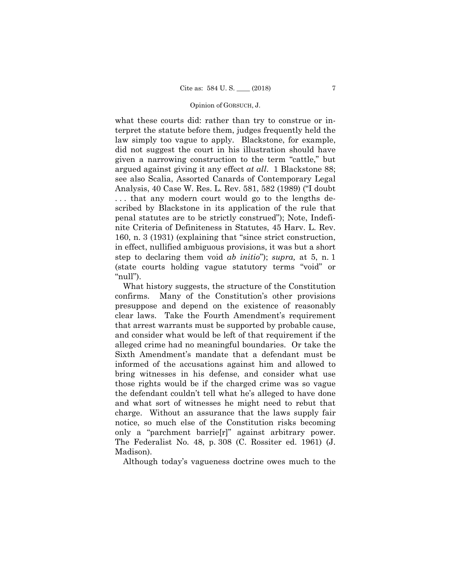what these courts did: rather than try to construe or interpret the statute before them, judges frequently held the law simply too vague to apply. Blackstone, for example, did not suggest the court in his illustration should have given a narrowing construction to the term "cattle," but argued against giving it any effect *at all*. 1 Blackstone 88; see also Scalia, Assorted Canards of Contemporary Legal Analysis, 40 Case W. Res. L. Rev. 581, 582 (1989) ("I doubt . . . that any modern court would go to the lengths described by Blackstone in its application of the rule that penal statutes are to be strictly construed"); Note, Indefinite Criteria of Definiteness in Statutes, 45 Harv. L. Rev. 160, n. 3 (1931) (explaining that "since strict construction, in effect, nullified ambiguous provisions, it was but a short step to declaring them void *ab initio*"); *supra,* at 5, n. 1 (state courts holding vague statutory terms "void" or "null").

What history suggests, the structure of the Constitution confirms. Many of the Constitution's other provisions presuppose and depend on the existence of reasonably clear laws. Take the Fourth Amendment's requirement that arrest warrants must be supported by probable cause, and consider what would be left of that requirement if the alleged crime had no meaningful boundaries. Or take the Sixth Amendment's mandate that a defendant must be informed of the accusations against him and allowed to bring witnesses in his defense, and consider what use those rights would be if the charged crime was so vague the defendant couldn't tell what he's alleged to have done and what sort of witnesses he might need to rebut that charge. Without an assurance that the laws supply fair notice, so much else of the Constitution risks becoming only a "parchment barrie[r]" against arbitrary power. The Federalist No. 48, p. 308 (C. Rossiter ed. 1961) (J. Madison).

Although today's vagueness doctrine owes much to the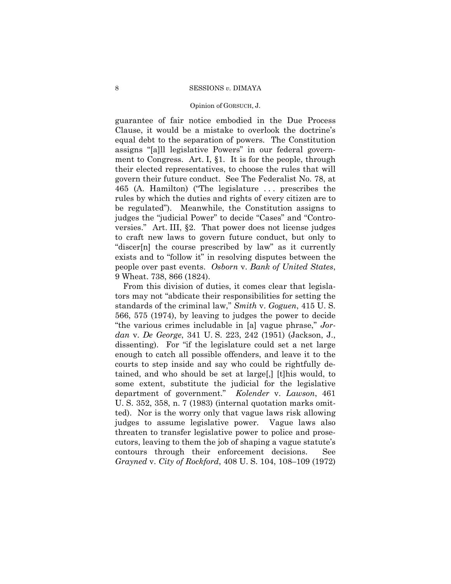## Opinion of GORSUCH, J.

guarantee of fair notice embodied in the Due Process Clause, it would be a mistake to overlook the doctrine's equal debt to the separation of powers. The Constitution assigns "[a]ll legislative Powers" in our federal government to Congress. Art. I, §1. It is for the people, through their elected representatives, to choose the rules that will govern their future conduct. See The Federalist No. 78, at 465 (A. Hamilton) ("The legislature . . . prescribes the rules by which the duties and rights of every citizen are to be regulated"). Meanwhile, the Constitution assigns to judges the "judicial Power" to decide "Cases" and "Controversies." Art. III, §2. That power does not license judges to craft new laws to govern future conduct, but only to "discer[n] the course prescribed by law" as it currently exists and to "follow it" in resolving disputes between the people over past events. *Osborn* v. *Bank of United States*, 9 Wheat. 738, 866 (1824).

From this division of duties, it comes clear that legislators may not "abdicate their responsibilities for setting the standards of the criminal law," *Smith* v. *Goguen*, 415 U. S. 566, 575 (1974), by leaving to judges the power to decide "the various crimes includable in [a] vague phrase," *Jordan* v. *De George*, 341 U. S. 223, 242 (1951) (Jackson, J., dissenting). For "if the legislature could set a net large enough to catch all possible offenders, and leave it to the courts to step inside and say who could be rightfully detained, and who should be set at large[,] [t]his would, to some extent, substitute the judicial for the legislative department of government." *Kolender* v. *Lawson*, 461 U. S. 352, 358, n. 7 (1983) (internal quotation marks omitted). Nor is the worry only that vague laws risk allowing judges to assume legislative power. Vague laws also threaten to transfer legislative power to police and prosecutors, leaving to them the job of shaping a vague statute's contours through their enforcement decisions. See *Grayned* v. *City of Rockford*, 408 U. S. 104, 108–109 (1972)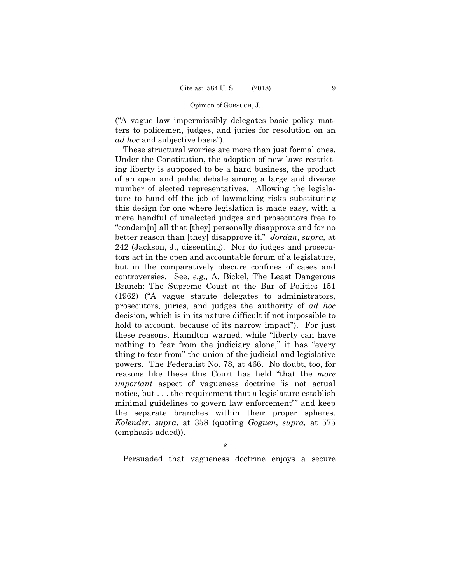("A vague law impermissibly delegates basic policy matters to policemen, judges, and juries for resolution on an *ad hoc* and subjective basis").

These structural worries are more than just formal ones. Under the Constitution, the adoption of new laws restricting liberty is supposed to be a hard business, the product of an open and public debate among a large and diverse number of elected representatives. Allowing the legislature to hand off the job of lawmaking risks substituting this design for one where legislation is made easy, with a mere handful of unelected judges and prosecutors free to "condem[n] all that [they] personally disapprove and for no better reason than [they] disapprove it." *Jordan*, *supra,* at 242 (Jackson, J., dissenting). Nor do judges and prosecutors act in the open and accountable forum of a legislature, but in the comparatively obscure confines of cases and controversies. See, *e.g.,* A. Bickel, The Least Dangerous Branch: The Supreme Court at the Bar of Politics 151 (1962) ("A vague statute delegates to administrators, prosecutors, juries, and judges the authority of *ad hoc*  decision, which is in its nature difficult if not impossible to hold to account, because of its narrow impact"). For just these reasons, Hamilton warned, while "liberty can have nothing to fear from the judiciary alone," it has "every thing to fear from" the union of the judicial and legislative powers. The Federalist No. 78, at 466. No doubt, too, for reasons like these this Court has held "that the *more important* aspect of vagueness doctrine 'is not actual notice, but . . . the requirement that a legislature establish minimal guidelines to govern law enforcement'" and keep the separate branches within their proper spheres. *Kolender*, *supra*, at 358 (quoting *Goguen*, *supra,* at 575 (emphasis added)).

\*

Persuaded that vagueness doctrine enjoys a secure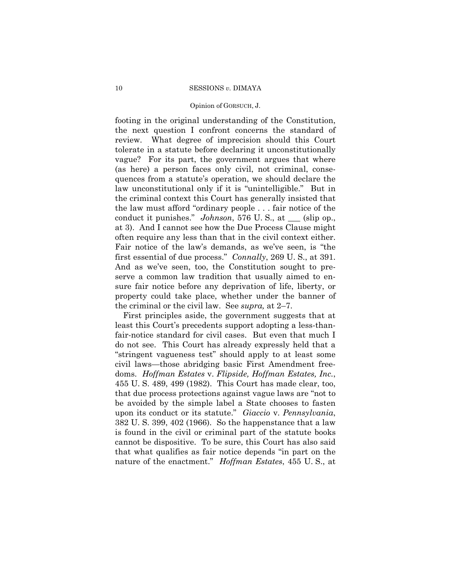## Opinion of GORSUCH, J.

footing in the original understanding of the Constitution, the next question I confront concerns the standard of review. What degree of imprecision should this Court tolerate in a statute before declaring it unconstitutionally vague? For its part, the government argues that where (as here) a person faces only civil, not criminal, consequences from a statute's operation, we should declare the law unconstitutional only if it is "unintelligible." But in the criminal context this Court has generally insisted that the law must afford "ordinary people . . . fair notice of the conduct it punishes." *Johnson*, 576 U. S., at \_\_\_ (slip op., at 3). And I cannot see how the Due Process Clause might often require any less than that in the civil context either. Fair notice of the law's demands, as we've seen, is "the first essential of due process." *Connally*, 269 U. S., at 391. And as we've seen, too, the Constitution sought to preserve a common law tradition that usually aimed to ensure fair notice before any deprivation of life, liberty, or property could take place, whether under the banner of the criminal or the civil law. See *supra,* at 2–7.

First principles aside, the government suggests that at least this Court's precedents support adopting a less-thanfair-notice standard for civil cases. But even that much I do not see. This Court has already expressly held that a "stringent vagueness test" should apply to at least some civil laws—those abridging basic First Amendment freedoms. *Hoffman Estates* v. *Flipside, Hoffman Estates, Inc.*, 455 U. S. 489, 499 (1982). This Court has made clear, too, that due process protections against vague laws are "not to be avoided by the simple label a State chooses to fasten upon its conduct or its statute." *Giaccio* v. *Pennsylvania*, 382 U. S. 399, 402 (1966). So the happenstance that a law is found in the civil or criminal part of the statute books cannot be dispositive. To be sure, this Court has also said that what qualifies as fair notice depends "in part on the nature of the enactment." *Hoffman Estates*, 455 U. S., at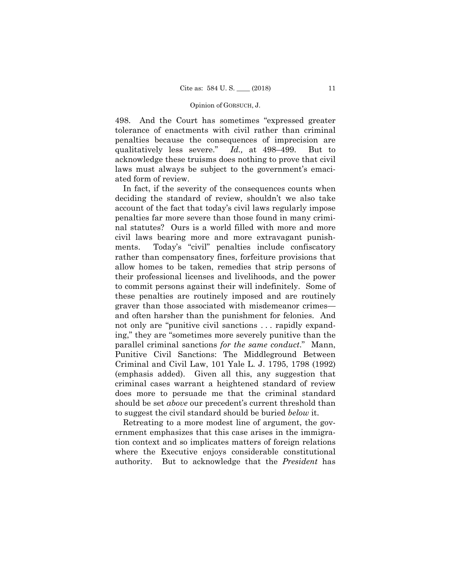498. And the Court has sometimes "expressed greater tolerance of enactments with civil rather than criminal penalties because the consequences of imprecision are qualitatively less severe." *Id.,* at 498–499. But to acknowledge these truisms does nothing to prove that civil laws must always be subject to the government's emaciated form of review.

In fact, if the severity of the consequences counts when deciding the standard of review, shouldn't we also take account of the fact that today's civil laws regularly impose penalties far more severe than those found in many criminal statutes? Ours is a world filled with more and more civil laws bearing more and more extravagant punishments. Today's "civil" penalties include confiscatory rather than compensatory fines, forfeiture provisions that allow homes to be taken, remedies that strip persons of their professional licenses and livelihoods, and the power to commit persons against their will indefinitely. Some of these penalties are routinely imposed and are routinely graver than those associated with misdemeanor crimes and often harsher than the punishment for felonies. And not only are "punitive civil sanctions . . . rapidly expanding," they are "sometimes more severely punitive than the parallel criminal sanctions *for the same conduct*." Mann, Punitive Civil Sanctions: The Middleground Between Criminal and Civil Law, 101 Yale L. J. 1795, 1798 (1992) (emphasis added). Given all this, any suggestion that criminal cases warrant a heightened standard of review does more to persuade me that the criminal standard should be set *above* our precedent's current threshold than to suggest the civil standard should be buried *below* it.

Retreating to a more modest line of argument, the government emphasizes that this case arises in the immigration context and so implicates matters of foreign relations where the Executive enjoys considerable constitutional authority. But to acknowledge that the *President* has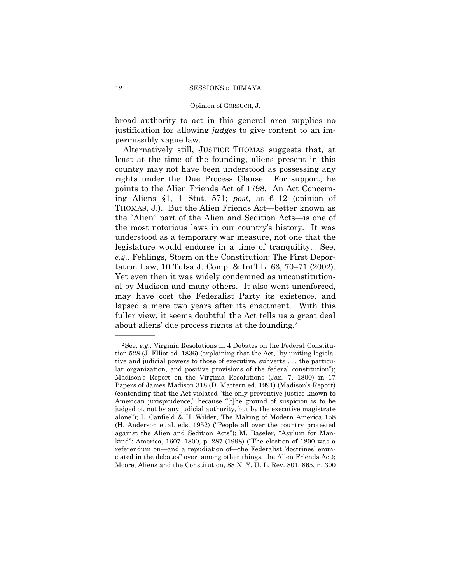broad authority to act in this general area supplies no justification for allowing *judges* to give content to an impermissibly vague law.

 tation Law, 10 Tulsa J. Comp. & Int'l L. 63, 70–71 (2002). Alternatively still, JUSTICE THOMAS suggests that, at least at the time of the founding, aliens present in this country may not have been understood as possessing any rights under the Due Process Clause. For support, he points to the Alien Friends Act of 1798. An Act Concerning Aliens §1, 1 Stat. 571; *post*, at 6–12 (opinion of THOMAS, J.). But the Alien Friends Act—better known as the "Alien" part of the Alien and Sedition Acts—is one of the most notorious laws in our country's history. It was understood as a temporary war measure, not one that the legislature would endorse in a time of tranquility. See, *e.g.,* Fehlings, Storm on the Constitution: The First Depor-Yet even then it was widely condemned as unconstitutional by Madison and many others. It also went unenforced, may have cost the Federalist Party its existence, and lapsed a mere two years after its enactment. With this fuller view, it seems doubtful the Act tells us a great deal about aliens' due process rights at the founding.2

 Moore, Aliens and the Constitution, 88 N. Y. U. L. Rev. 801, 865, n. 300 2See, *e.g.,* Virginia Resolutions in 4 Debates on the Federal Constitution 528 (J. Elliot ed. 1836) (explaining that the Act, "by uniting legislative and judicial powers to those of executive, subverts . . . the particular organization, and positive provisions of the federal constitution"); Madison's Report on the Virginia Resolutions (Jan. 7, 1800) in 17 Papers of James Madison 318 (D. Mattern ed. 1991) (Madison's Report) (contending that the Act violated "the only preventive justice known to American jurisprudence," because "[t]he ground of suspicion is to be judged of, not by any judicial authority, but by the executive magistrate alone"); L. Canfield & H. Wilder, The Making of Modern America 158 (H. Anderson et al. eds. 1952) ("People all over the country protested against the Alien and Sedition Acts"); M. Baseler, "Asylum for Mankind": America, 1607–1800, p. 287 (1998) ("The election of 1800 was a referendum on—and a repudiation of—the Federalist 'doctrines' enunciated in the debates" over, among other things, the Alien Friends Act);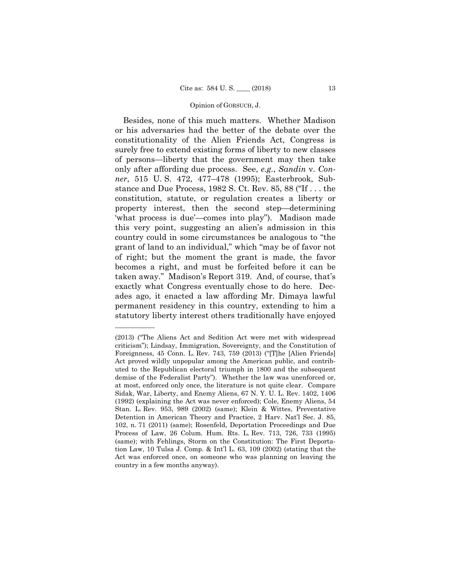Besides, none of this much matters. Whether Madison or his adversaries had the better of the debate over the constitutionality of the Alien Friends Act, Congress is surely free to extend existing forms of liberty to new classes of persons—liberty that the government may then take only after affording due process. See, *e.g.*, *Sandin* v. *Conner*, 515 U. S. 472, 477–478 (1995); Easterbrook, Substance and Due Process, 1982 S. Ct. Rev. 85, 88 ("If . . . the constitution, statute, or regulation creates a liberty or property interest, then the second step—determining 'what process is due'—comes into play"). Madison made this very point, suggesting an alien's admission in this country could in some circumstances be analogous to "the grant of land to an individual," which "may be of favor not of right; but the moment the grant is made, the favor becomes a right, and must be forfeited before it can be taken away." Madison's Report 319. And, of course, that's exactly what Congress eventually chose to do here. Decades ago, it enacted a law affording Mr. Dimaya lawful permanent residency in this country, extending to him a statutory liberty interest others traditionally have enjoyed

<sup>(2013) (&</sup>quot;The Aliens Act and Sedition Act were met with widespread criticism"); Lindsay, Immigration, Sovereignty, and the Constitution of Foreignness, 45 Conn. L. Rev. 743, 759 (2013) ("[T]he [Alien Friends] Act proved wildly unpopular among the American public, and contributed to the Republican electoral triumph in 1800 and the subsequent demise of the Federalist Party"). Whether the law was unenforced or, at most, enforced only once, the literature is not quite clear. Compare Sidak, War, Liberty, and Enemy Aliens, 67 N. Y. U. L. Rev. 1402, 1406 (1992) (explaining the Act was never enforced); Cole, Enemy Aliens, 54 Stan. L. Rev. 953, 989 (2002) (same); Klein & Wittes, Preventative Detention in American Theory and Practice, 2 Harv. Nat'l Sec. J. 85, 102, n. 71 (2011) (same); Rosenfeld, Deportation Proceedings and Due Process of Law, 26 Colum. Hum. Rts. L. Rev. 713, 726, 733 (1995) (same); with Fehlings, Storm on the Constitution: The First Deportation Law, 10 Tulsa J. Comp. & Int'l L. 63, 109 (2002) (stating that the Act was enforced once, on someone who was planning on leaving the country in a few months anyway).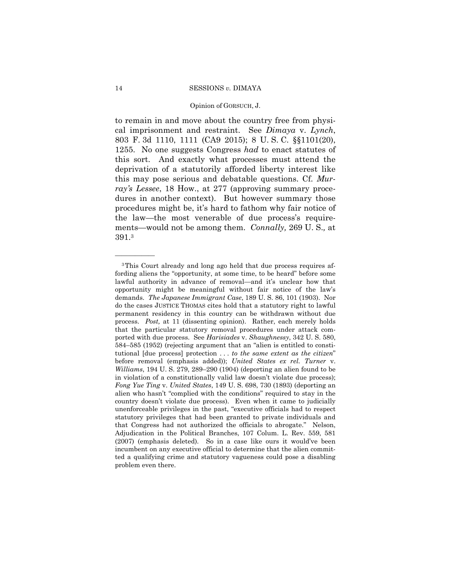## Opinion of GORSUCH, J.

 391.3 to remain in and move about the country free from physical imprisonment and restraint. See *Dimaya* v. *Lynch*, 803 F. 3d 1110, 1111 (CA9 2015); 8 U. S. C. §§1101(20), 1255. No one suggests Congress *had* to enact statutes of this sort. And exactly what processes must attend the deprivation of a statutorily afforded liberty interest like this may pose serious and debatable questions. Cf. *Murray's Lessee*, 18 How., at 277 (approving summary procedures in another context). But however summary those procedures might be, it's hard to fathom why fair notice of the law—the most venerable of due process's requirements—would not be among them. *Connally,* 269 U. S.*,* at

 country doesn't violate due process). Even when it came to judicially 3This Court already and long ago held that due process requires affording aliens the "opportunity, at some time, to be heard" before some lawful authority in advance of removal—and it's unclear how that opportunity might be meaningful without fair notice of the law's demands. *The Japanese Immigrant Case*, 189 U. S. 86, 101 (1903). Nor do the cases JUSTICE THOMAS cites hold that a statutory right to lawful permanent residency in this country can be withdrawn without due process. *Post,* at 11 (dissenting opinion). Rather, each merely holds that the particular statutory removal procedures under attack comported with due process. See *Harisiades* v. *Shaughnessy*, 342 U. S. 580, 584–585 (1952) (rejecting argument that an "alien is entitled to constitutional [due process] protection . . . *to the same extent as the citizen*" before removal (emphasis added)); *United States ex rel. Turner* v. *Williams*, 194 U. S. 279, 289–290 (1904) (deporting an alien found to be in violation of a constitutionally valid law doesn't violate due process); *Fong Yue Ting* v. *United States*, 149 U. S. 698, 730 (1893) (deporting an alien who hasn't "complied with the conditions" required to stay in the unenforceable privileges in the past, "executive officials had to respect statutory privileges that had been granted to private individuals and that Congress had not authorized the officials to abrogate." Nelson, Adjudication in the Political Branches, 107 Colum. L. Rev. 559, 581 (2007) (emphasis deleted). So in a case like ours it would've been incumbent on any executive official to determine that the alien committed a qualifying crime and statutory vagueness could pose a disabling problem even there.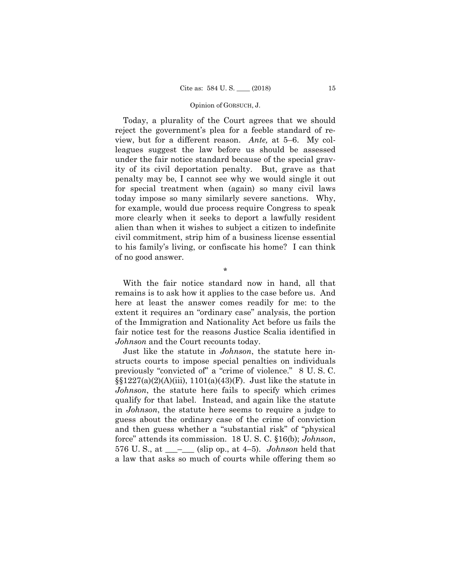Today, a plurality of the Court agrees that we should reject the government's plea for a feeble standard of review, but for a different reason. *Ante,* at 5–6. My colleagues suggest the law before us should be assessed under the fair notice standard because of the special gravity of its civil deportation penalty. But, grave as that penalty may be, I cannot see why we would single it out for special treatment when (again) so many civil laws today impose so many similarly severe sanctions. Why, for example, would due process require Congress to speak more clearly when it seeks to deport a lawfully resident alien than when it wishes to subject a citizen to indefinite civil commitment, strip him of a business license essential to his family's living, or confiscate his home? I can think of no good answer.

With the fair notice standard now in hand, all that remains is to ask how it applies to the case before us. And here at least the answer comes readily for me: to the extent it requires an "ordinary case" analysis, the portion of the Immigration and Nationality Act before us fails the fair notice test for the reasons Justice Scalia identified in *Johnson* and the Court recounts today.

\*

Just like the statute in *Johnson*, the statute here instructs courts to impose special penalties on individuals previously "convicted of" a "crime of violence." 8 U. S. C.  $\S$ [227(a)(2)(A)(iii), 1101(a)(43)(F). Just like the statute in *Johnson*, the statute here fails to specify which crimes qualify for that label. Instead, and again like the statute in *Johnson*, the statute here seems to require a judge to guess about the ordinary case of the crime of conviction and then guess whether a "substantial risk" of "physical force" attends its commission. 18 U. S. C. §16(b); *Johnson*, 576 U. S., at \_\_\_–\_\_\_ (slip op., at 4–5). *Johnson* held that a law that asks so much of courts while offering them so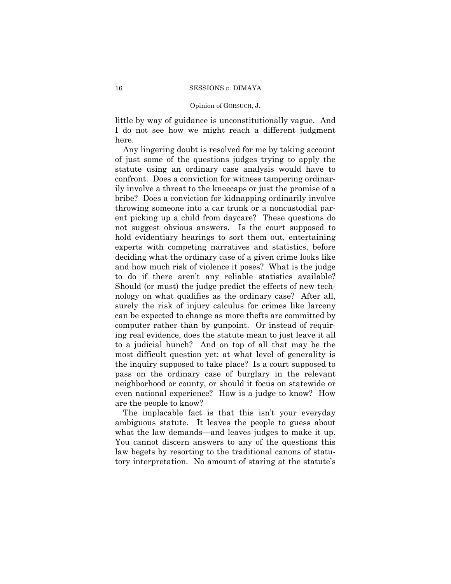#### Opinion of GORSUCH, J.

little by way of guidance is unconstitutionally vague. And I do not see how we might reach a different judgment here.

Any lingering doubt is resolved for me by taking account of just some of the questions judges trying to apply the statute using an ordinary case analysis would have to confront. Does a conviction for witness tampering ordinarily involve a threat to the kneecaps or just the promise of a bribe? Does a conviction for kidnapping ordinarily involve throwing someone into a car trunk or a noncustodial parent picking up a child from daycare? These questions do not suggest obvious answers. Is the court supposed to hold evidentiary hearings to sort them out, entertaining experts with competing narratives and statistics, before deciding what the ordinary case of a given crime looks like and how much risk of violence it poses? What is the judge to do if there aren't any reliable statistics available? Should (or must) the judge predict the effects of new technology on what qualifies as the ordinary case? After all, surely the risk of injury calculus for crimes like larceny can be expected to change as more thefts are committed by computer rather than by gunpoint. Or instead of requiring real evidence, does the statute mean to just leave it all to a judicial hunch? And on top of all that may be the most difficult question yet: at what level of generality is the inquiry supposed to take place? Is a court supposed to pass on the ordinary case of burglary in the relevant neighborhood or county, or should it focus on statewide or even national experience? How is a judge to know? How are the people to know?

 what the law demands—and leaves judges to make it up. The implacable fact is that this isn't your everyday ambiguous statute. It leaves the people to guess about You cannot discern answers to any of the questions this law begets by resorting to the traditional canons of statutory interpretation. No amount of staring at the statute's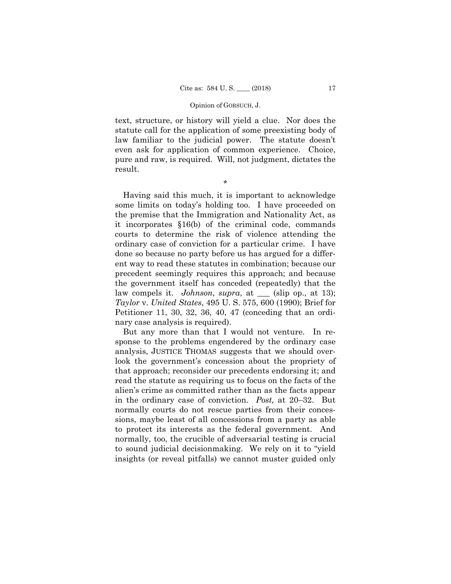text, structure, or history will yield a clue. Nor does the statute call for the application of some preexisting body of law familiar to the judicial power. The statute doesn't even ask for application of common experience. Choice, pure and raw, is required. Will, not judgment, dictates the result.

\*

Having said this much, it is important to acknowledge some limits on today's holding too. I have proceeded on the premise that the Immigration and Nationality Act, as it incorporates §16(b) of the criminal code, commands courts to determine the risk of violence attending the ordinary case of conviction for a particular crime. I have done so because no party before us has argued for a different way to read these statutes in combination; because our precedent seemingly requires this approach; and because the government itself has conceded (repeatedly) that the law compels it. *Johnson*, *supra*, at \_\_\_ (slip op., at 13); *Taylor* v. *United States*, 495 U. S. 575, 600 (1990); Brief for Petitioner 11, 30, 32, 36, 40, 47 (conceding that an ordinary case analysis is required).

But any more than that I would not venture. In response to the problems engendered by the ordinary case analysis, JUSTICE THOMAS suggests that we should overlook the government's concession about the propriety of that approach; reconsider our precedents endorsing it; and read the statute as requiring us to focus on the facts of the alien's crime as committed rather than as the facts appear in the ordinary case of conviction. *Post,* at 20–32. But normally courts do not rescue parties from their concessions, maybe least of all concessions from a party as able to protect its interests as the federal government. And normally, too, the crucible of adversarial testing is crucial to sound judicial decisionmaking. We rely on it to "yield insights (or reveal pitfalls) we cannot muster guided only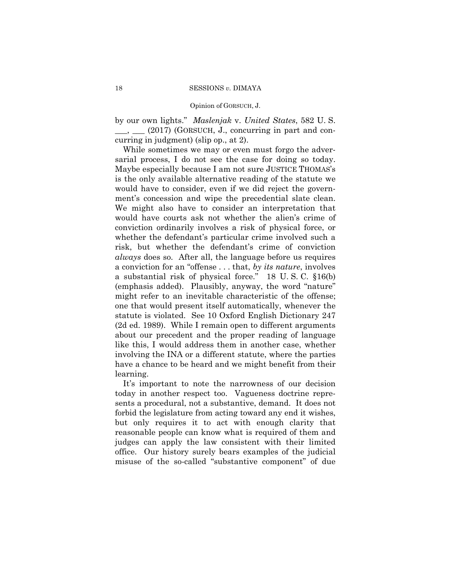by our own lights." *Maslenjak* v. *United States*, 582 U. S.  $\mu$ ,  $\mu$  (2017) (GORSUCH, J., concurring in part and concurring in judgment) (slip op., at 2).

While sometimes we may or even must forgo the adversarial process, I do not see the case for doing so today. Maybe especially because I am not sure JUSTICE THOMAS's is the only available alternative reading of the statute we would have to consider, even if we did reject the government's concession and wipe the precedential slate clean. We might also have to consider an interpretation that would have courts ask not whether the alien's crime of conviction ordinarily involves a risk of physical force, or whether the defendant's particular crime involved such a risk, but whether the defendant's crime of conviction *always* does so. After all, the language before us requires a conviction for an "offense . . . that, *by its nature*, involves a substantial risk of physical force." 18 U. S. C. §16(b) (emphasis added). Plausibly, anyway, the word "nature" might refer to an inevitable characteristic of the offense; one that would present itself automatically, whenever the statute is violated. See 10 Oxford English Dictionary 247 (2d ed. 1989). While I remain open to different arguments about our precedent and the proper reading of language like this, I would address them in another case, whether involving the INA or a different statute, where the parties have a chance to be heard and we might benefit from their learning.

 forbid the legislature from acting toward any end it wishes, It's important to note the narrowness of our decision today in another respect too. Vagueness doctrine represents a procedural, not a substantive, demand. It does not but only requires it to act with enough clarity that reasonable people can know what is required of them and judges can apply the law consistent with their limited office. Our history surely bears examples of the judicial misuse of the so-called "substantive component" of due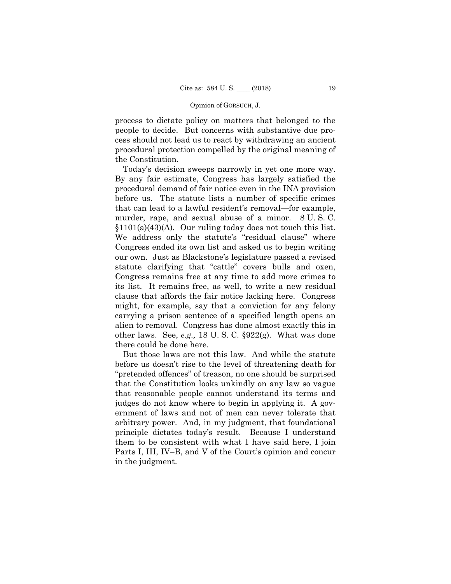process to dictate policy on matters that belonged to the people to decide. But concerns with substantive due process should not lead us to react by withdrawing an ancient procedural protection compelled by the original meaning of the Constitution.

 $$1101(a)(43)(A)$ . Our ruling today does not touch this list. Today's decision sweeps narrowly in yet one more way. By any fair estimate, Congress has largely satisfied the procedural demand of fair notice even in the INA provision before us. The statute lists a number of specific crimes that can lead to a lawful resident's removal—for example, murder, rape, and sexual abuse of a minor. 8 U. S. C. We address only the statute's "residual clause" where Congress ended its own list and asked us to begin writing our own. Just as Blackstone's legislature passed a revised statute clarifying that "cattle" covers bulls and oxen, Congress remains free at any time to add more crimes to its list. It remains free, as well, to write a new residual clause that affords the fair notice lacking here. Congress might, for example, say that a conviction for any felony carrying a prison sentence of a specified length opens an alien to removal. Congress has done almost exactly this in other laws. See, *e.g.,* 18 U. S. C. §922(g). What was done there could be done here.

But those laws are not this law. And while the statute before us doesn't rise to the level of threatening death for "pretended offences" of treason, no one should be surprised that the Constitution looks unkindly on any law so vague that reasonable people cannot understand its terms and judges do not know where to begin in applying it. A government of laws and not of men can never tolerate that arbitrary power. And, in my judgment, that foundational principle dictates today's result. Because I understand them to be consistent with what I have said here, I join Parts I, III, IV–B, and V of the Court's opinion and concur in the judgment.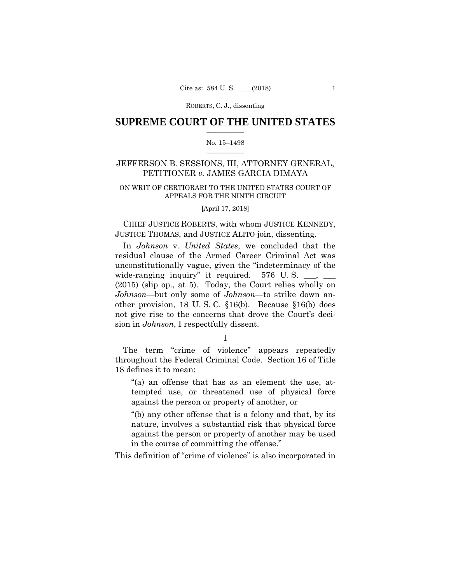# $\frac{1}{2}$  ,  $\frac{1}{2}$  ,  $\frac{1}{2}$  ,  $\frac{1}{2}$  ,  $\frac{1}{2}$  ,  $\frac{1}{2}$  ,  $\frac{1}{2}$ **SUPREME COURT OF THE UNITED STATES**

## $\frac{1}{2}$  ,  $\frac{1}{2}$  ,  $\frac{1}{2}$  ,  $\frac{1}{2}$  ,  $\frac{1}{2}$  ,  $\frac{1}{2}$ No. 15–1498

# JEFFERSON B. SESSIONS, III, ATTORNEY GENERAL, PETITIONER *v.* JAMES GARCIA DIMAYA

# ON WRIT OF CERTIORARI TO THE UNITED STATES COURT OF APPEALS FOR THE NINTH CIRCUIT

## [April 17, 2018]

CHIEF JUSTICE ROBERTS, with whom JUSTICE KENNEDY, JUSTICE THOMAS, and JUSTICE ALITO join, dissenting.

In *Johnson* v. *United States*, we concluded that the residual clause of the Armed Career Criminal Act was unconstitutionally vague, given the "indeterminacy of the wide-ranging inquiry" it required.  $576$  U.S.  $\_\_\_\$ (2015) (slip op., at 5). Today, the Court relies wholly on *Johnson*—but only some of *Johnson*—to strike down another provision, 18 U. S. C. §16(b). Because §16(b) does not give rise to the concerns that drove the Court's decision in *Johnson*, I respectfully dissent.

I

The term "crime of violence" appears repeatedly throughout the Federal Criminal Code. Section 16 of Title 18 defines it to mean:

"(a) an offense that has as an element the use, attempted use, or threatened use of physical force against the person or property of another, or

"(b) any other offense that is a felony and that, by its nature, involves a substantial risk that physical force against the person or property of another may be used in the course of committing the offense."

This definition of "crime of violence" is also incorporated in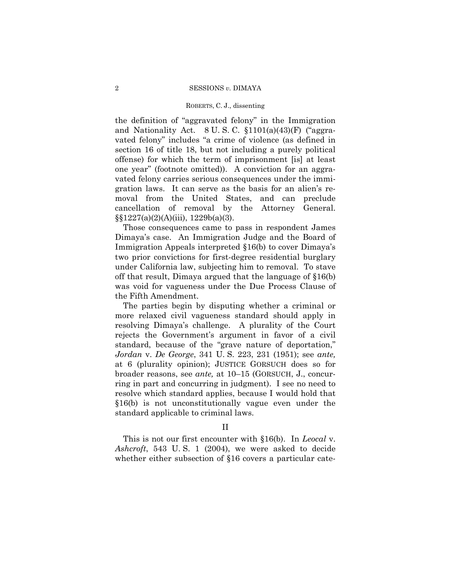the definition of "aggravated felony" in the Immigration and Nationality Act. 8 U. S. C. §1101(a)(43)(F) ("aggravated felony" includes "a crime of violence (as defined in section 16 of title 18, but not including a purely political offense) for which the term of imprisonment [is] at least one year" (footnote omitted)). A conviction for an aggravated felony carries serious consequences under the immigration laws. It can serve as the basis for an alien's removal from the United States, and can preclude cancellation of removal by the Attorney General.  $\S(1227(a)(2)(A)(iii), 1229b(a)(3)$ .

Those consequences came to pass in respondent James Dimaya's case. An Immigration Judge and the Board of Immigration Appeals interpreted §16(b) to cover Dimaya's two prior convictions for first-degree residential burglary under California law, subjecting him to removal. To stave off that result, Dimaya argued that the language of §16(b) was void for vagueness under the Due Process Clause of the Fifth Amendment.

The parties begin by disputing whether a criminal or more relaxed civil vagueness standard should apply in resolving Dimaya's challenge. A plurality of the Court rejects the Government's argument in favor of a civil standard, because of the "grave nature of deportation," *Jordan* v. *De George*, 341 U. S. 223, 231 (1951); see *ante,*  at 6 (plurality opinion); JUSTICE GORSUCH does so for broader reasons, see *ante,* at 10–15 (GORSUCH, J., concurring in part and concurring in judgment). I see no need to resolve which standard applies, because I would hold that §16(b) is not unconstitutionally vague even under the standard applicable to criminal laws.

# II

This is not our first encounter with §16(b). In *Leocal* v. *Ashcroft*, 543 U. S. 1 (2004), we were asked to decide whether either subsection of §16 covers a particular cate-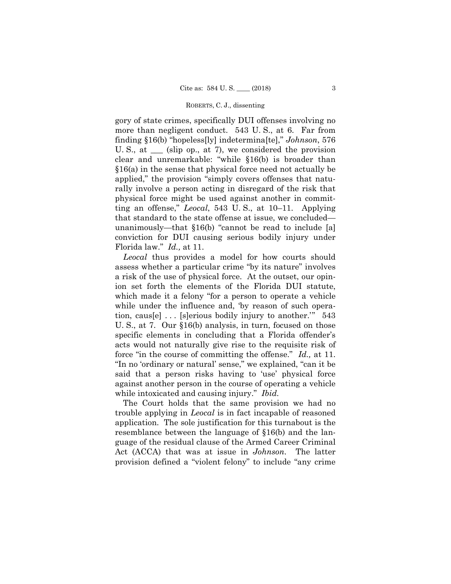gory of state crimes, specifically DUI offenses involving no more than negligent conduct. 543 U. S., at 6. Far from finding §16(b) "hopeless[ly] indetermina[te]," *Johnson*, 576 U. S., at \_\_\_ (slip op., at 7), we considered the provision clear and unremarkable: "while §16(b) is broader than §16(a) in the sense that physical force need not actually be applied," the provision "simply covers offenses that naturally involve a person acting in disregard of the risk that physical force might be used against another in committing an offense," *Leocal*, 543 U. S., at 10–11. Applying that standard to the state offense at issue, we concluded unanimously—that §16(b) "cannot be read to include [a] conviction for DUI causing serious bodily injury under Florida law." *Id.,* at 11.

*Leocal* thus provides a model for how courts should assess whether a particular crime "by its nature" involves a risk of the use of physical force. At the outset, our opinion set forth the elements of the Florida DUI statute, which made it a felony "for a person to operate a vehicle while under the influence and, 'by reason of such operation, caus[e] . . . [s]erious bodily injury to another.'" 543 U. S., at 7. Our §16(b) analysis, in turn, focused on those specific elements in concluding that a Florida offender's acts would not naturally give rise to the requisite risk of force "in the course of committing the offense." *Id.,* at 11. "In no 'ordinary or natural' sense," we explained, "can it be said that a person risks having to 'use' physical force against another person in the course of operating a vehicle while intoxicated and causing injury." *Ibid.* 

The Court holds that the same provision we had no trouble applying in *Leocal* is in fact incapable of reasoned application. The sole justification for this turnabout is the resemblance between the language of §16(b) and the language of the residual clause of the Armed Career Criminal Act (ACCA) that was at issue in *Johnson*. The latter provision defined a "violent felony" to include "any crime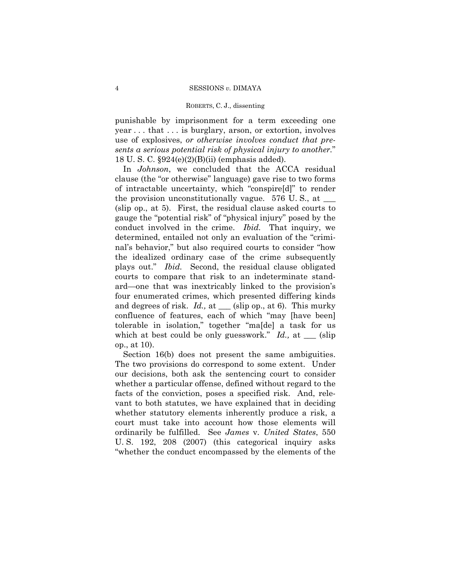punishable by imprisonment for a term exceeding one year . . . that . . . is burglary, arson, or extortion, involves use of explosives, *or otherwise involves conduct that presents a serious potential risk of physical injury to another.*" 18 U. S. C. §924(e)(2)(B)(ii) (emphasis added).

In *Johnson*, we concluded that the ACCA residual clause (the "or otherwise" language) gave rise to two forms of intractable uncertainty, which "conspire[d]" to render the provision unconstitutionally vague.  $576$  U.S., at  $\overline{\phantom{a}}$ (slip op., at 5). First, the residual clause asked courts to gauge the "potential risk" of "physical injury" posed by the conduct involved in the crime. *Ibid.* That inquiry, we determined, entailed not only an evaluation of the "criminal's behavior," but also required courts to consider "how the idealized ordinary case of the crime subsequently plays out." *Ibid.* Second, the residual clause obligated courts to compare that risk to an indeterminate standard—one that was inextricably linked to the provision's four enumerated crimes, which presented differing kinds and degrees of risk. *Id.*, at \_\_\_ (slip op., at 6). This murky confluence of features, each of which "may [have been] tolerable in isolation," together "ma[de] a task for us which at best could be only guesswork." *Id.*, at \_\_\_ (slip op., at 10).

Section 16(b) does not present the same ambiguities. The two provisions do correspond to some extent. Under our decisions, both ask the sentencing court to consider whether a particular offense, defined without regard to the facts of the conviction, poses a specified risk. And, relevant to both statutes, we have explained that in deciding whether statutory elements inherently produce a risk, a court must take into account how those elements will ordinarily be fulfilled. See *James* v. *United States*, 550 U. S. 192, 208 (2007) (this categorical inquiry asks "whether the conduct encompassed by the elements of the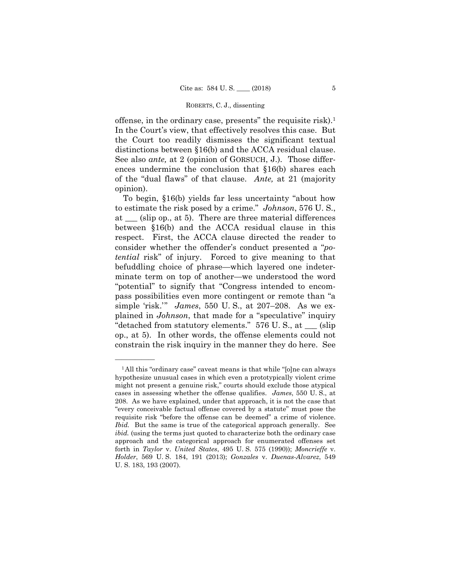offense, in the ordinary case, presents" the requisite risk).1 In the Court's view, that effectively resolves this case. But the Court too readily dismisses the significant textual distinctions between §16(b) and the ACCA residual clause. See also *ante,* at 2 (opinion of GORSUCH, J.). Those differences undermine the conclusion that §16(b) shares each of the "dual flaws" of that clause. *Ante,* at 21 (majority opinion).

To begin, §16(b) yields far less uncertainty "about how to estimate the risk posed by a crime." *Johnson*, 576 U. S., at \_\_\_ (slip op., at 5). There are three material differences between §16(b) and the ACCA residual clause in this respect. First, the ACCA clause directed the reader to consider whether the offender's conduct presented a "*potential* risk" of injury. Forced to give meaning to that befuddling choice of phrase—which layered one indeterminate term on top of another—we understood the word "potential" to signify that "Congress intended to encompass possibilities even more contingent or remote than "a simple 'risk.'" *James*, 550 U. S., at 207–208. As we explained in *Johnson*, that made for a "speculative" inquiry "detached from statutory elements." 576 U. S., at \_\_\_ (slip op., at 5). In other words, the offense elements could not constrain the risk inquiry in the manner they do here. See

<sup>1</sup>All this "ordinary case" caveat means is that while "[o]ne can always hypothesize unusual cases in which even a prototypically violent crime might not present a genuine risk," courts should exclude those atypical cases in assessing whether the offense qualifies. *James*, 550 U. S., at 208. As we have explained, under that approach, it is not the case that "every conceivable factual offense covered by a statute" must pose the requisite risk "before the offense can be deemed" a crime of violence. *Ibid.* But the same is true of the categorical approach generally. See *ibid.* (using the terms just quoted to characterize both the ordinary case approach and the categorical approach for enumerated offenses set forth in *Taylor* v. *United States*, 495 U. S. 575 (1990)); *Moncrieffe* v. *Holder*, 569 U. S. 184, 191 (2013); *Gonzales* v. *Duenas-Alvarez*, 549 U. S. 183, 193 (2007).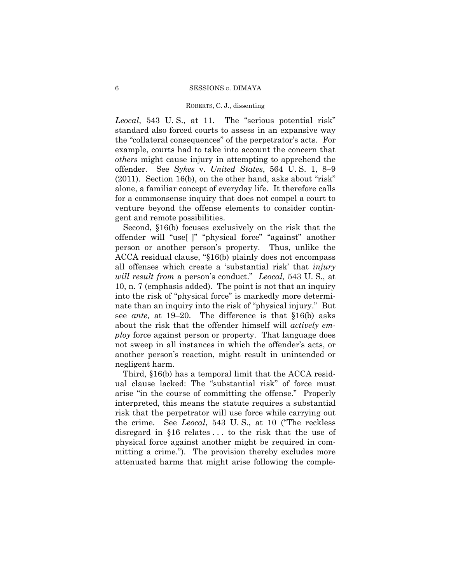*Leocal*, 543 U. S., at 11. The "serious potential risk" standard also forced courts to assess in an expansive way the "collateral consequences" of the perpetrator's acts. For example, courts had to take into account the concern that *others* might cause injury in attempting to apprehend the offender. See *Sykes* v. *United States*, 564 U. S. 1, 8–9 (2011). Section 16(b), on the other hand, asks about "risk" alone, a familiar concept of everyday life. It therefore calls for a commonsense inquiry that does not compel a court to venture beyond the offense elements to consider contingent and remote possibilities.

 Second, §16(b) focuses exclusively on the risk that the offender will "use[ ]" "physical force" "against" another person or another person's property. Thus, unlike the ACCA residual clause, "§16(b) plainly does not encompass all offenses which create a 'substantial risk' that *injury will result from* a person's conduct." *Leocal,* 543 U. S., at 10, n. 7 (emphasis added). The point is not that an inquiry into the risk of "physical force" is markedly more determinate than an inquiry into the risk of "physical injury." But see *ante,* at 19–20. The difference is that §16(b) asks about the risk that the offender himself will *actively employ* force against person or property. That language does not sweep in all instances in which the offender's acts, or another person's reaction, might result in unintended or negligent harm.

Third, §16(b) has a temporal limit that the ACCA residual clause lacked: The "substantial risk" of force must arise "in the course of committing the offense." Properly interpreted, this means the statute requires a substantial risk that the perpetrator will use force while carrying out the crime. See *Leocal*, 543 U. S., at 10 ("The reckless disregard in §16 relates . . . to the risk that the use of physical force against another might be required in committing a crime."). The provision thereby excludes more attenuated harms that might arise following the comple-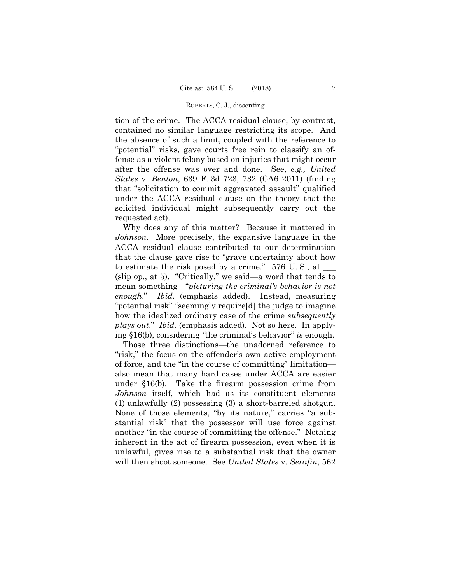tion of the crime. The ACCA residual clause, by contrast, contained no similar language restricting its scope. And the absence of such a limit, coupled with the reference to "potential" risks, gave courts free rein to classify an offense as a violent felony based on injuries that might occur after the offense was over and done. See, *e.g., United States* v. *Benton*, 639 F. 3d 723, 732 (CA6 2011) (finding that "solicitation to commit aggravated assault" qualified under the ACCA residual clause on the theory that the solicited individual might subsequently carry out the requested act).

Why does any of this matter? Because it mattered in *Johnson*. More precisely, the expansive language in the ACCA residual clause contributed to our determination that the clause gave rise to "grave uncertainty about how to estimate the risk posed by a crime."  $576$  U.S., at  $\_\_$ (slip op., at 5). "Critically," we said—a word that tends to mean something—"*picturing the criminal's behavior is not enough*." *Ibid.* (emphasis added). Instead, measuring "potential risk" "seemingly require[d] the judge to imagine how the idealized ordinary case of the crime *subsequently plays out*." *Ibid.* (emphasis added). Not so here. In applying §16(b), considering *"*the criminal's behavior" *is* enough.

 (1) unlawfully (2) possessing (3) a short-barreled shotgun. Those three distinctions—the unadorned reference to "risk," the focus on the offender's own active employment of force, and the "in the course of committing" limitation also mean that many hard cases under ACCA are easier under §16(b). Take the firearm possession crime from *Johnson* itself, which had as its constituent elements None of those elements, "by its nature," carries "a substantial risk" that the possessor will use force against another "in the course of committing the offense." Nothing inherent in the act of firearm possession, even when it is unlawful, gives rise to a substantial risk that the owner will then shoot someone. See *United States* v. *Serafin*, 562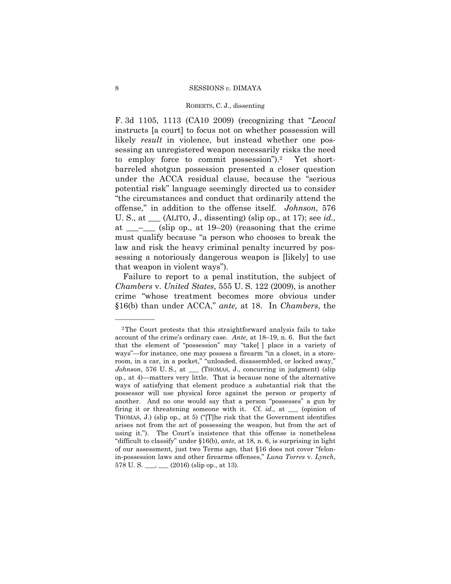#### ROBERTS, C. J., dissenting

 offense," in addition to the offense itself. *Johnson*, 576 F. 3d 1105, 1113 (CA10 2009) (recognizing that "*Leocal*  instructs [a court] to focus not on whether possession will likely *result* in violence, but instead whether one possessing an unregistered weapon necessarily risks the need to employ force to commit possession").2 Yet shortbarreled shotgun possession presented a closer question under the ACCA residual clause, because the "serious potential risk" language seemingly directed us to consider "the circumstances and conduct that ordinarily attend the U. S., at \_\_\_ (ALITO, J., dissenting) (slip op., at 17); see *id.,*  at  $\_\_\_\_\_\_\$ (slip op., at 19–20) (reasoning that the crime must qualify because "a person who chooses to break the law and risk the heavy criminal penalty incurred by possessing a notoriously dangerous weapon is [likely] to use that weapon in violent ways").

Failure to report to a penal institution, the subject of *Chambers* v. *United States*, 555 U. S. 122 (2009), is another crime "whose treatment becomes more obvious under §16(b) than under ACCA," *ante,* at 18. In *Chambers*, the

<sup>2</sup>The Court protests that this straightforward analysis fails to take account of the crime's ordinary case. *Ante,* at 18–19, n. 6. But the fact that the element of "possession" may "take[ ] place in a variety of ways"—for instance, one may possess a firearm "in a closet, in a storeroom, in a car, in a pocket," "unloaded, disassembled, or locked away," *Johnson*, 576 U. S., at \_\_\_ (THOMAS, J., concurring in judgment) (slip op., at 4)—matters very little. That is because none of the alternative ways of satisfying that element produce a substantial risk that the possessor will use physical force against the person or property of another. And no one would say that a person "possesses" a gun by firing it or threatening someone with it. Cf. *id.,* at \_\_\_ (opinion of THOMAS, J.) (slip op., at 5) ("[T]he risk that the Government identifies arises not from the act of possessing the weapon, but from the act of using it."). The Court's insistence that this offense is nonetheless "difficult to classify" under §16(b), *ante,* at 18, n. 6, is surprising in light of our assessment, just two Terms ago, that §16 does not cover "felonin-possession laws and other firearms offenses," *Luna Torres* v. *Lynch*, 578 U.S.  $\_\_\_\_\_\_\_\_\_\_$  (2016) (slip op., at 13).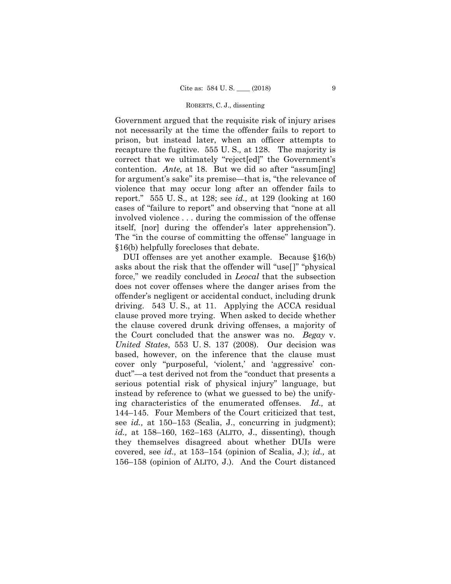Government argued that the requisite risk of injury arises not necessarily at the time the offender fails to report to prison, but instead later, when an officer attempts to recapture the fugitive. 555 U. S.*,* at 128. The majority is correct that we ultimately "reject[ed]" the Government's contention. *Ante,* at 18. But we did so after "assum[ing] for argument's sake" its premise—that is, "the relevance of violence that may occur long after an offender fails to report." 555 U. S., at 128; see *id.,* at 129 (looking at 160 cases of "failure to report" and observing that "none at all involved violence . . . during the commission of the offense itself, [nor] during the offender's later apprehension"). The "in the course of committing the offense" language in §16(b) helpfully forecloses that debate.

DUI offenses are yet another example. Because §16(b) asks about the risk that the offender will "use[]" "physical force," we readily concluded in *Leocal* that the subsection does not cover offenses where the danger arises from the offender's negligent or accidental conduct, including drunk driving. 543 U. S., at 11. Applying the ACCA residual clause proved more trying. When asked to decide whether the clause covered drunk driving offenses, a majority of the Court concluded that the answer was no. *Begay* v. *United States*, 553 U. S. 137 (2008). Our decision was based, however, on the inference that the clause must cover only "purposeful, 'violent,' and 'aggressive' conduct"—a test derived not from the "conduct that presents a serious potential risk of physical injury" language, but instead by reference to (what we guessed to be) the unifying characteristics of the enumerated offenses. *Id.,* at 144–145. Four Members of the Court criticized that test, see *id.,* at 150–153 (Scalia, J., concurring in judgment); *id.,* at 158–160, 162–163 (ALITO, J., dissenting), though they themselves disagreed about whether DUIs were covered, see *id.,* at 153–154 (opinion of Scalia, J.); *id.,* at 156–158 (opinion of ALITO, J.). And the Court distanced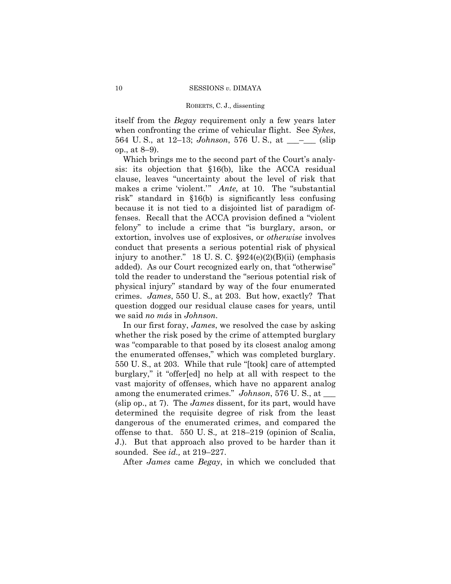itself from the *Begay* requirement only a few years later when confronting the crime of vehicular flight. See *Sykes*, 564 U.S., at 12–13; *Johnson*, 576 U.S., at \_\_\_\_\_\_ (slip op., at 8–9).

Which brings me to the second part of the Court's analysis: its objection that §16(b), like the ACCA residual clause, leaves "uncertainty about the level of risk that makes a crime 'violent.'" *Ante,* at 10. The "substantial risk" standard in §16(b) is significantly less confusing because it is not tied to a disjointed list of paradigm offenses. Recall that the ACCA provision defined a "violent felony" to include a crime that "is burglary, arson, or extortion, involves use of explosives, or *otherwise* involves conduct that presents a serious potential risk of physical injury to another." 18 U.S.C.  $\S 924(e)(2)(B)(ii)$  (emphasis added). As our Court recognized early on, that "otherwise" told the reader to understand the "serious potential risk of physical injury" standard by way of the four enumerated crimes. *James*, 550 U. S., at 203. But how, exactly? That question dogged our residual clause cases for years, until we said *no más* in *Johnson*.

In our first foray, *James*, we resolved the case by asking whether the risk posed by the crime of attempted burglary was "comparable to that posed by its closest analog among the enumerated offenses," which was completed burglary. 550 U. S., at 203. While that rule "[took] care of attempted burglary," it "offer[ed] no help at all with respect to the vast majority of offenses, which have no apparent analog among the enumerated crimes." *Johnson*, 576 U.S., at (slip op., at 7). The *James* dissent, for its part, would have determined the requisite degree of risk from the least dangerous of the enumerated crimes, and compared the offense to that. 550 U. S.*,* at 218–219 (opinion of Scalia, J.). But that approach also proved to be harder than it sounded. See *id.,* at 219–227.

After *James* came *Begay*, in which we concluded that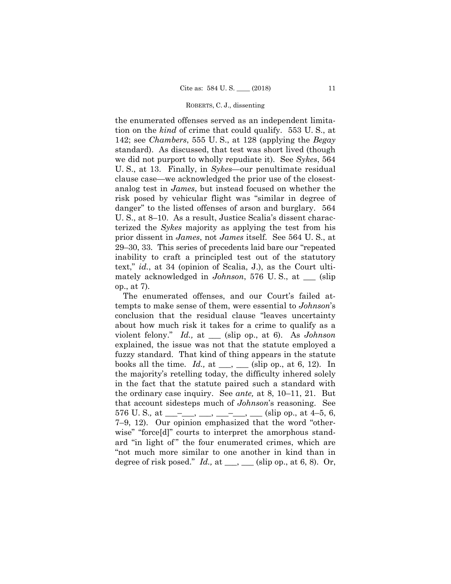the enumerated offenses served as an independent limitation on the *kind* of crime that could qualify. 553 U. S., at 142; see *Chambers*, 555 U. S., at 128 (applying the *Begay*  standard). As discussed, that test was short lived (though we did not purport to wholly repudiate it). See *Sykes*, 564 U. S., at 13. Finally, in *Sykes*—our penultimate residual clause case—we acknowledged the prior use of the closestanalog test in *James*, but instead focused on whether the risk posed by vehicular flight was "similar in degree of danger" to the listed offenses of arson and burglary. 564 U. S., at 8–10. As a result, Justice Scalia's dissent characterized the *Sykes* majority as applying the test from his prior dissent in *James*, not *James* itself. See 564 U. S., at 29–30, 33. This series of precedents laid bare our "repeated inability to craft a principled test out of the statutory text," *id.*, at 34 (opinion of Scalia, J.), as the Court ultimately acknowledged in *Johnson*, 576 U. S., at \_\_\_ (slip op., at 7).

books all the time.  $Id.$ , at  $\underline{\hspace{1cm}}$ ,  $\underline{\hspace{1cm}}$ ,  $\underline{\hspace{1cm}}$  (slip op., at 6, 12). In The enumerated offenses, and our Court's failed attempts to make sense of them, were essential to *Johnson*'s conclusion that the residual clause "leaves uncertainty about how much risk it takes for a crime to qualify as a violent felony." *Id.,* at \_\_\_ (slip op., at 6). As *Johnson*  explained, the issue was not that the statute employed a fuzzy standard. That kind of thing appears in the statute the majority's retelling today, the difficulty inhered solely in the fact that the statute paired such a standard with the ordinary case inquiry. See *ante,* at 8, 10–11, 21. But that account sidesteps much of *Johnson*'s reasoning. See 576 U. S.*,* at \_\_\_–\_\_\_, \_\_\_, \_\_\_–\_\_\_, \_\_\_ (slip op., at 4–5, 6, 7–9, 12). Our opinion emphasized that the word "otherwise" "force[d]" courts to interpret the amorphous standard "in light of" the four enumerated crimes, which are "not much more similar to one another in kind than in degree of risk posed." *Id.,* at \_\_\_, \_\_\_ (slip op., at 6, 8). Or,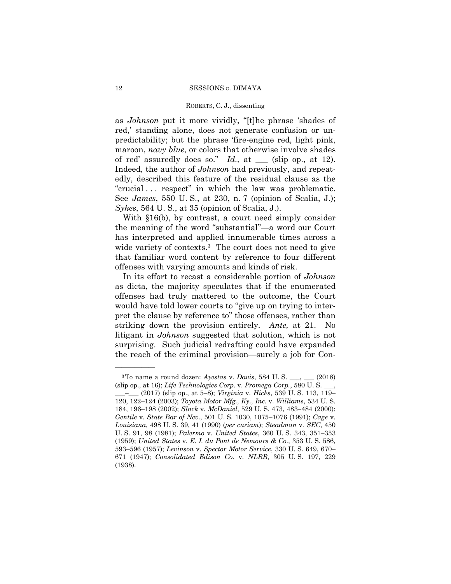as *Johnson* put it more vividly, "[t]he phrase 'shades of red,' standing alone, does not generate confusion or unpredictability; but the phrase 'fire-engine red, light pink, maroon, *navy blue*, or colors that otherwise involve shades of red' assuredly does so." *Id.,* at \_\_\_ (slip op., at 12). Indeed, the author of *Johnson* had previously, and repeatedly, described this feature of the residual clause as the "crucial . . . respect" in which the law was problematic. See *James*, 550 U. S., at 230, n. 7 (opinion of Scalia, J.); *Sykes*, 564 U. S., at 35 (opinion of Scalia, J.).

With §16(b), by contrast, a court need simply consider the meaning of the word "substantial"—a word our Court has interpreted and applied innumerable times across a wide variety of contexts.<sup>3</sup> The court does not need to give that familiar word content by reference to four different offenses with varying amounts and kinds of risk.

In its effort to recast a considerable portion of *Johnson*  as dicta, the majority speculates that if the enumerated offenses had truly mattered to the outcome, the Court would have told lower courts to "give up on trying to interpret the clause by reference to" those offenses, rather than striking down the provision entirely. *Ante,* at 21. No litigant in *Johnson* suggested that solution, which is not surprising. Such judicial redrafting could have expanded the reach of the criminal provision—surely a job for Con-

<sup>3</sup>To name a round dozen: *Ayestas* v. *Davis*, 584 U. S. \_\_\_, \_\_\_ (2018) (slip op., at 16); *Life Technologies Corp.* v. *Promega Corp.*, 580 U. S. \_\_\_,

\_\_\_–\_\_\_ (2017) (slip op., at 5–8); *Virginia* v. *Hicks*, 539 U. S. 113, 119– 120, 122–124 (2003); *Toyota Motor Mfg., Ky., Inc.* v. *Williams*, 534 U. S. 184, 196–198 (2002); *Slack* v. *McDaniel*, 529 U. S. 473, 483–484 (2000); *Gentile* v. *State Bar of Nev.*, 501 U. S. 1030, 1075–1076 (1991); *Cage* v. *Louisiana*, 498 U. S. 39, 41 (1990) (*per curiam*); *Steadman* v. *SEC*, 450 U. S. 91, 98 (1981); *Palermo* v. *United States*, 360 U. S. 343, 351–353 (1959); *United States* v. *E. I. du Pont de Nemours & Co.*, 353 U. S. 586, 593–596 (1957); *Levinson* v. *Spector Motor Service*, 330 U. S. 649, 670– 671 (1947); *Consolidated Edison Co.* v. *NLRB*, 305 U. S. 197, 229 (1938).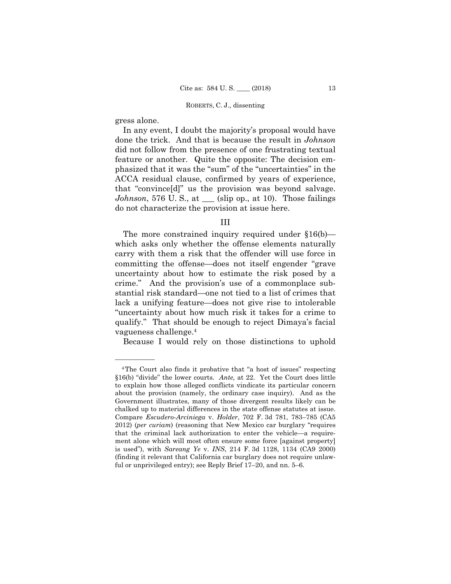gress alone.

——————

In any event, I doubt the majority's proposal would have done the trick. And that is because the result in *Johnson*  did not follow from the presence of one frustrating textual feature or another. Quite the opposite: The decision emphasized that it was the "sum" of the "uncertainties" in the ACCA residual clause, confirmed by years of experience, that "convince[d]" us the provision was beyond salvage. *Johnson*, 576 U.S., at \_\_ (slip op., at 10). Those failings do not characterize the provision at issue here.

III

The more constrained inquiry required under §16(b) which asks only whether the offense elements naturally carry with them a risk that the offender will use force in committing the offense—does not itself engender "grave uncertainty about how to estimate the risk posed by a crime." And the provision's use of a commonplace substantial risk standard—one not tied to a list of crimes that lack a unifying feature—does not give rise to intolerable "uncertainty about how much risk it takes for a crime to qualify." That should be enough to reject Dimaya's facial vagueness challenge.4

Because I would rely on those distinctions to uphold

<sup>4</sup>The Court also finds it probative that "a host of issues" respecting §16(b) "divide" the lower courts. *Ante,* at 22. Yet the Court does little to explain how those alleged conflicts vindicate its particular concern about the provision (namely, the ordinary case inquiry). And as the Government illustrates, many of those divergent results likely can be chalked up to material differences in the state offense statutes at issue. Compare *Escudero-Arciniega* v. *Holder*, 702 F. 3d 781, 783–785 (CA5 2012) (*per curiam*) (reasoning that New Mexico car burglary "requires that the criminal lack authorization to enter the vehicle—a requirement alone which will most often ensure some force [against property] is used"), with *Sareang Ye* v. *INS*, 214 F. 3d 1128, 1134 (CA9 2000) (finding it relevant that California car burglary does not require unlawful or unprivileged entry); see Reply Brief 17–20, and nn. 5–6.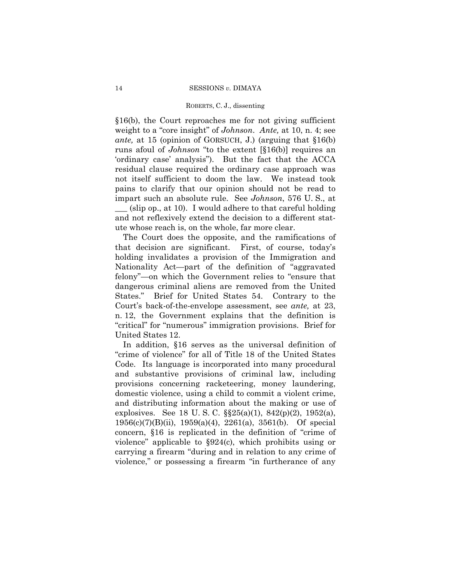§16(b), the Court reproaches me for not giving sufficient weight to a "core insight" of *Johnson*. *Ante,* at 10, n. 4; see *ante,* at 15 (opinion of GORSUCH, J.) (arguing that §16(b) runs afoul of *Johnson* "to the extent [§16(b)] requires an 'ordinary case' analysis"). But the fact that the ACCA residual clause required the ordinary case approach was not itself sufficient to doom the law. We instead took pains to clarify that our opinion should not be read to impart such an absolute rule. See *Johnson*, 576 U. S., at  $\alpha$  (slip op., at 10). I would adhere to that careful holding and not reflexively extend the decision to a different statute whose reach is, on the whole, far more clear.

The Court does the opposite, and the ramifications of that decision are significant. First, of course, today's holding invalidates a provision of the Immigration and Nationality Act—part of the definition of "aggravated felony"—on which the Government relies to "ensure that dangerous criminal aliens are removed from the United States." Brief for United States 54. Contrary to the Court's back-of-the-envelope assessment, see *ante,* at 23, n. 12, the Government explains that the definition is "critical" for "numerous" immigration provisions. Brief for United States 12.

In addition, §16 serves as the universal definition of "crime of violence" for all of Title 18 of the United States Code. Its language is incorporated into many procedural and substantive provisions of criminal law, including provisions concerning racketeering, money laundering, domestic violence, using a child to commit a violent crime, and distributing information about the making or use of explosives. See 18 U. S. C. §§25(a)(1), 842(p)(2), 1952(a), 1956(c)(7)(B)(ii), 1959(a)(4), 2261(a), 3561(b). Of special concern, §16 is replicated in the definition of "crime of violence" applicable to §924(c), which prohibits using or carrying a firearm "during and in relation to any crime of violence," or possessing a firearm "in furtherance of any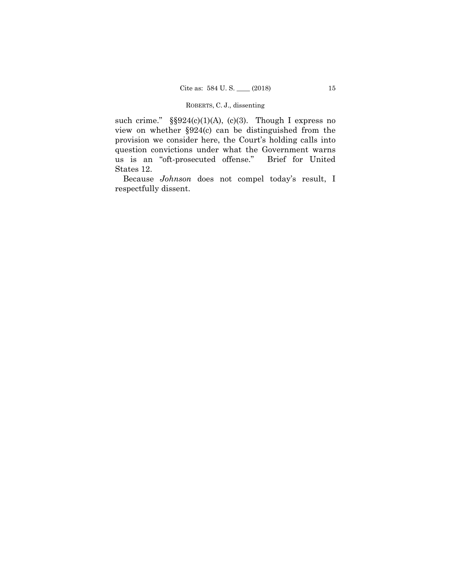such crime." §§924(c)(1)(A), (c)(3). Though I express no view on whether §924(c) can be distinguished from the provision we consider here, the Court's holding calls into question convictions under what the Government warns us is an "oft-prosecuted offense." Brief for United States 12.

Because *Johnson* does not compel today's result, I respectfully dissent.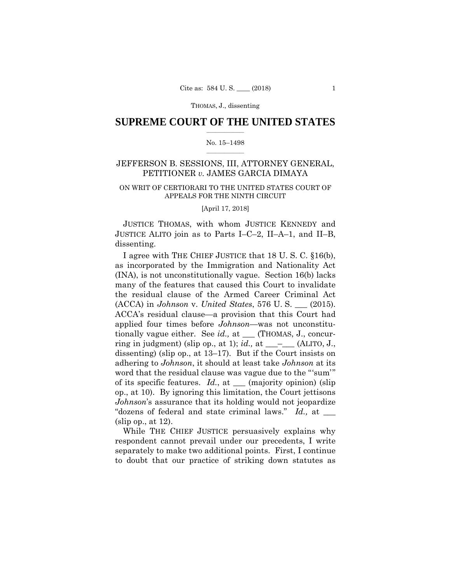THOMAS, J., dissenting

# $\frac{1}{2}$  ,  $\frac{1}{2}$  ,  $\frac{1}{2}$  ,  $\frac{1}{2}$  ,  $\frac{1}{2}$  ,  $\frac{1}{2}$  ,  $\frac{1}{2}$ **SUPREME COURT OF THE UNITED STATES**

## $\frac{1}{2}$  ,  $\frac{1}{2}$  ,  $\frac{1}{2}$  ,  $\frac{1}{2}$  ,  $\frac{1}{2}$  ,  $\frac{1}{2}$ No. 15–1498

# JEFFERSON B. SESSIONS, III, ATTORNEY GENERAL, PETITIONER *v.* JAMES GARCIA DIMAYA

# ON WRIT OF CERTIORARI TO THE UNITED STATES COURT OF APPEALS FOR THE NINTH CIRCUIT

[April 17, 2018]

JUSTICE THOMAS, with whom JUSTICE KENNEDY and JUSTICE ALITO join as to Parts I–C–2, II–A–1, and II–B, dissenting.

ring in judgment) (slip op., at 1);  $id.$ , at  $\_\_\_\_\_\_\_\_\$  (ALITO, J., I agree with THE CHIEF JUSTICE that 18 U. S. C. §16(b), as incorporated by the Immigration and Nationality Act (INA), is not unconstitutionally vague. Section 16(b) lacks many of the features that caused this Court to invalidate the residual clause of the Armed Career Criminal Act (ACCA) in *Johnson* v. *United States*, 576 U. S. \_\_\_ (2015). ACCA's residual clause—a provision that this Court had applied four times before *Johnson*—was not unconstitutionally vague either. See *id.,* at \_\_\_ (THOMAS, J., concurdissenting) (slip op., at 13–17). But if the Court insists on adhering to *Johnson*, it should at least take *Johnson* at its word that the residual clause was vague due to the "'sum'" of its specific features. *Id.*, at \_\_\_ (majority opinion) (slip op., at 10). By ignoring this limitation, the Court jettisons *Johnson*'s assurance that its holding would not jeopardize "dozens of federal and state criminal laws." *Id.,* at \_\_\_ (slip op., at 12).

 While THE CHIEF JUSTICE persuasively explains why respondent cannot prevail under our precedents, I write separately to make two additional points. First, I continue to doubt that our practice of striking down statutes as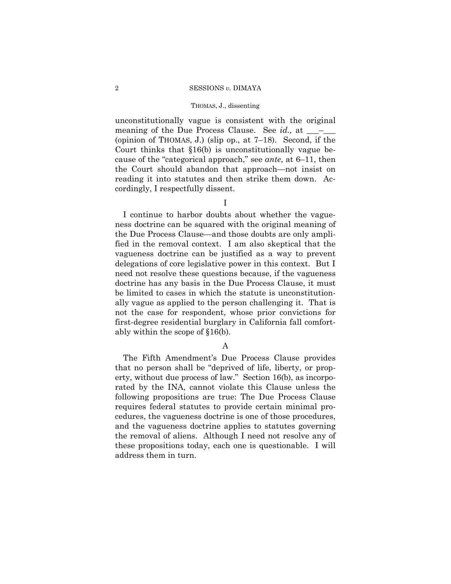## THOMAS, J., dissenting

unconstitutionally vague is consistent with the original meaning of the Due Process Clause. See *id.*, at \_\_\_ (opinion of THOMAS, J.) (slip op., at 7–18). Second, if the Court thinks that §16(b) is unconstitutionally vague because of the "categorical approach," see *ante*, at 6–11, then the Court should abandon that approach—not insist on reading it into statutes and then strike them down. Accordingly, I respectfully dissent.

I

 fied in the removal context. I am also skeptical that the I continue to harbor doubts about whether the vagueness doctrine can be squared with the original meaning of the Due Process Clause—and those doubts are only amplivagueness doctrine can be justified as a way to prevent delegations of core legislative power in this context. But I need not resolve these questions because, if the vagueness doctrine has any basis in the Due Process Clause, it must be limited to cases in which the statute is unconstitutionally vague as applied to the person challenging it. That is not the case for respondent, whose prior convictions for first-degree residential burglary in California fall comfortably within the scope of §16(b).

A

The Fifth Amendment's Due Process Clause provides that no person shall be "deprived of life, liberty, or property, without due process of law." Section 16(b), as incorporated by the INA, cannot violate this Clause unless the following propositions are true: The Due Process Clause requires federal statutes to provide certain minimal procedures, the vagueness doctrine is one of those procedures, and the vagueness doctrine applies to statutes governing the removal of aliens. Although I need not resolve any of these propositions today, each one is questionable. I will address them in turn.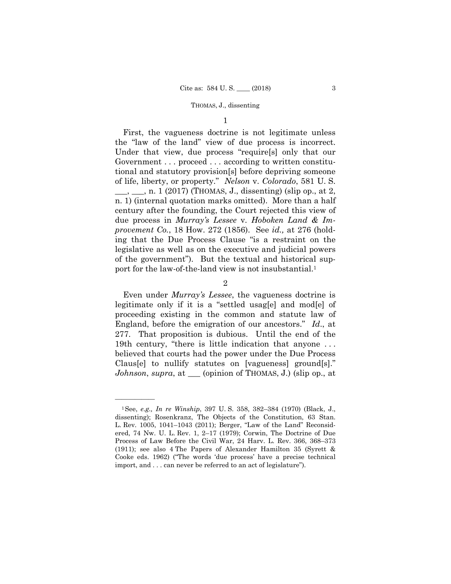## THOMAS, J., dissenting

1

First, the vagueness doctrine is not legitimate unless the "law of the land" view of due process is incorrect. Under that view, due process "require[s] only that our Government . . . proceed . . . according to written constitutional and statutory provision[s] before depriving someone of life, liberty, or property." *Nelson* v. *Colorado*, 581 U. S. \_\_\_, \_\_\_, n. 1 (2017) (THOMAS, J., dissenting) (slip op., at 2, n. 1) (internal quotation marks omitted). More than a half century after the founding, the Court rejected this view of due process in *Murray's Lessee* v. *Hoboken Land & Improvement Co.*, 18 How. 272 (1856). See *id.,* at 276 (holding that the Due Process Clause "is a restraint on the legislative as well as on the executive and judicial powers of the government"). But the textual and historical support for the law-of-the-land view is not insubstantial.<sup>1</sup>

2

 Even under *Murray's Lessee*, the vagueness doctrine is legitimate only if it is a "settled usag[e] and mod[e] of proceeding existing in the common and statute law of England, before the emigration of our ancestors." *Id*., at 277. That proposition is dubious. Until the end of the 19th century, "there is little indication that anyone . . . believed that courts had the power under the Due Process Claus[e] to nullify statutes on [vagueness] ground[s]." *Johnson*, *supra*, at \_\_\_ (opinion of THOMAS, J.) (slip op., at

<sup>1</sup>See, *e.g., In re Winship*, 397 U. S. 358, 382–384 (1970) (Black, J., dissenting); Rosenkranz, The Objects of the Constitution, 63 Stan. L. Rev. 1005, 1041–1043 (2011); Berger, "Law of the Land" Reconsidered, 74 Nw. U. L. Rev. 1, 2–17 (1979); Corwin, The Doctrine of Due Process of Law Before the Civil War, 24 Harv. L. Rev. 366, 368–373 (1911); see also 4 The Papers of Alexander Hamilton 35 (Syrett & Cooke eds. 1962) ("The words 'due process' have a precise technical import, and . . . can never be referred to an act of legislature").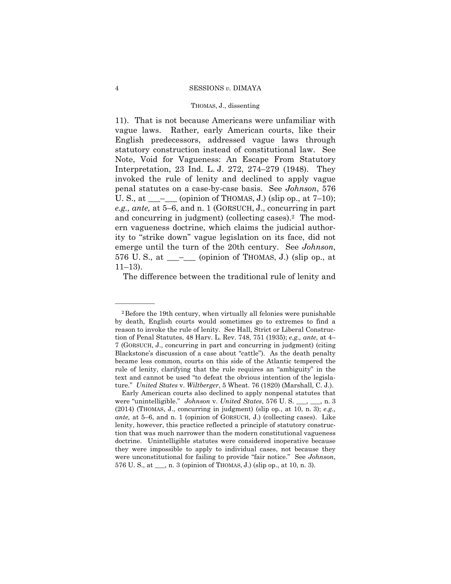## THOMAS, J., dissenting

11). That is not because Americans were unfamiliar with vague laws. Rather, early American courts, like their English predecessors, addressed vague laws through statutory construction instead of constitutional law. See Note, Void for Vagueness: An Escape From Statutory Interpretation, 23 Ind. L. J. 272, 274–279 (1948). They invoked the rule of lenity and declined to apply vague penal statutes on a case-by-case basis. See *Johnson*, 576 U. S., at  $\_\_\_\_\_$  (opinion of THOMAS, J.) (slip op., at 7–10); *e.g., ante,* at 5–6, and n. 1 (GORSUCH, J., concurring in part and concurring in judgment) (collecting cases).2 The modern vagueness doctrine, which claims the judicial authority to "strike down" vague legislation on its face, did not emerge until the turn of the 20th century. See *Johnson*, 576 U.S., at  $\_\_\_\_\_$  (opinion of THOMAS, J.) (slip op., at 11–13).

The difference between the traditional rule of lenity and

 by death, English courts would sometimes go to extremes to find a 2Before the 19th century, when virtually all felonies were punishable reason to invoke the rule of lenity. See Hall, Strict or Liberal Construction of Penal Statutes, 48 Harv. L. Rev. 748, 751 (1935); *e.g., ante,* at 4– 7 (GORSUCH, J., concurring in part and concurring in judgment) (citing Blackstone's discussion of a case about "cattle"). As the death penalty became less common, courts on this side of the Atlantic tempered the rule of lenity, clarifying that the rule requires an "ambiguity" in the text and cannot be used "to defeat the obvious intention of the legislature." *United States* v. *Wiltberger*, 5 Wheat. 76 (1820) (Marshall, C. J.).

Early American courts also declined to apply nonpenal statutes that were "unintelligible." *Johnson* v. *United States*, 576 U. S. \_\_\_, \_\_\_, n. 3 (2014) (THOMAS, J., concurring in judgment) (slip op., at 10, n. 3); *e.g., ante,* at 5–6, and n. 1 (opinion of GORSUCH, J.) (collecting cases). Like lenity, however, this practice reflected a principle of statutory construction that was much narrower than the modern constitutional vagueness doctrine. Unintelligible statutes were considered inoperative because they were impossible to apply to individual cases, not because they were unconstitutional for failing to provide "fair notice." See *Johnson*, 576 U. S., at \_\_\_, n. 3 (opinion of THOMAS, J.) (slip op., at 10, n. 3).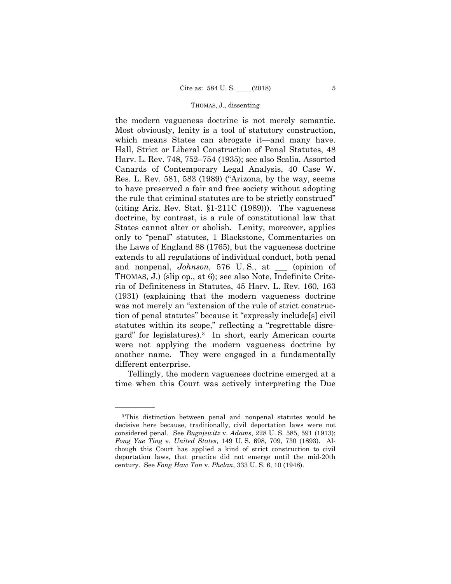## THOMAS, J., dissenting

the modern vagueness doctrine is not merely semantic. Most obviously, lenity is a tool of statutory construction, which means States can abrogate it—and many have. Hall, Strict or Liberal Construction of Penal Statutes, 48 Harv. L. Rev. 748, 752–754 (1935); see also Scalia, Assorted Canards of Contemporary Legal Analysis, 40 Case W. Res. L. Rev. 581, 583 (1989) ("Arizona, by the way, seems to have preserved a fair and free society without adopting the rule that criminal statutes are to be strictly construed" (citing Ariz. Rev. Stat. §1-211C (1989))). The vagueness doctrine, by contrast, is a rule of constitutional law that States cannot alter or abolish. Lenity, moreover, applies only to "penal" statutes, 1 Blackstone, Commentaries on the Laws of England 88 (1765), but the vagueness doctrine extends to all regulations of individual conduct, both penal and nonpenal, *Johnson*, 576 U.S., at \_\_\_ (opinion of THOMAS, J.) (slip op., at 6); see also Note, Indefinite Criteria of Definiteness in Statutes, 45 Harv. L. Rev. 160, 163 (1931) (explaining that the modern vagueness doctrine was not merely an "extension of the rule of strict construction of penal statutes" because it "expressly include[s] civil statutes within its scope," reflecting a "regrettable disregard" for legislatures).3 In short, early American courts were not applying the modern vagueness doctrine by another name. They were engaged in a fundamentally different enterprise.

Tellingly, the modern vagueness doctrine emerged at a time when this Court was actively interpreting the Due

<sup>3</sup>This distinction between penal and nonpenal statutes would be decisive here because, traditionally, civil deportation laws were not considered penal. See *Bugajewitz* v. *Adams*, 228 U. S. 585, 591 (1913); *Fong Yue Ting* v. *United States*, 149 U. S. 698, 709, 730 (1893). Although this Court has applied a kind of strict construction to civil deportation laws, that practice did not emerge until the mid-20th century. See *Fong Haw Tan* v. *Phelan*, 333 U. S. 6, 10 (1948).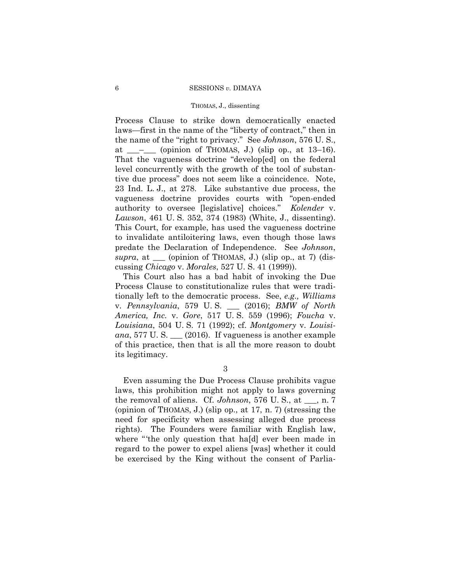## THOMAS, J., dissenting

Process Clause to strike down democratically enacted laws—first in the name of the "liberty of contract," then in the name of the "right to privacy." See *Johnson*, 576 U. S., at  $\_\_\_\_\_\_\$  (opinion of THOMAS, J.) (slip op., at 13–16). That the vagueness doctrine "develop[ed] on the federal level concurrently with the growth of the tool of substantive due process" does not seem like a coincidence. Note, 23 Ind. L. J., at 278. Like substantive due process, the vagueness doctrine provides courts with "open-ended authority to oversee [legislative] choices." *Kolender* v. *Lawson*, 461 U. S. 352, 374 (1983) (White, J., dissenting). This Court, for example, has used the vagueness doctrine to invalidate antiloitering laws, even though those laws predate the Declaration of Independence. See *Johnson*, *supra*, at \_\_\_ (opinion of THOMAS, J.) (slip op., at 7) (discussing *Chicago* v. *Morales*, 527 U. S. 41 (1999)).

 tionally left to the democratic process. See, *e.g., Williams*  This Court also has a bad habit of invoking the Due Process Clause to constitutionalize rules that were tradiv. *Pennsylvania*, 579 U. S. \_\_\_ (2016); *BMW of North America, Inc.* v. *Gore*, 517 U. S. 559 (1996); *Foucha* v. *Louisiana*, 504 U. S. 71 (1992); cf. *Montgomery* v. *Louisiana*, 577 U. S. \_\_\_ (2016). If vagueness is another example of this practice, then that is all the more reason to doubt its legitimacy.

3

 (opinion of THOMAS, J.) (slip op., at 17, n. 7) (stressing the Even assuming the Due Process Clause prohibits vague laws, this prohibition might not apply to laws governing the removal of aliens. Cf. *Johnson*, 576 U. S., at \_\_\_, n. 7 need for specificity when assessing alleged due process rights). The Founders were familiar with English law, where "'the only question that ha[d] ever been made in regard to the power to expel aliens [was] whether it could be exercised by the King without the consent of Parlia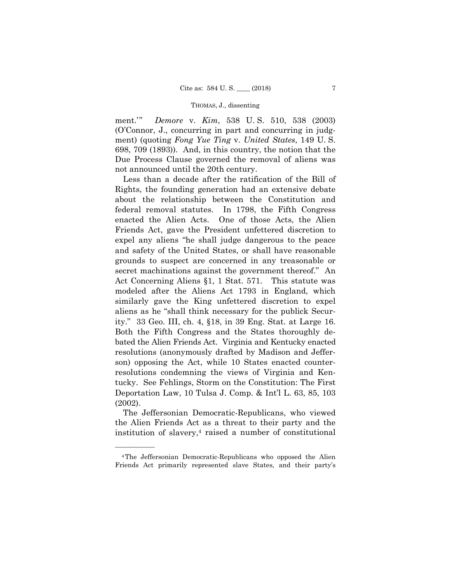## THOMAS, J., dissenting

ment.'" *Demore* v. *Kim*, 538 U. S. 510, 538 (2003) (O'Connor, J., concurring in part and concurring in judgment) (quoting *Fong Yue Ting* v. *United States*, 149 U. S. 698, 709 (1893)). And, in this country, the notion that the Due Process Clause governed the removal of aliens was not announced until the 20th century.

 Act Concerning Aliens §1, 1 Stat. 571. This statute was Less than a decade after the ratification of the Bill of Rights, the founding generation had an extensive debate about the relationship between the Constitution and federal removal statutes. In 1798, the Fifth Congress enacted the Alien Acts. One of those Acts, the Alien Friends Act, gave the President unfettered discretion to expel any aliens "he shall judge dangerous to the peace and safety of the United States, or shall have reasonable grounds to suspect are concerned in any treasonable or secret machinations against the government thereof." An modeled after the Aliens Act 1793 in England, which similarly gave the King unfettered discretion to expel aliens as he "shall think necessary for the publick Security." 33 Geo. III, ch. 4, §18, in 39 Eng. Stat. at Large 16. Both the Fifth Congress and the States thoroughly debated the Alien Friends Act. Virginia and Kentucky enacted resolutions (anonymously drafted by Madison and Jefferson) opposing the Act, while 10 States enacted counterresolutions condemning the views of Virginia and Kentucky. See Fehlings, Storm on the Constitution: The First Deportation Law, 10 Tulsa J. Comp. & Int'l L. 63, 85, 103 (2002).

The Jeffersonian Democratic-Republicans, who viewed the Alien Friends Act as a threat to their party and the institution of slavery, $4$  raised a number of constitutional

<sup>4</sup>The Jeffersonian Democratic-Republicans who opposed the Alien Friends Act primarily represented slave States, and their party's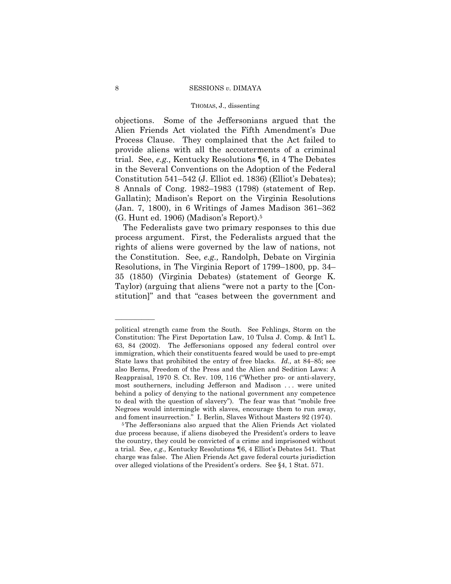## THOMAS, J., dissenting

objections. Some of the Jeffersonians argued that the Alien Friends Act violated the Fifth Amendment's Due Process Clause. They complained that the Act failed to provide aliens with all the accouterments of a criminal trial. See, *e.g.,* Kentucky Resolutions ¶6, in 4 The Debates in the Several Conventions on the Adoption of the Federal Constitution 541–542 (J. Elliot ed. 1836) (Elliot's Debates); 8 Annals of Cong. 1982–1983 (1798) (statement of Rep. Gallatin); Madison's Report on the Virginia Resolutions (Jan. 7, 1800), in 6 Writings of James Madison 361–362 (G. Hunt ed. 1906) (Madison's Report).5

The Federalists gave two primary responses to this due process argument. First, the Federalists argued that the rights of aliens were governed by the law of nations, not the Constitution. See, *e.g.,* Randolph, Debate on Virginia Resolutions, in The Virginia Report of 1799–1800, pp. 34– 35 (1850) (Virginia Debates) (statement of George K. Taylor) (arguing that aliens "were not a party to the [Constitution]" and that "cases between the government and

political strength came from the South. See Fehlings, Storm on the Constitution: The First Deportation Law, 10 Tulsa J. Comp. & Int'l L. 63, 84 (2002). The Jeffersonians opposed any federal control over immigration, which their constituents feared would be used to pre-empt State laws that prohibited the entry of free blacks. *Id.,* at 84–85; see also Berns, Freedom of the Press and the Alien and Sedition Laws: A Reappraisal, 1970 S. Ct. Rev. 109, 116 ("Whether pro- or anti-slavery, most southerners, including Jefferson and Madison . . . were united behind a policy of denying to the national government any competence to deal with the question of slavery"). The fear was that "mobile free Negroes would intermingle with slaves, encourage them to run away,

and foment insurrection." I. Berlin, Slaves Without Masters 92 (1974).<br><sup>5</sup>The Jeffersonians also argued that the Alien Friends Act violated due process because, if aliens disobeyed the President's orders to leave the country, they could be convicted of a crime and imprisoned without a trial. See, *e.g.,* Kentucky Resolutions ¶6, 4 Elliot's Debates 541. That charge was false. The Alien Friends Act gave federal courts jurisdiction over alleged violations of the President's orders. See §4, 1 Stat. 571.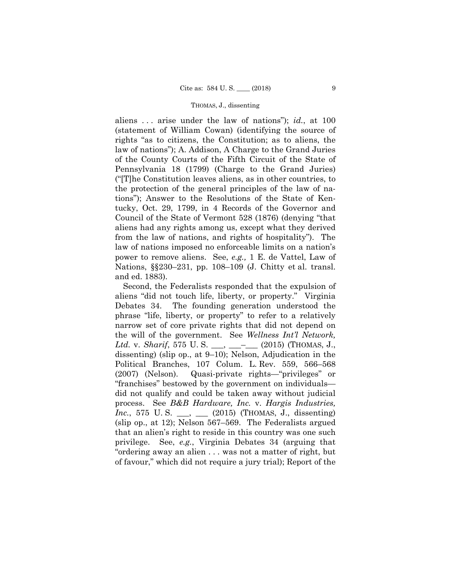aliens . . . arise under the law of nations"); *id.*, at 100 (statement of William Cowan) (identifying the source of rights "as to citizens, the Constitution; as to aliens, the law of nations"); A. Addison, A Charge to the Grand Juries of the County Courts of the Fifth Circuit of the State of Pennsylvania 18 (1799) (Charge to the Grand Juries) ("[T]he Constitution leaves aliens, as in other countries, to the protection of the general principles of the law of nations"); Answer to the Resolutions of the State of Kentucky, Oct. 29, 1799, in 4 Records of the Governor and Council of the State of Vermont 528 (1876) (denying "that aliens had any rights among us, except what they derived from the law of nations, and rights of hospitality"). The law of nations imposed no enforceable limits on a nation's power to remove aliens. See, *e.g.,* 1 E. de Vattel, Law of Nations, §§230–231, pp. 108–109 (J. Chitty et al. transl. and ed. 1883).

Second, the Federalists responded that the expulsion of aliens "did not touch life, liberty, or property." Virginia Debates 34. The founding generation understood the phrase "life, liberty, or property" to refer to a relatively narrow set of core private rights that did not depend on the will of the government. See *Wellness Int'l Network, Ltd.* v. *Sharif*, 575 U. S. \_\_\_, \_\_\_–\_\_\_ (2015) (THOMAS, J., dissenting) (slip op., at 9–10); Nelson, Adjudication in the Political Branches, 107 Colum. L. Rev. 559, 566–568 (2007) (Nelson). Quasi-private rights—"privileges" or "franchises" bestowed by the government on individuals did not qualify and could be taken away without judicial process. See *B&B Hardware, Inc.* v. *Hargis Industries, Inc.*, 575 U.S. \_\_, \_\_ (2015) (THOMAS, J., dissenting) (slip op., at 12); Nelson 567–569. The Federalists argued that an alien's right to reside in this country was one such privilege. See, *e.g.*, Virginia Debates 34 (arguing that "ordering away an alien . . . was not a matter of right, but of favour," which did not require a jury trial); Report of the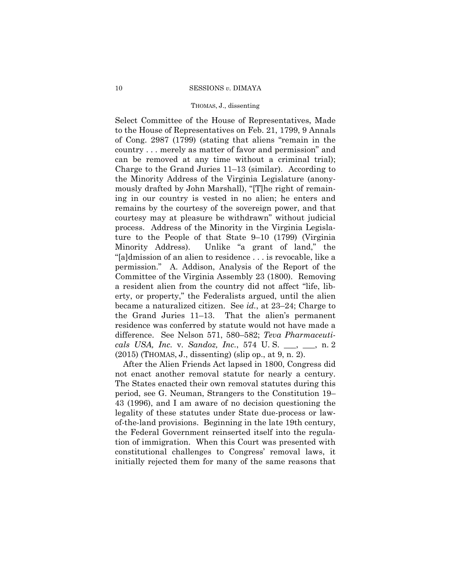# THOMAS, J., dissenting

Select Committee of the House of Representatives, Made to the House of Representatives on Feb. 21, 1799, 9 Annals of Cong. 2987 (1799) (stating that aliens "remain in the country . . . merely as matter of favor and permission" and can be removed at any time without a criminal trial); Charge to the Grand Juries 11–13 (similar). According to the Minority Address of the Virginia Legislature (anonymously drafted by John Marshall), "[T]he right of remaining in our country is vested in no alien; he enters and remains by the courtesy of the sovereign power, and that courtesy may at pleasure be withdrawn" without judicial process. Address of the Minority in the Virginia Legislature to the People of that State 9–10 (1799) (Virginia Minority Address). Unlike "a grant of land," the "[a]dmission of an alien to residence . . . is revocable, like a permission." A. Addison, Analysis of the Report of the Committee of the Virginia Assembly 23 (1800). Removing a resident alien from the country did not affect "life, liberty, or property," the Federalists argued, until the alien became a naturalized citizen. See *id.*, at 23–24; Charge to the Grand Juries 11–13. That the alien's permanent residence was conferred by statute would not have made a difference. See Nelson 571, 580–582; *Teva Pharmaceuticals USA, Inc.* v. *Sandoz, Inc.*, 574 U. S. \_\_\_, \_\_\_, n. 2 (2015) (THOMAS, J., dissenting) (slip op., at 9, n. 2).

 not enact another removal statute for nearly a century. After the Alien Friends Act lapsed in 1800, Congress did The States enacted their own removal statutes during this period, see G. Neuman, Strangers to the Constitution 19– 43 (1996), and I am aware of no decision questioning the legality of these statutes under State due-process or lawof-the-land provisions. Beginning in the late 19th century, the Federal Government reinserted itself into the regulation of immigration. When this Court was presented with constitutional challenges to Congress' removal laws, it initially rejected them for many of the same reasons that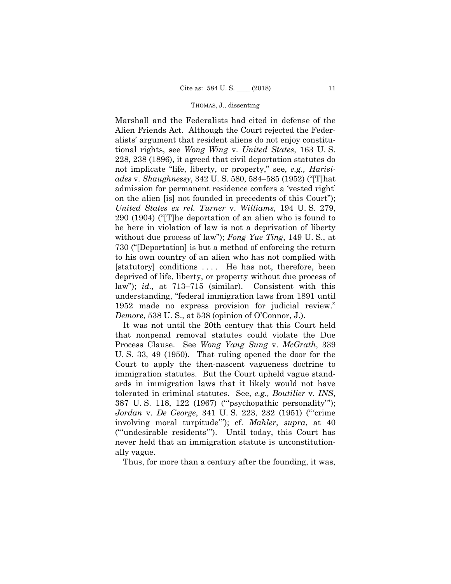Marshall and the Federalists had cited in defense of the Alien Friends Act. Although the Court rejected the Federalists' argument that resident aliens do not enjoy constitutional rights, see *Wong Wing* v. *United States*, 163 U. S. 228, 238 (1896), it agreed that civil deportation statutes do not implicate "life, liberty, or property," see, *e.g., Harisiades* v. *Shaughnessy*, 342 U. S. 580, 584–585 (1952) ("[T]hat admission for permanent residence confers a 'vested right' on the alien [is] not founded in precedents of this Court"); *United States ex rel. Turner* v. *Williams*, 194 U. S. 279, 290 (1904) ("[T]he deportation of an alien who is found to be here in violation of law is not a deprivation of liberty without due process of law"); *Fong Yue Ting*, 149 U. S., at 730 ("[Deportation] is but a method of enforcing the return to his own country of an alien who has not complied with [statutory] conditions .... He has not, therefore, been deprived of life, liberty, or property without due process of law"); *id.,* at 713–715 (similar). Consistent with this understanding, "federal immigration laws from 1891 until 1952 made no express provision for judicial review." *Demore*, 538 U. S., at 538 (opinion of O'Connor, J.).

It was not until the 20th century that this Court held that nonpenal removal statutes could violate the Due Process Clause. See *Wong Yang Sung* v. *McGrath*, 339 U. S. 33, 49 (1950). That ruling opened the door for the Court to apply the then-nascent vagueness doctrine to immigration statutes. But the Court upheld vague standards in immigration laws that it likely would not have tolerated in criminal statutes. See, *e.g., Boutilier* v. *INS*, 387 U. S. 118, 122 (1967) ("'psychopathic personality'"); *Jordan* v. *De George*, 341 U. S. 223, 232 (1951) ("'crime involving moral turpitude'"); cf. *Mahler*, *supra*, at 40 ("'undesirable residents'"). Until today, this Court has never held that an immigration statute is unconstitutionally vague.

Thus, for more than a century after the founding, it was,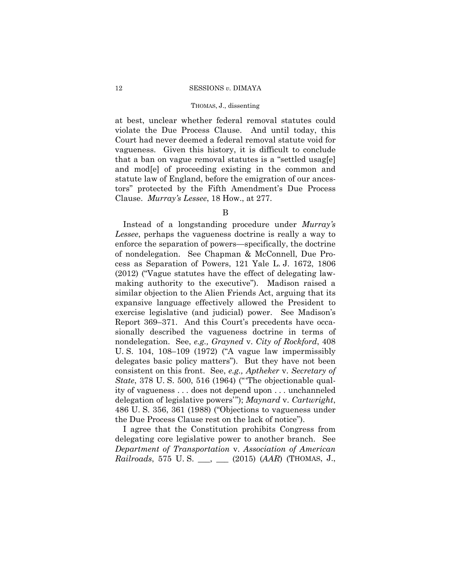# THOMAS, J., dissenting

at best, unclear whether federal removal statutes could violate the Due Process Clause. And until today, this Court had never deemed a federal removal statute void for vagueness. Given this history, it is difficult to conclude that a ban on vague removal statutes is a "settled usag[e] and mod[e] of proceeding existing in the common and statute law of England, before the emigration of our ancestors" protected by the Fifth Amendment's Due Process Clause. *Murray's Lessee*, 18 How., at 277.

B

Instead of a longstanding procedure under *Murray's Lessee*, perhaps the vagueness doctrine is really a way to enforce the separation of powers—specifically, the doctrine of nondelegation. See Chapman & McConnell, Due Process as Separation of Powers, 121 Yale L. J. 1672, 1806 (2012) ("Vague statutes have the effect of delegating lawmaking authority to the executive"). Madison raised a similar objection to the Alien Friends Act, arguing that its expansive language effectively allowed the President to exercise legislative (and judicial) power. See Madison's Report 369–371. And this Court's precedents have occasionally described the vagueness doctrine in terms of nondelegation. See, *e.g., Grayned* v. *City of Rockford*, 408 U. S. 104, 108–109 (1972) ("A vague law impermissibly delegates basic policy matters"). But they have not been consistent on this front. See, *e.g., Aptheker* v. *Secretary of State*, 378 U. S. 500, 516 (1964) ("'The objectionable quality of vagueness . . . does not depend upon . . . unchanneled delegation of legislative powers'"); *Maynard* v. *Cartwright*, 486 U. S. 356, 361 (1988) ("Objections to vagueness under the Due Process Clause rest on the lack of notice").

I agree that the Constitution prohibits Congress from delegating core legislative power to another branch. See *Department of Transportation* v. *Association of American Railroads*, 575 U. S. \_\_\_, \_\_\_ (2015) (*AAR*) (THOMAS, J.,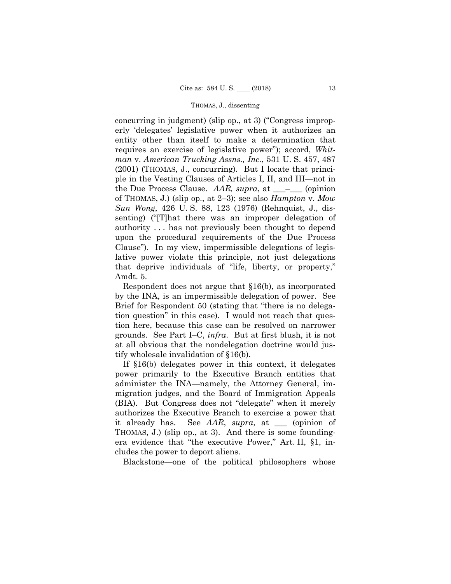concurring in judgment) (slip op., at 3) ("Congress improperly 'delegates' legislative power when it authorizes an entity other than itself to make a determination that requires an exercise of legislative power"); accord, *Whitman* v. *American Trucking Assns., Inc.*, 531 U. S. 457, 487 (2001) (THOMAS, J., concurring). But I locate that principle in the Vesting Clauses of Articles I, II, and III—not in the Due Process Clause. *AAR, supra*, at \_\_\_<sup>\_</sup>\_\_\_ (opinion of THOMAS, J.) (slip op., at 2–3); see also *Hampton* v. *Mow Sun Wong*, 426 U. S. 88, 123 (1976) (Rehnquist, J., dissenting) ("[T]hat there was an improper delegation of authority . . . has not previously been thought to depend upon the procedural requirements of the Due Process Clause"). In my view, impermissible delegations of legislative power violate this principle, not just delegations that deprive individuals of "life, liberty, or property," Amdt. 5.

Respondent does not argue that §16(b), as incorporated by the INA, is an impermissible delegation of power. See Brief for Respondent 50 (stating that "there is no delegation question" in this case). I would not reach that question here, because this case can be resolved on narrower grounds. See Part I–C, *infra*. But at first blush, it is not at all obvious that the nondelegation doctrine would justify wholesale invalidation of §16(b).

If §16(b) delegates power in this context, it delegates power primarily to the Executive Branch entities that administer the INA—namely, the Attorney General, immigration judges, and the Board of Immigration Appeals (BIA). But Congress does not "delegate" when it merely authorizes the Executive Branch to exercise a power that it already has. See *AAR*, *supra*, at \_\_\_ (opinion of THOMAS, J.) (slip op., at 3). And there is some foundingera evidence that "the executive Power," Art. II, §1, includes the power to deport aliens.

Blackstone—one of the political philosophers whose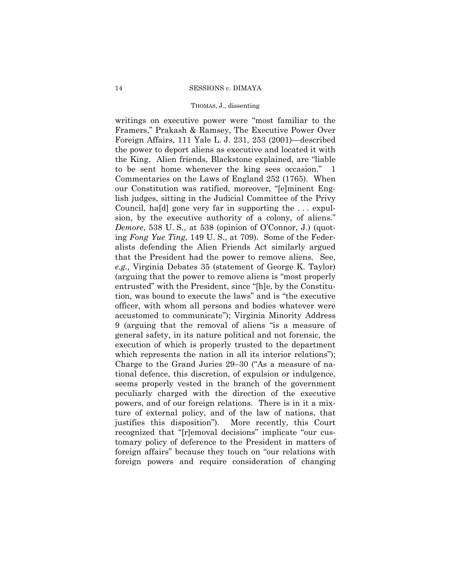# THOMAS, J., dissenting

writings on executive power were "most familiar to the Framers," Prakash & Ramsey, The Executive Power Over Foreign Affairs, 111 Yale L. J. 231, 253 (2001)—described the power to deport aliens as executive and located it with the King. Alien friends, Blackstone explained, are "liable to be sent home whenever the king sees occasion." 1 Commentaries on the Laws of England 252 (1765). When our Constitution was ratified, moreover, "[e]minent English judges, sitting in the Judicial Committee of the Privy Council, ha[d] gone very far in supporting the . . . expulsion, by the executive authority of a colony, of aliens." *Demore*, 538 U.S., at 538 (opinion of O'Connor, J.) (quoting *Fong Yue Ting*, 149 U. S., at 709). Some of the Federalists defending the Alien Friends Act similarly argued that the President had the power to remove aliens. See, *e.g.,* Virginia Debates 35 (statement of George K. Taylor) (arguing that the power to remove aliens is "most properly entrusted" with the President, since "[h]e, by the Constitution, was bound to execute the laws" and is "the executive officer, with whom all persons and bodies whatever were accustomed to communicate"); Virginia Minority Address 9 (arguing that the removal of aliens "is a measure of general safety, in its nature political and not forensic, the execution of which is properly trusted to the department which represents the nation in all its interior relations"); Charge to the Grand Juries 29–30 ("As a measure of national defence, this discretion, of expulsion or indulgence, seems properly vested in the branch of the government peculiarly charged with the direction of the executive powers, and of our foreign relations. There is in it a mixture of external policy, and of the law of nations, that justifies this disposition"). More recently, this Court recognized that "[r]emoval decisions" implicate "our customary policy of deference to the President in matters of foreign affairs" because they touch on "our relations with foreign powers and require consideration of changing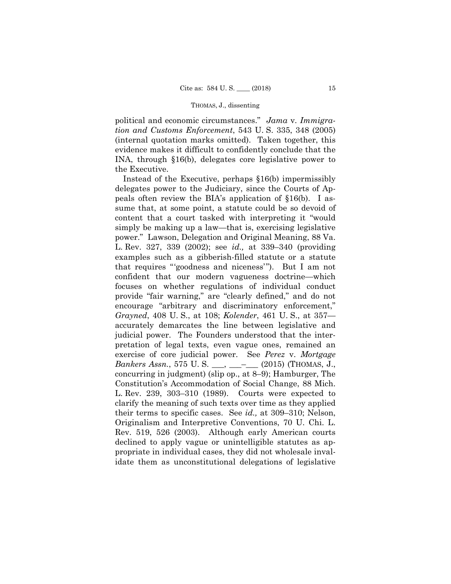political and economic circumstances." *Jama* v. *Immigration and Customs Enforcement*, 543 U. S. 335, 348 (2005) (internal quotation marks omitted). Taken together, this evidence makes it difficult to confidently conclude that the INA, through §16(b), delegates core legislative power to the Executive.

Instead of the Executive, perhaps §16(b) impermissibly delegates power to the Judiciary, since the Courts of Appeals often review the BIA's application of §16(b). I assume that, at some point, a statute could be so devoid of content that a court tasked with interpreting it "would simply be making up a law—that is, exercising legislative power." Lawson, Delegation and Original Meaning, 88 Va. L. Rev. 327, 339 (2002); see *id.,* at 339–340 (providing examples such as a gibberish-filled statute or a statute that requires "'goodness and niceness'"). But I am not confident that our modern vagueness doctrine—which focuses on whether regulations of individual conduct provide "fair warning," are "clearly defined," and do not encourage "arbitrary and discriminatory enforcement," *Grayned*, 408 U. S., at 108; *Kolender*, 461 U. S., at 357 accurately demarcates the line between legislative and judicial power. The Founders understood that the interpretation of legal texts, even vague ones, remained an exercise of core judicial power. See *Perez* v. *Mortgage Bankers Assn.*, 575 U. S. \_\_\_, \_\_\_–\_\_\_ (2015) (THOMAS, J., concurring in judgment) (slip op., at 8–9); Hamburger, The Constitution's Accommodation of Social Change, 88 Mich. L. Rev. 239, 303–310 (1989). Courts were expected to clarify the meaning of such texts over time as they applied their terms to specific cases. See *id.,* at 309–310; Nelson, Originalism and Interpretive Conventions, 70 U. Chi. L. Rev. 519, 526 (2003). Although early American courts declined to apply vague or unintelligible statutes as appropriate in individual cases, they did not wholesale invalidate them as unconstitutional delegations of legislative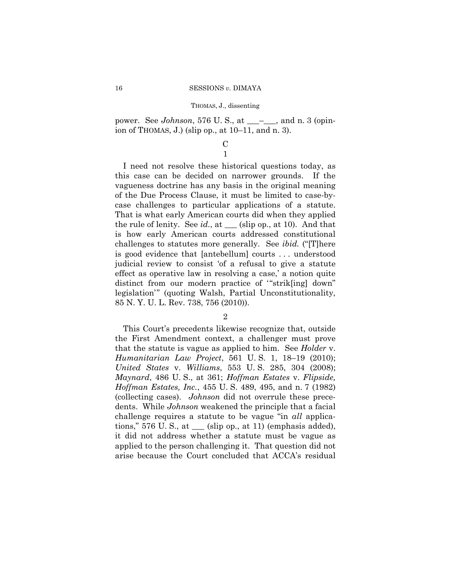power. See *Johnson*, 576 U.S., at \_\_\_\_\_, and n. 3 (opinion of THOMAS, J.) (slip op., at 10–11, and n. 3).

> $\mathcal{C}$ 1

I need not resolve these historical questions today, as this case can be decided on narrower grounds. If the vagueness doctrine has any basis in the original meaning of the Due Process Clause, it must be limited to case-bycase challenges to particular applications of a statute. That is what early American courts did when they applied the rule of lenity. See  $id$ , at  $\_\_\_$  (slip op., at 10). And that is how early American courts addressed constitutional challenges to statutes more generally. See *ibid.* ("[T]here is good evidence that [antebellum] courts . . . understood judicial review to consist 'of a refusal to give a statute effect as operative law in resolving a case,' a notion quite distinct from our modern practice of "strik[ing] down" legislation'" (quoting Walsh, Partial Unconstitutionality, 85 N. Y. U. L. Rev. 738, 756 (2010)).

This Court's precedents likewise recognize that, outside the First Amendment context, a challenger must prove that the statute is vague as applied to him. See *Holder* v. *Humanitarian Law Project*, 561 U. S. 1, 18–19 (2010); *United States* v. *Williams*, 553 U. S. 285, 304 (2008); *Maynard*, 486 U. S., at 361; *Hoffman Estates* v. *Flipside, Hoffman Estates, Inc.*, 455 U. S. 489, 495, and n. 7 (1982) (collecting cases). *Johnson* did not overrule these precedents. While *Johnson* weakened the principle that a facial challenge requires a statute to be vague "in *all* applications," 576 U.S., at  $\_\_$  (slip op., at 11) (emphasis added), it did not address whether a statute must be vague as applied to the person challenging it. That question did not arise because the Court concluded that ACCA's residual

<sup>2</sup>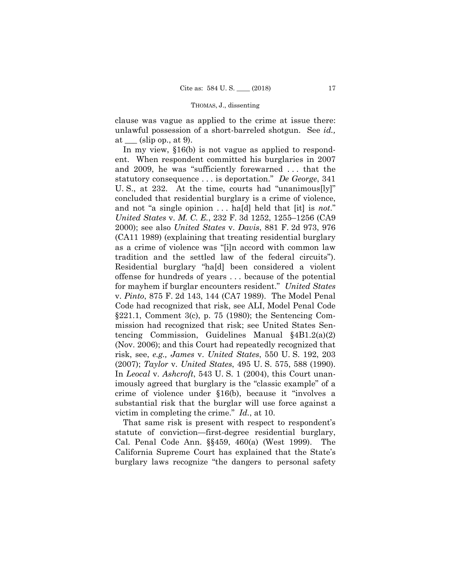clause was vague as applied to the crime at issue there: unlawful possession of a short-barreled shotgun. See *id.,*  at  $\_\_\$  (slip op., at 9).

In my view, §16(b) is not vague as applied to respondent. When respondent committed his burglaries in 2007 and 2009, he was "sufficiently forewarned . . . that the statutory consequence . . . is deportation." *De George*, 341 U. S., at 232. At the time, courts had "unanimous[ly]" concluded that residential burglary is a crime of violence, and not "a single opinion . . . ha[d] held that [it] is *not*." *United States* v. *M. C. E.*, 232 F. 3d 1252, 1255–1256 (CA9 2000); see also *United States* v. *Davis*, 881 F. 2d 973, 976 (CA11 1989) (explaining that treating residential burglary as a crime of violence was "[i]n accord with common law tradition and the settled law of the federal circuits"). Residential burglary "ha[d] been considered a violent offense for hundreds of years . . . because of the potential for mayhem if burglar encounters resident." *United States*  v. *Pinto*, 875 F. 2d 143, 144 (CA7 1989). The Model Penal Code had recognized that risk, see ALI, Model Penal Code §221.1, Comment 3(c), p. 75 (1980); the Sentencing Commission had recognized that risk; see United States Sentencing Commission, Guidelines Manual §4B1.2(a)(2) (Nov. 2006); and this Court had repeatedly recognized that risk, see, *e.g., James* v. *United States*, 550 U. S. 192, 203 (2007); *Taylor* v. *United States*, 495 U. S. 575, 588 (1990). In *Leocal* v. *Ashcroft*, 543 U. S. 1 (2004), this Court unanimously agreed that burglary is the "classic example" of a crime of violence under §16(b), because it "involves a substantial risk that the burglar will use force against a victim in completing the crime." *Id.*, at 10.

That same risk is present with respect to respondent's statute of conviction—first-degree residential burglary, Cal. Penal Code Ann. §§459, 460(a) (West 1999). The California Supreme Court has explained that the State's burglary laws recognize "the dangers to personal safety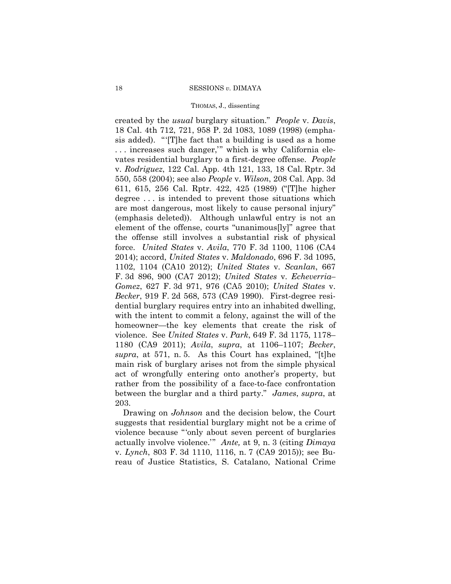between the burglar and a third party." *James*, *supra*, at created by the *usual* burglary situation." *People* v. *Davis*, 18 Cal. 4th 712, 721, 958 P. 2d 1083, 1089 (1998) (emphasis added). "'[T]he fact that a building is used as a home . . . increases such danger,'" which is why California elevates residential burglary to a first-degree offense. *People*  v. *Rodriguez*, 122 Cal. App. 4th 121, 133, 18 Cal. Rptr. 3d 550, 558 (2004); see also *People* v. *Wilson*, 208 Cal. App. 3d 611, 615, 256 Cal. Rptr. 422, 425 (1989) ("[T]he higher degree . . . is intended to prevent those situations which are most dangerous, most likely to cause personal injury" (emphasis deleted)). Although unlawful entry is not an element of the offense, courts "unanimous[ly]" agree that the offense still involves a substantial risk of physical force. *United States* v. *Avila*, 770 F. 3d 1100, 1106 (CA4 2014); accord, *United States* v. *Maldonado*, 696 F. 3d 1095, 1102, 1104 (CA10 2012); *United States* v. *Scanlan*, 667 F. 3d 896, 900 (CA7 2012); *United States* v. *Echeverria– Gomez*, 627 F. 3d 971, 976 (CA5 2010); *United States* v. *Becker*, 919 F. 2d 568, 573 (CA9 1990). First-degree residential burglary requires entry into an inhabited dwelling, with the intent to commit a felony, against the will of the homeowner—the key elements that create the risk of violence. See *United States* v. *Park*, 649 F. 3d 1175, 1178– 1180 (CA9 2011); *Avila*, *supra*, at 1106–1107; *Becker*, *supra*, at 571, n. 5. As this Court has explained, "[t]he main risk of burglary arises not from the simple physical act of wrongfully entering onto another's property, but rather from the possibility of a face-to-face confrontation 203.

 Drawing on *Johnson* and the decision below, the Court suggests that residential burglary might not be a crime of violence because "'only about seven percent of burglaries actually involve violence.'" *Ante,* at 9, n. 3 (citing *Dimaya*  v. *Lynch*, 803 F. 3d 1110, 1116, n. 7 (CA9 2015)); see Bureau of Justice Statistics, S. Catalano, National Crime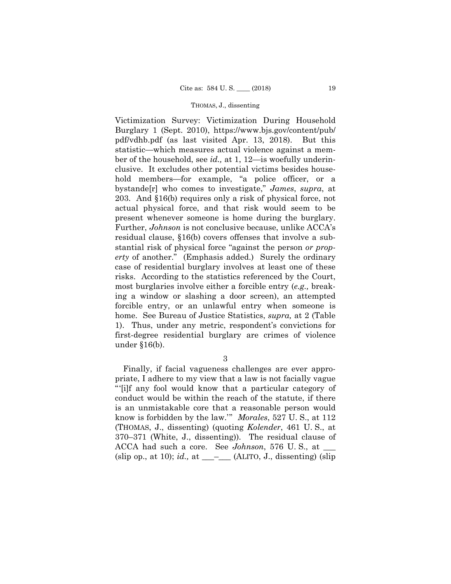Victimization Survey: Victimization During Household Burglary 1 (Sept. 2010), https://www.bjs.gov/content/pub/ pdf/vdhb.pdf (as last visited Apr. 13, 2018). But this statistic—which measures actual violence against a member of the household, see *id.,* at 1, 12—is woefully underinclusive. It excludes other potential victims besides household members—for example, "a police officer, or a bystande[r] who comes to investigate," *James*, *supra*, at 203. And §16(b) requires only a risk of physical force, not actual physical force, and that risk would seem to be present whenever someone is home during the burglary. Further, *Johnson* is not conclusive because, unlike ACCA's residual clause, §16(b) covers offenses that involve a substantial risk of physical force "against the person *or property* of another." (Emphasis added.) Surely the ordinary case of residential burglary involves at least one of these risks. According to the statistics referenced by the Court, most burglaries involve either a forcible entry (*e.g.,* breaking a window or slashing a door screen), an attempted forcible entry, or an unlawful entry when someone is home. See Bureau of Justice Statistics, *supra,* at 2 (Table 1). Thus, under any metric, respondent's convictions for first-degree residential burglary are crimes of violence under §16(b).

3

Finally, if facial vagueness challenges are ever appropriate, I adhere to my view that a law is not facially vague "'[i]f any fool would know that a particular category of conduct would be within the reach of the statute, if there is an unmistakable core that a reasonable person would know is forbidden by the law.'" *Morales*, 527 U. S., at 112 (THOMAS, J., dissenting) (quoting *Kolender*, 461 U. S., at 370–371 (White, J., dissenting)). The residual clause of ACCA had such a core. See *Johnson*, 576 U. S., at \_\_\_ (slip op., at 10); *id.*, at  $\_\_\_\_\_\_\_\_\$  (ALITO, J., dissenting) (slip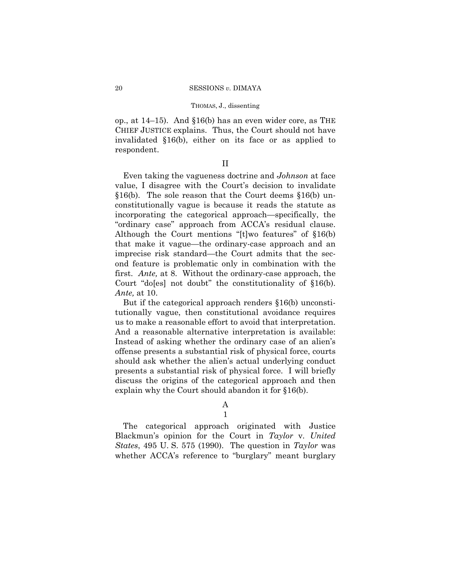#### THOMAS, J., dissenting

op., at 14–15). And §16(b) has an even wider core, as THE CHIEF JUSTICE explains. Thus, the Court should not have invalidated §16(b), either on its face or as applied to respondent.

# II

Even taking the vagueness doctrine and *Johnson* at face value, I disagree with the Court's decision to invalidate §16(b). The sole reason that the Court deems §16(b) unconstitutionally vague is because it reads the statute as incorporating the categorical approach—specifically, the "ordinary case" approach from ACCA's residual clause. Although the Court mentions "[t]wo features" of §16(b) that make it vague—the ordinary-case approach and an imprecise risk standard—the Court admits that the second feature is problematic only in combination with the first. *Ante,* at 8. Without the ordinary-case approach, the Court "do[es] not doubt" the constitutionality of §16(b). *Ante,* at 10.

But if the categorical approach renders §16(b) unconstitutionally vague, then constitutional avoidance requires us to make a reasonable effort to avoid that interpretation. And a reasonable alternative interpretation is available: Instead of asking whether the ordinary case of an alien's offense presents a substantial risk of physical force, courts should ask whether the alien's actual underlying conduct presents a substantial risk of physical force. I will briefly discuss the origins of the categorical approach and then explain why the Court should abandon it for §16(b).

# A

# 1

The categorical approach originated with Justice Blackmun's opinion for the Court in *Taylor* v. *United States*, 495 U. S. 575 (1990). The question in *Taylor* was whether ACCA's reference to "burglary" meant burglary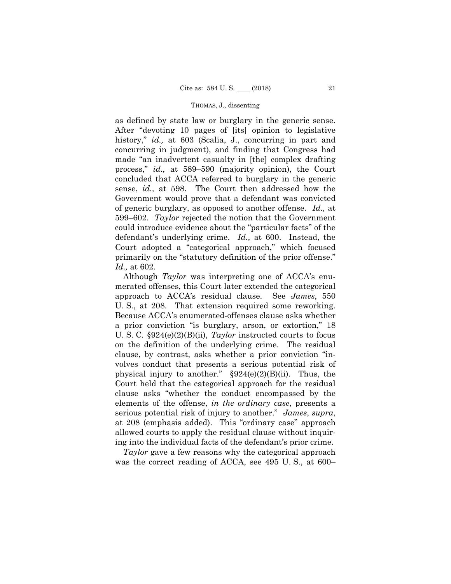as defined by state law or burglary in the generic sense. After "devoting 10 pages of [its] opinion to legislative history," *id.*, at 603 (Scalia, J., concurring in part and concurring in judgment), and finding that Congress had made "an inadvertent casualty in [the] complex drafting process," *id.,* at 589–590 (majority opinion), the Court concluded that ACCA referred to burglary in the generic sense, *id.,* at 598. The Court then addressed how the Government would prove that a defendant was convicted of generic burglary, as opposed to another offense. *Id.,* at 599–602. *Taylor* rejected the notion that the Government could introduce evidence about the "particular facts" of the defendant's underlying crime. *Id.,* at 600. Instead, the Court adopted a "categorical approach," which focused primarily on the "statutory definition of the prior offense." *Id.,* at 602.

 Although *Taylor* was interpreting one of ACCA's enumerated offenses, this Court later extended the categorical approach to ACCA's residual clause. See *James*, 550 U. S., at 208. That extension required some reworking. Because ACCA's enumerated-offenses clause asks whether a prior conviction "is burglary, arson, or extortion," 18 U. S. C. §924(e)(2)(B)(ii), *Taylor* instructed courts to focus on the definition of the underlying crime. The residual clause, by contrast, asks whether a prior conviction "involves conduct that presents a serious potential risk of physical injury to another."  $\S 924(e)(2)(B)(ii)$ . Thus, the Court held that the categorical approach for the residual clause asks "whether the conduct encompassed by the elements of the offense, *in the ordinary case*, presents a serious potential risk of injury to another." *James*, *supra*, at 208 (emphasis added). This "ordinary case" approach allowed courts to apply the residual clause without inquiring into the individual facts of the defendant's prior crime.

*Taylor* gave a few reasons why the categorical approach was the correct reading of ACCA, see 495 U. S., at 600–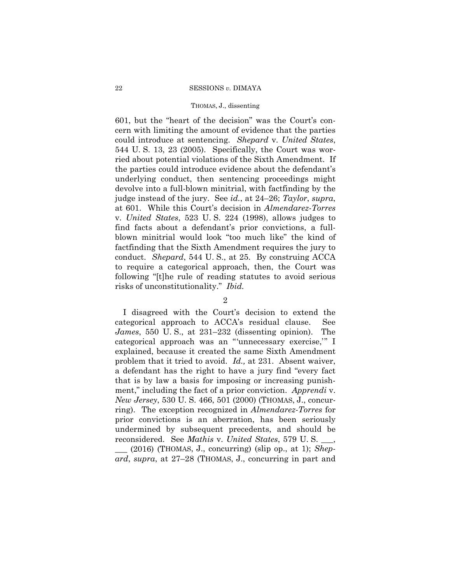# THOMAS, J., dissenting

601, but the "heart of the decision" was the Court's concern with limiting the amount of evidence that the parties could introduce at sentencing. *Shepard* v. *United States*, 544 U. S. 13, 23 (2005). Specifically, the Court was worried about potential violations of the Sixth Amendment. If the parties could introduce evidence about the defendant's underlying conduct, then sentencing proceedings might devolve into a full-blown minitrial, with factfinding by the judge instead of the jury. See *id.*, at 24–26; *Taylor*, *supra*, at 601. While this Court's decision in *Almendarez-Torres*  v. *United States*, 523 U. S. 224 (1998), allows judges to find facts about a defendant's prior convictions, a fullblown minitrial would look "too much like" the kind of factfinding that the Sixth Amendment requires the jury to conduct. *Shepard*, 544 U. S., at 25. By construing ACCA to require a categorical approach, then, the Court was following "[t]he rule of reading statutes to avoid serious risks of unconstitutionality." *Ibid.* 

# 2

I disagreed with the Court's decision to extend the categorical approach to ACCA's residual clause. See *James*, 550 U. S., at 231–232 (dissenting opinion). The categorical approach was an "'unnecessary exercise,'" I explained, because it created the same Sixth Amendment problem that it tried to avoid. *Id.,* at 231. Absent waiver, a defendant has the right to have a jury find "every fact that is by law a basis for imposing or increasing punishment," including the fact of a prior conviction. *Apprendi* v. *New Jersey*, 530 U. S. 466, 501 (2000) (THOMAS, J., concurring). The exception recognized in *Almendarez-Torres* for prior convictions is an aberration, has been seriously undermined by subsequent precedents, and should be reconsidered. See *Mathis* v. *United States*, 579 U. S. \_\_\_, \_\_\_ (2016) (THOMAS, J., concurring) (slip op., at 1); *Shepard*, *supra*, at 27–28 (THOMAS, J., concurring in part and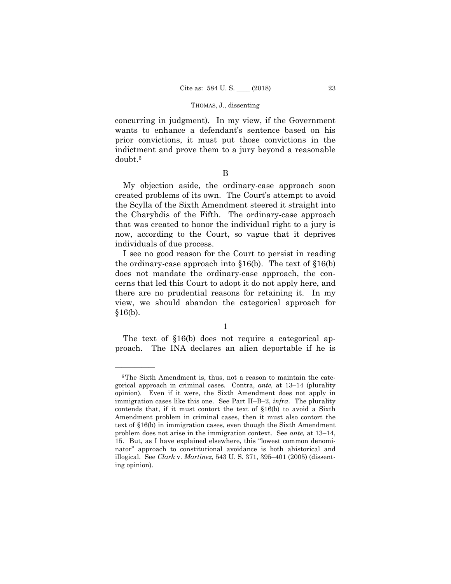concurring in judgment). In my view, if the Government wants to enhance a defendant's sentence based on his prior convictions, it must put those convictions in the indictment and prove them to a jury beyond a reasonable doubt.6

B

My objection aside, the ordinary-case approach soon created problems of its own. The Court's attempt to avoid the Scylla of the Sixth Amendment steered it straight into the Charybdis of the Fifth. The ordinary-case approach that was created to honor the individual right to a jury is now, according to the Court, so vague that it deprives individuals of due process.

I see no good reason for the Court to persist in reading the ordinary-case approach into  $$16(b)$ . The text of  $$16(b)$ does not mandate the ordinary-case approach, the concerns that led this Court to adopt it do not apply here, and there are no prudential reasons for retaining it. In my view, we should abandon the categorical approach for  $§16(b).$ 

1

 proach. The INA declares an alien deportable if he is The text of §16(b) does not require a categorical ap-

——————

<sup>6</sup>The Sixth Amendment is, thus, not a reason to maintain the categorical approach in criminal cases. Contra, *ante,* at 13–14 (plurality opinion). Even if it were, the Sixth Amendment does not apply in immigration cases like this one. See Part II–B–2, *infra*. The plurality contends that, if it must contort the text of §16(b) to avoid a Sixth Amendment problem in criminal cases, then it must also contort the text of §16(b) in immigration cases, even though the Sixth Amendment problem does not arise in the immigration context. See *ante,* at 13–14, 15. But, as I have explained elsewhere, this "lowest common denominator" approach to constitutional avoidance is both ahistorical and illogical. See *Clark* v. *Martinez*, 543 U. S. 371, 395–401 (2005) (dissenting opinion).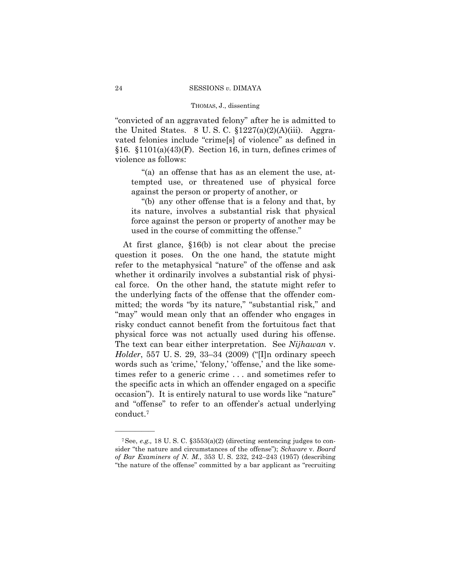"convicted of an aggravated felony" after he is admitted to the United States. 8 U.S.C.  $\S 1227(a)(2)(A)(iii)$ . Aggravated felonies include "crime[s] of violence" as defined in §16. §1101(a) $(43)$ (F). Section 16, in turn, defines crimes of violence as follows:

"(a) an offense that has as an element the use, attempted use, or threatened use of physical force against the person or property of another, or

"(b) any other offense that is a felony and that, by its nature, involves a substantial risk that physical force against the person or property of another may be used in the course of committing the offense."

At first glance, §16(b) is not clear about the precise question it poses. On the one hand, the statute might refer to the metaphysical "nature" of the offense and ask whether it ordinarily involves a substantial risk of physical force. On the other hand, the statute might refer to the underlying facts of the offense that the offender committed; the words "by its nature," "substantial risk," and "may" would mean only that an offender who engages in risky conduct cannot benefit from the fortuitous fact that physical force was not actually used during his offense. The text can bear either interpretation. See *Nijhawan* v. *Holder*, 557 U. S. 29, 33–34 (2009) ("[I]n ordinary speech words such as 'crime,' 'felony,' 'offense,' and the like sometimes refer to a generic crime . . . and sometimes refer to the specific acts in which an offender engaged on a specific occasion"). It is entirely natural to use words like "nature" and "offense" to refer to an offender's actual underlying conduct.7

——————

<sup>7</sup>See, *e.g.,* 18 U. S. C. §3553(a)(2) (directing sentencing judges to consider "the nature and circumstances of the offense"); *Schware* v. *Board of Bar Examiners of N. M.*, 353 U. S. 232, 242–243 (1957) (describing "the nature of the offense" committed by a bar applicant as "recruiting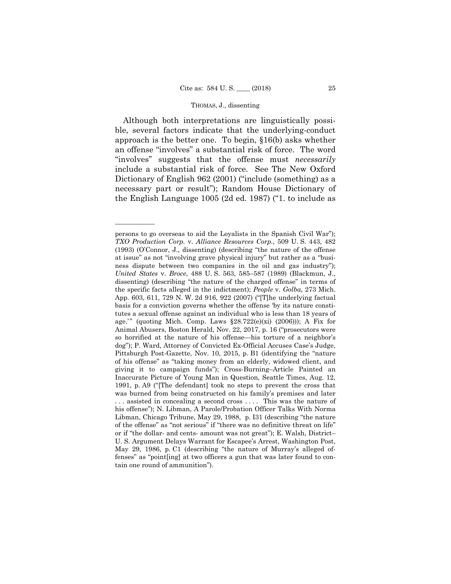Although both interpretations are linguistically possible, several factors indicate that the underlying-conduct approach is the better one. To begin, §16(b) asks whether an offense "involves" a substantial risk of force. The word "involves" suggests that the offense must *necessarily*  include a substantial risk of force. See The New Oxford Dictionary of English 962 (2001) ("include (something) as a necessary part or result"); Random House Dictionary of the English Language 1005 (2d ed. 1987) ("1. to include as

——————

 dog"); P. Ward, Attorney of Convicted Ex-Official Accuses Case's Judge, persons to go overseas to aid the Loyalists in the Spanish Civil War"); *TXO Production Corp.* v. *Alliance Resources Corp.*, 509 U. S. 443, 482 (1993) (O'Connor, J., dissenting) (describing "the nature of the offense at issue" as not "involving grave physical injury" but rather as a "business dispute between two companies in the oil and gas industry"); *United States* v. *Broce*, 488 U. S. 563, 585–587 (1989) (Blackmun, J., dissenting) (describing "the nature of the charged offense" in terms of the specific facts alleged in the indictment); *People* v. *Golba*, 273 Mich. App. 603, 611, 729 N. W. 2d 916, 922 (2007) ("[T]he underlying factual basis for a conviction governs whether the offense 'by its nature constitutes a sexual offense against an individual who is less than 18 years of age.'" (quoting Mich. Comp. Laws  $\S 28.722(e)$ (xi) (2006))); A Fix for Animal Abusers, Boston Herald, Nov. 22, 2017, p. 16 ("prosecutors were so horrified at the nature of his offense—his torture of a neighbor's Pittsburgh Post-Gazette, Nov. 10, 2015, p. B1 (identifying the "nature of his offense" as "taking money from an elderly, widowed client, and giving it to campaign funds"); Cross-Burning–Article Painted an Inaccurate Picture of Young Man in Question, Seattle Times, Aug. 12, 1991, p. A9 ("[The defendant] took no steps to prevent the cross that was burned from being constructed on his family's premises and later . . . assisted in concealing a second cross . . . . This was the nature of his offense"); N. Libman, A Parole/Probation Officer Talks With Norma Libman, Chicago Tribune, May 29, 1988, p. I31 (describing "the nature of the offense" as "not serious" if "there was no definitive threat on life" or if "the dollar- and cents- amount was not great"); E. Walsh, District– U. S. Argument Delays Warrant for Escapee's Arrest, Washington Post, May 29, 1986, p. C1 (describing "the nature of Murray's alleged offenses" as "point[ing] at two officers a gun that was later found to contain one round of ammunition").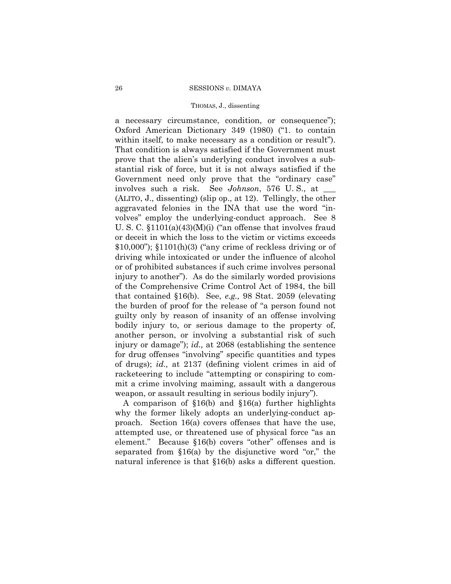# THOMAS, J., dissenting

a necessary circumstance, condition, or consequence"); Oxford American Dictionary 349 (1980) ("1. to contain within itself, to make necessary as a condition or result". That condition is always satisfied if the Government must prove that the alien's underlying conduct involves a substantial risk of force, but it is not always satisfied if the Government need only prove that the "ordinary case" involves such a risk. See *Johnson*, 576 U. S., at \_\_\_ (ALITO, J., dissenting) (slip op., at 12). Tellingly, the other aggravated felonies in the INA that use the word "involves" employ the underlying-conduct approach. See 8 U. S. C. §1101(a)(43)(M)(i) ("an offense that involves fraud or deceit in which the loss to the victim or victims exceeds  $$10,000$ ");  $$1101(h)(3)$  ("any crime of reckless driving or of driving while intoxicated or under the influence of alcohol or of prohibited substances if such crime involves personal injury to another"). As do the similarly worded provisions of the Comprehensive Crime Control Act of 1984, the bill that contained §16(b). See, *e.g.,* 98 Stat. 2059 (elevating the burden of proof for the release of "a person found not guilty only by reason of insanity of an offense involving bodily injury to, or serious damage to the property of, another person, or involving a substantial risk of such injury or damage"); *id.,* at 2068 (establishing the sentence for drug offenses "involving" specific quantities and types of drugs); *id.,* at 2137 (defining violent crimes in aid of racketeering to include "attempting or conspiring to commit a crime involving maiming, assault with a dangerous weapon, or assault resulting in serious bodily injury").

 natural inference is that §16(b) asks a different question. A comparison of §16(b) and §16(a) further highlights why the former likely adopts an underlying-conduct approach. Section 16(a) covers offenses that have the use, attempted use, or threatened use of physical force "as an element." Because §16(b) covers "other" offenses and is separated from  $$16(a)$  by the disjunctive word "or," the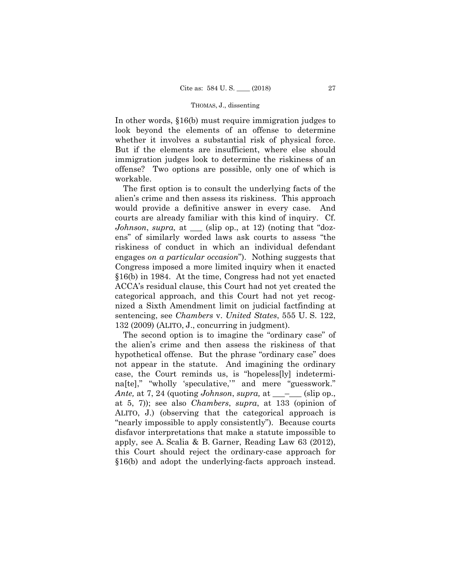In other words, §16(b) must require immigration judges to look beyond the elements of an offense to determine whether it involves a substantial risk of physical force. But if the elements are insufficient, where else should immigration judges look to determine the riskiness of an offense? Two options are possible, only one of which is workable.

The first option is to consult the underlying facts of the alien's crime and then assess its riskiness. This approach would provide a definitive answer in every case. And courts are already familiar with this kind of inquiry. Cf. *Johnson*, *supra,* at \_\_\_ (slip op., at 12) (noting that "dozens" of similarly worded laws ask courts to assess "the riskiness of conduct in which an individual defendant engages *on a particular occasion*"). Nothing suggests that Congress imposed a more limited inquiry when it enacted §16(b) in 1984. At the time, Congress had not yet enacted ACCA's residual clause, this Court had not yet created the categorical approach, and this Court had not yet recognized a Sixth Amendment limit on judicial factfinding at sentencing, see *Chambers* v. *United States*, 555 U. S. 122, 132 (2009) (ALITO, J., concurring in judgment).

The second option is to imagine the "ordinary case" of the alien's crime and then assess the riskiness of that hypothetical offense. But the phrase "ordinary case" does not appear in the statute. And imagining the ordinary case, the Court reminds us, is "hopeless[ly] indetermina[te]," "wholly 'speculative,'" and mere "guesswork." *Ante,* at 7, 24 (quoting *Johnson*, *supra,* at \_\_\_–\_\_\_ (slip op., at 5, 7)); see also *Chambers*, *supra*, at 133 (opinion of ALITO, J.) (observing that the categorical approach is "nearly impossible to apply consistently"). Because courts disfavor interpretations that make a statute impossible to apply, see A. Scalia & B. Garner, Reading Law 63 (2012), this Court should reject the ordinary-case approach for §16(b) and adopt the underlying-facts approach instead.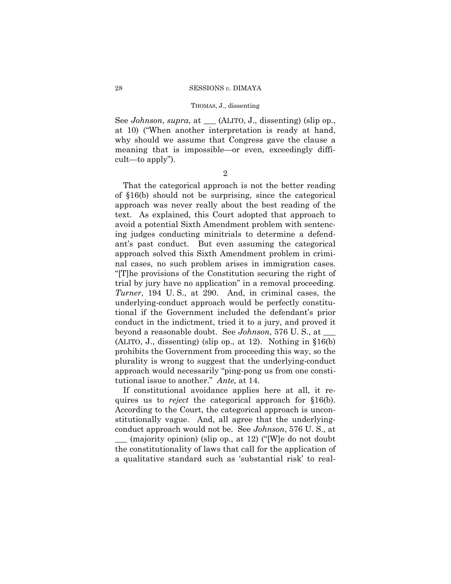# THOMAS, J., dissenting

See *Johnson*, *supra*, at \_\_\_ (ALITO, J., dissenting) (slip op., at 10) ("When another interpretation is ready at hand, why should we assume that Congress gave the clause a meaning that is impossible—or even, exceedingly difficult—to apply").

2

That the categorical approach is not the better reading of §16(b) should not be surprising, since the categorical approach was never really about the best reading of the text. As explained, this Court adopted that approach to avoid a potential Sixth Amendment problem with sentencing judges conducting minitrials to determine a defendant's past conduct. But even assuming the categorical approach solved this Sixth Amendment problem in criminal cases, no such problem arises in immigration cases. "[T]he provisions of the Constitution securing the right of trial by jury have no application" in a removal proceeding. *Turner*, 194 U. S., at 290. And, in criminal cases, the underlying-conduct approach would be perfectly constitutional if the Government included the defendant's prior conduct in the indictment, tried it to a jury, and proved it beyond a reasonable doubt. See *Johnson*, 576 U. S., at \_\_\_ (ALITO, J., dissenting) (slip op., at 12). Nothing in §16(b) prohibits the Government from proceeding this way, so the plurality is wrong to suggest that the underlying-conduct approach would necessarily "ping-pong us from one constitutional issue to another." *Ante,* at 14.

 quires us to *reject* the categorical approach for §16(b). If constitutional avoidance applies here at all, it re-According to the Court, the categorical approach is unconstitutionally vague. And, all agree that the underlyingconduct approach would not be. See *Johnson*, 576 U. S., at

 $(majority opinion)$  (slip op., at 12) ("[W]e do not doubt the constitutionality of laws that call for the application of a qualitative standard such as 'substantial risk' to real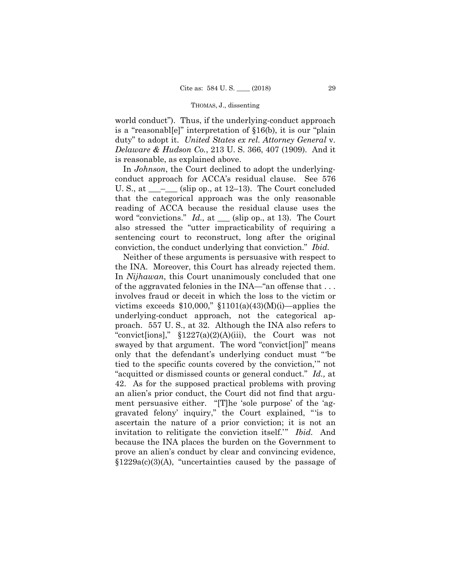world conduct"). Thus, if the underlying-conduct approach is a "reasonabl[e]" interpretation of §16(b), it is our "plain duty" to adopt it. *United States ex rel. Attorney General* v. *Delaware & Hudson Co.*, 213 U. S. 366, 407 (1909). And it is reasonable, as explained above.

In *Johnson*, the Court declined to adopt the underlyingconduct approach for ACCA's residual clause. See 576 U. S., at  $\_\_\_\_\_$  (slip op., at 12–13). The Court concluded that the categorical approach was the only reasonable reading of ACCA because the residual clause uses the word "convictions." *Id.*, at \_\_ (slip op., at 13). The Court also stressed the "utter impracticability of requiring a sentencing court to reconstruct, long after the original conviction, the conduct underlying that conviction." *Ibid.* 

Neither of these arguments is persuasive with respect to the INA. Moreover, this Court has already rejected them. In *Nijhawan*, this Court unanimously concluded that one of the aggravated felonies in the INA—"an offense that . . . involves fraud or deceit in which the loss to the victim or victims exceeds  $$10,000$ ,"  $$1101(a)(43)(M)(i)$ —applies the underlying-conduct approach, not the categorical approach. 557 U. S., at 32. Although the INA also refers to "convict[ions]," §1227(a)(2)(A)(iii), the Court was not swayed by that argument. The word "convict[ion]" means only that the defendant's underlying conduct must "'be tied to the specific counts covered by the conviction,'" not "acquitted or dismissed counts or general conduct." *Id.,* at 42. As for the supposed practical problems with proving an alien's prior conduct, the Court did not find that argument persuasive either. "[T]he 'sole purpose' of the 'aggravated felony' inquiry," the Court explained, "'is to ascertain the nature of a prior conviction; it is not an invitation to relitigate the conviction itself.'" *Ibid.* And because the INA places the burden on the Government to prove an alien's conduct by clear and convincing evidence,  $$1229a(c)(3)(A),$  "uncertainties caused by the passage of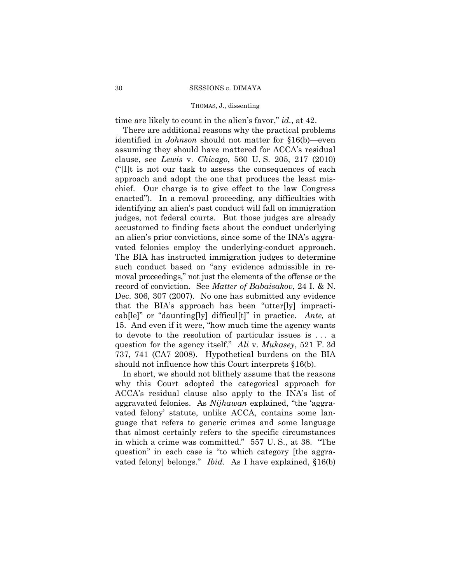time are likely to count in the alien's favor," *id.*, at 42.

There are additional reasons why the practical problems identified in *Johnson* should not matter for §16(b)—even assuming they should have mattered for ACCA's residual clause, see *Lewis* v. *Chicago*, 560 U. S. 205, 217 (2010) ("[I]t is not our task to assess the consequences of each approach and adopt the one that produces the least mischief. Our charge is to give effect to the law Congress enacted"). In a removal proceeding, any difficulties with identifying an alien's past conduct will fall on immigration judges, not federal courts. But those judges are already accustomed to finding facts about the conduct underlying an alien's prior convictions, since some of the INA's aggravated felonies employ the underlying-conduct approach. The BIA has instructed immigration judges to determine such conduct based on "any evidence admissible in removal proceedings," not just the elements of the offense or the record of conviction. See *Matter of Babaisakov*, 24 I. & N. Dec. 306, 307 (2007). No one has submitted any evidence that the BIA's approach has been "utter[ly] impracticab[le]" or "daunting[ly] difficul[t]" in practice. *Ante,* at 15. And even if it were, "how much time the agency wants to devote to the resolution of particular issues is . . . a question for the agency itself." *Ali* v. *Mukasey*, 521 F. 3d 737, 741 (CA7 2008). Hypothetical burdens on the BIA should not influence how this Court interprets §16(b).

In short, we should not blithely assume that the reasons why this Court adopted the categorical approach for ACCA's residual clause also apply to the INA's list of aggravated felonies. As *Nijhawan* explained, "the 'aggravated felony' statute, unlike ACCA, contains some language that refers to generic crimes and some language that almost certainly refers to the specific circumstances in which a crime was committed." 557 U. S., at 38. "The question" in each case is "to which category [the aggravated felony] belongs." *Ibid.* As I have explained, §16(b)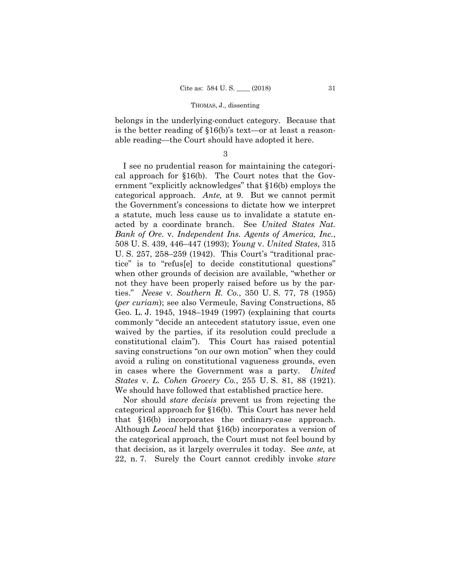belongs in the underlying-conduct category. Because that is the better reading of §16(b)'s text—or at least a reasonable reading—the Court should have adopted it here.

3

I see no prudential reason for maintaining the categorical approach for §16(b). The Court notes that the Government "explicitly acknowledges" that §16(b) employs the categorical approach. *Ante,* at 9. But we cannot permit the Government's concessions to dictate how we interpret a statute, much less cause us to invalidate a statute enacted by a coordinate branch. See *United States Nat. Bank of Ore.* v. *Independent Ins. Agents of America, Inc.*, 508 U. S. 439, 446–447 (1993); *Young* v. *United States*, 315 U. S. 257, 258–259 (1942). This Court's "traditional practice" is to "refus[e] to decide constitutional questions" when other grounds of decision are available, "whether or not they have been properly raised before us by the parties." *Neese* v. *Southern R. Co.*, 350 U. S. 77, 78 (1955) (*per curiam*); see also Vermeule, Saving Constructions, 85 Geo. L. J. 1945, 1948–1949 (1997) (explaining that courts commonly "decide an antecedent statutory issue, even one waived by the parties, if its resolution could preclude a constitutional claim"). This Court has raised potential saving constructions "on our own motion" when they could avoid a ruling on constitutional vagueness grounds, even in cases where the Government was a party. *United States* v. *L. Cohen Grocery Co.*, 255 U. S. 81, 88 (1921). We should have followed that established practice here.

 Nor should *stare decisis* prevent us from rejecting the categorical approach for §16(b). This Court has never held that §16(b) incorporates the ordinary-case approach. Although *Leocal* held that §16(b) incorporates a version of the categorical approach, the Court must not feel bound by that decision, as it largely overrules it today. See *ante,* at 22, n. 7. Surely the Court cannot credibly invoke *stare*